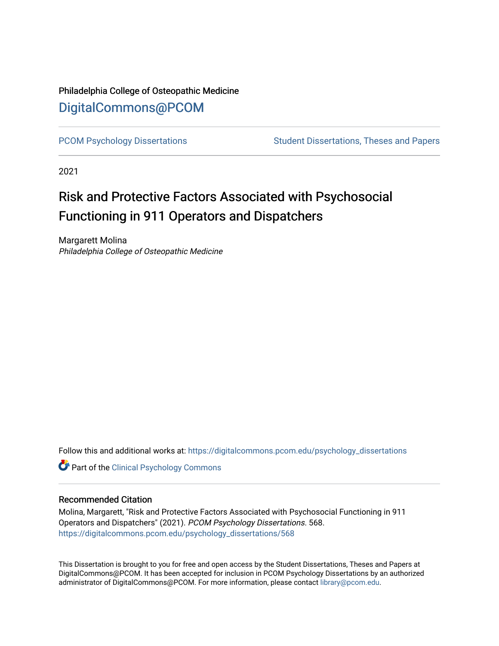## Philadelphia College of Osteopathic Medicine [DigitalCommons@PCOM](https://digitalcommons.pcom.edu/)

[PCOM Psychology Dissertations](https://digitalcommons.pcom.edu/psychology_dissertations) Student Dissertations, Theses and Papers

2021

# Risk and Protective Factors Associated with Psychosocial Functioning in 911 Operators and Dispatchers

Margarett Molina Philadelphia College of Osteopathic Medicine

Follow this and additional works at: [https://digitalcommons.pcom.edu/psychology\\_dissertations](https://digitalcommons.pcom.edu/psychology_dissertations?utm_source=digitalcommons.pcom.edu%2Fpsychology_dissertations%2F568&utm_medium=PDF&utm_campaign=PDFCoverPages)

**Part of the Clinical Psychology Commons** 

#### Recommended Citation

Molina, Margarett, "Risk and Protective Factors Associated with Psychosocial Functioning in 911 Operators and Dispatchers" (2021). PCOM Psychology Dissertations. 568. [https://digitalcommons.pcom.edu/psychology\\_dissertations/568](https://digitalcommons.pcom.edu/psychology_dissertations/568?utm_source=digitalcommons.pcom.edu%2Fpsychology_dissertations%2F568&utm_medium=PDF&utm_campaign=PDFCoverPages) 

This Dissertation is brought to you for free and open access by the Student Dissertations, Theses and Papers at DigitalCommons@PCOM. It has been accepted for inclusion in PCOM Psychology Dissertations by an authorized administrator of DigitalCommons@PCOM. For more information, please contact [library@pcom.edu.](mailto:library@pcom.edu)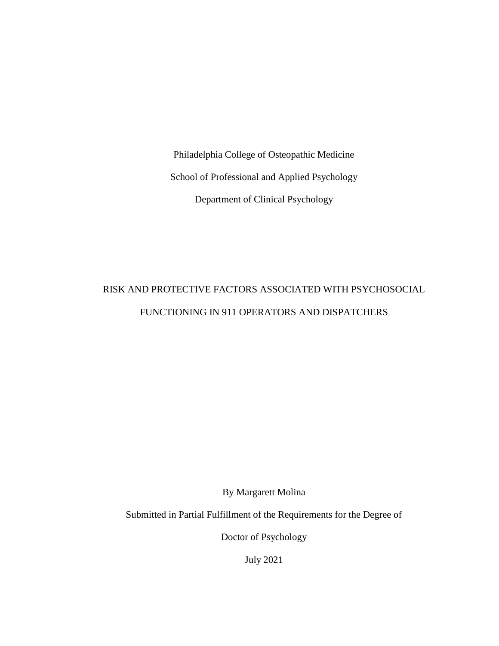Philadelphia College of Osteopathic Medicine School of Professional and Applied Psychology Department of Clinical Psychology

# RISK AND PROTECTIVE FACTORS ASSOCIATED WITH PSYCHOSOCIAL FUNCTIONING IN 911 OPERATORS AND DISPATCHERS

By Margarett Molina

Submitted in Partial Fulfillment of the Requirements for the Degree of

Doctor of Psychology

July 2021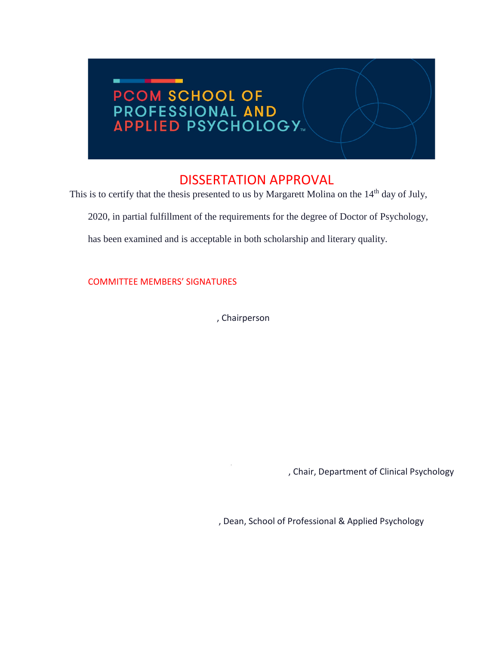# ٠ **PCOM SCHOOL OF<br>PROFESSIONAL AND<br>APPLIED PSYCHOLOGY...**

## DISSERTATION APPROVAL

This is to certify that the thesis presented to us by Margarett Molina on the 14<sup>th</sup> day of July,

2020, in partial fulfillment of the requirements for the degree of Doctor of Psychology,

has been examined and is acceptable in both scholarship and literary quality.

COMMITTEE MEMBERS' SIGNATURES

, Chairperson

, Chair, Department of Clinical Psychology

, Dean, School of Professional & Applied Psychology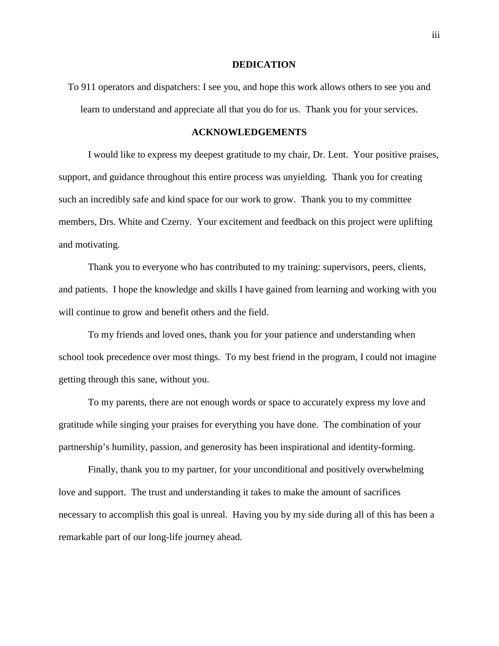#### **DEDICATION**

To 911 operators and dispatchers: I see you, and hope this work allows others to see you and learn to understand and appreciate all that you do for us. Thank you for your services.

#### **ACKNOWLEDGEMENTS**

I would like to express my deepest gratitude to my chair, Dr. Lent. Your positive praises, support, and guidance throughout this entire process was unyielding. Thank you for creating such an incredibly safe and kind space for our work to grow. Thank you to my committee members, Drs. White and Czerny. Your excitement and feedback on this project were uplifting and motivating.

Thank you to everyone who has contributed to my training: supervisors, peers, clients, and patients. I hope the knowledge and skills I have gained from learning and working with you will continue to grow and benefit others and the field.

To my friends and loved ones, thank you for your patience and understanding when school took precedence over most things. To my best friend in the program, I could not imagine getting through this sane, without you.

To my parents, there are not enough words or space to accurately express my love and gratitude while singing your praises for everything you have done. The combination of your partnership's humility, passion, and generosity has been inspirational and identity-forming.

Finally, thank you to my partner, for your unconditional and positively overwhelming love and support. The trust and understanding it takes to make the amount of sacrifices necessary to accomplish this goal is unreal. Having you by my side during all of this has been a remarkable part of our long-life journey ahead.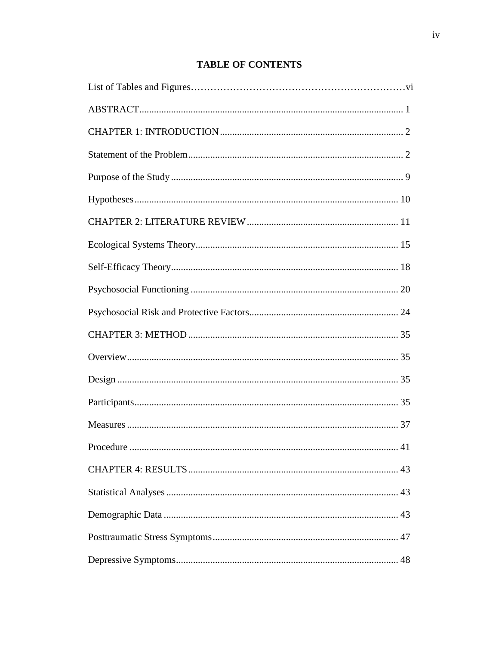## **TABLE OF CONTENTS**

| Procedure.<br>41 |
|------------------|
|                  |
|                  |
|                  |
|                  |
|                  |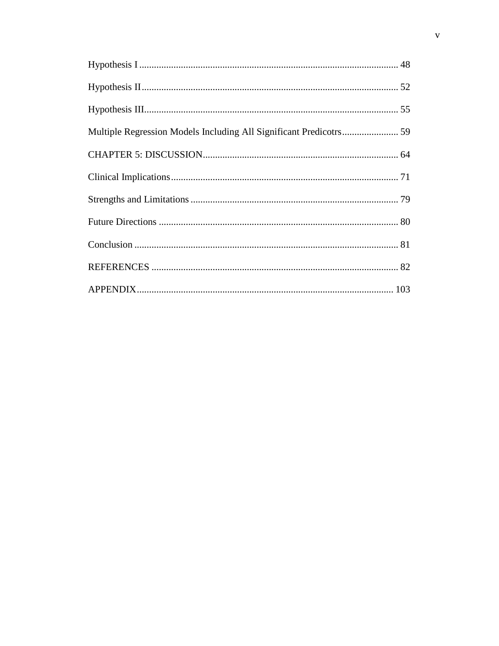| Multiple Regression Models Including All Significant Predicotrs 59 |  |
|--------------------------------------------------------------------|--|
|                                                                    |  |
|                                                                    |  |
|                                                                    |  |
|                                                                    |  |
|                                                                    |  |
|                                                                    |  |
|                                                                    |  |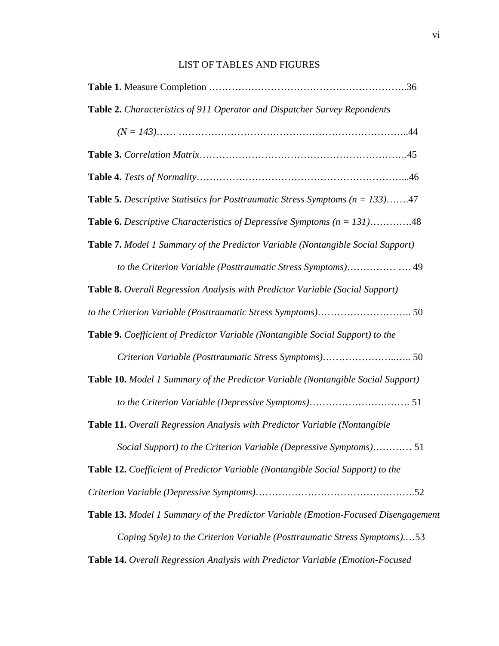### LIST OF TABLES AND FIGURES

| Table 2. Characteristics of 911 Operator and Dispatcher Survey Repondents                |
|------------------------------------------------------------------------------------------|
|                                                                                          |
|                                                                                          |
|                                                                                          |
| <b>Table 5.</b> Descriptive Statistics for Posttraumatic Stress Symptoms ( $n = 133$ )47 |
| <b>Table 6.</b> Descriptive Characteristics of Depressive Symptoms $(n = 131)$ 48        |
| Table 7. Model 1 Summary of the Predictor Variable (Nontangible Social Support)          |
| to the Criterion Variable (Posttraumatic Stress Symptoms) 49                             |
| Table 8. Overall Regression Analysis with Predictor Variable (Social Support)            |
|                                                                                          |
| Table 9. Coefficient of Predictor Variable (Nontangible Social Support) to the           |
|                                                                                          |
| Table 10. Model 1 Summary of the Predictor Variable (Nontangible Social Support)         |
|                                                                                          |
| Table 11. Overall Regression Analysis with Predictor Variable (Nontangible               |
| Social Support) to the Criterion Variable (Depressive Symptoms) 51                       |
| Table 12. Coefficient of Predictor Variable (Nontangible Social Support) to the          |
|                                                                                          |
| Table 13. Model 1 Summary of the Predictor Variable (Emotion-Focused Disengagement       |
| Coping Style) to the Criterion Variable (Posttraumatic Stress Symptoms)53                |
|                                                                                          |

**Table 14.** *Overall Regression Analysis with Predictor Variable (Emotion-Focused*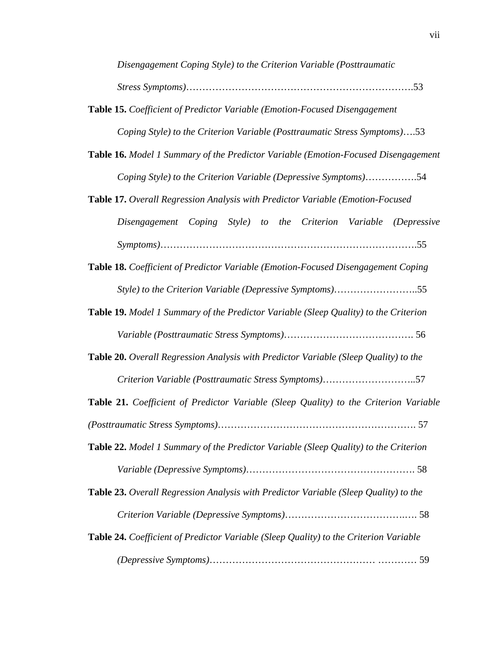*Disengagement Coping Style) to the Criterion Variable (Posttraumatic Stress Symptoms)*…………………………………………………………….53

- **Table 15.** *Coefficient of Predictor Variable (Emotion-Focused Disengagement Coping Style) to the Criterion Variable (Posttraumatic Stress Symptoms)*….53
- **Table 16.** *Model 1 Summary of the Predictor Variable (Emotion-Focused Disengagement Coping Style) to the Criterion Variable (Depressive Symptoms)*…………….54
- **Table 17.** *Overall Regression Analysis with Predictor Variable (Emotion-Focused Disengagement Coping Style) to the Criterion Variable (Depressive Symptoms)*…………………………………………………………………….55
- **Table 18.** *Coefficient of Predictor Variable (Emotion-Focused Disengagement Coping Style) to the Criterion Variable (Depressive Symptoms)*……………………..55
- **Table 19.** *Model 1 Summary of the Predictor Variable (Sleep Quality) to the Criterion Variable (Posttraumatic Stress Symptoms)*…………………………………. 56
- **Table 20.** *Overall Regression Analysis with Predictor Variable (Sleep Quality) to the Criterion Variable (Posttraumatic Stress Symptoms)*………………………..57
- **Table 21.** *Coefficient of Predictor Variable (Sleep Quality) to the Criterion Variable*

*(Posttraumatic Stress Symptoms)*……………………………………………………. 57 **Table 22.** *Model 1 Summary of the Predictor Variable (Sleep Quality) to the Criterion* 

- *Variable (Depressive Symptoms)*……………………………………………. 58
- **Table 23.** *Overall Regression Analysis with Predictor Variable (Sleep Quality) to the Criterion Variable (Depressive Symptoms)*……………………………….…. 58
- **Table 24.** *Coefficient of Predictor Variable (Sleep Quality) to the Criterion Variable (Depressive Symptoms)*…………………………………………… ………… 59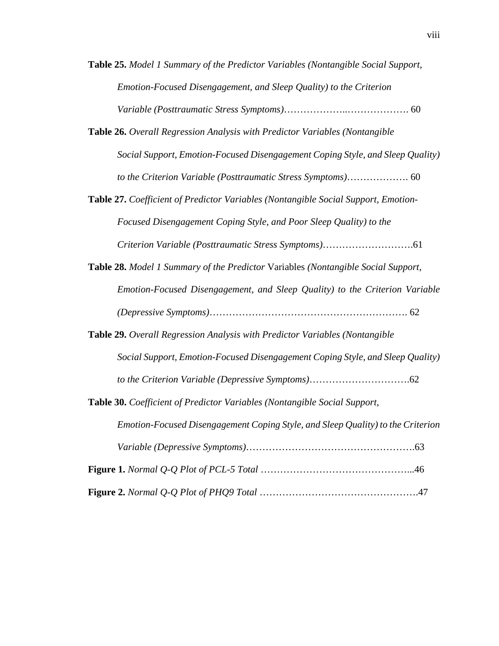- **Table 25.** *Model 1 Summary of the Predictor Variables (Nontangible Social Support, Emotion-Focused Disengagement, and Sleep Quality) to the Criterion Variable (Posttraumatic Stress Symptoms)*………………..………………. 60
- **Table 26.** *Overall Regression Analysis with Predictor Variables (Nontangible Social Support, Emotion-Focused Disengagement Coping Style, and Sleep Quality) to the Criterion Variable (Posttraumatic Stress Symptoms)*………………. 60
- **Table 27.** *Coefficient of Predictor Variables (Nontangible Social Support, Emotion-Focused Disengagement Coping Style, and Poor Sleep Quality) to the Criterion Variable (Posttraumatic Stress Symptoms)*……………………….61
- **Table 28.** *Model 1 Summary of the Predictor* Variables *(Nontangible Social Support, Emotion-Focused Disengagement, and Sleep Quality) to the Criterion Variable (Depressive Symptoms)*……………………………………………………. 62
- **Table 29.** *Overall Regression Analysis with Predictor Variables (Nontangible Social Support, Emotion-Focused Disengagement Coping Style, and Sleep Quality) to the Criterion Variable (Depressive Symptoms)*………………………….62
- **Table 30.** *Coefficient of Predictor Variables (Nontangible Social Support, Emotion-Focused Disengagement Coping Style, and Sleep Quality) to the Criterion Variable (Depressive Symptoms)*…………………………………………….63 **Figure 1.** *Normal Q-Q Plot of PCL-5 Total* ………………………………………...46 **Figure 2.** *Normal Q-Q Plot of PHQ9 Total* ………………………………………….47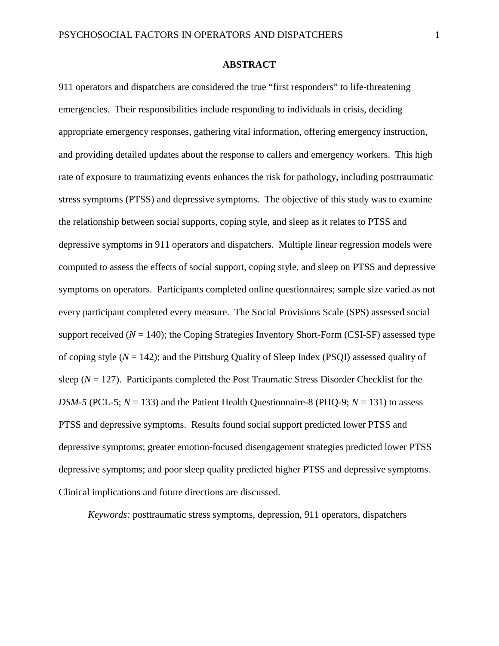#### **ABSTRACT**

911 operators and dispatchers are considered the true "first responders" to life-threatening emergencies. Their responsibilities include responding to individuals in crisis, deciding appropriate emergency responses, gathering vital information, offering emergency instruction, and providing detailed updates about the response to callers and emergency workers. This high rate of exposure to traumatizing events enhances the risk for pathology, including posttraumatic stress symptoms (PTSS) and depressive symptoms. The objective of this study was to examine the relationship between social supports, coping style, and sleep as it relates to PTSS and depressive symptoms in 911 operators and dispatchers. Multiple linear regression models were computed to assess the effects of social support, coping style, and sleep on PTSS and depressive symptoms on operators. Participants completed online questionnaires; sample size varied as not every participant completed every measure. The Social Provisions Scale (SPS) assessed social support received  $(N = 140)$ ; the Coping Strategies Inventory Short-Form (CSI-SF) assessed type of coping style (*N* = 142); and the Pittsburg Quality of Sleep Index (PSQI) assessed quality of sleep  $(N = 127)$ . Participants completed the Post Traumatic Stress Disorder Checklist for the *DSM-5* (PCL-5;  $N = 133$ ) and the Patient Health Questionnaire-8 (PHQ-9;  $N = 131$ ) to assess PTSS and depressive symptoms. Results found social support predicted lower PTSS and depressive symptoms; greater emotion-focused disengagement strategies predicted lower PTSS depressive symptoms; and poor sleep quality predicted higher PTSS and depressive symptoms. Clinical implications and future directions are discussed.

*Keywords:* posttraumatic stress symptoms, depression, 911 operators, dispatchers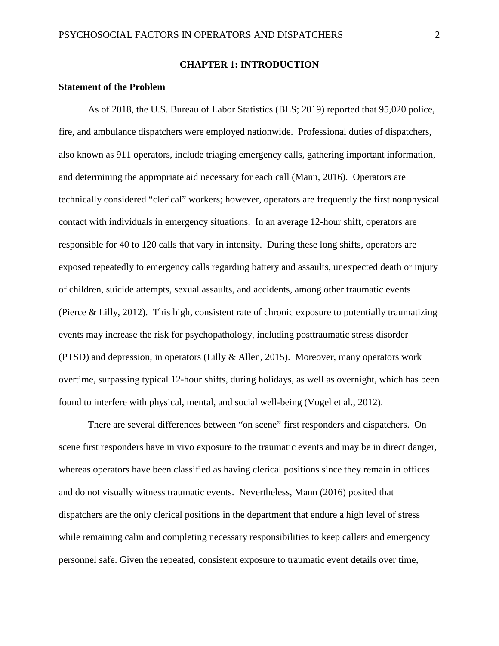#### **CHAPTER 1: INTRODUCTION**

#### **Statement of the Problem**

As of 2018, the U.S. Bureau of Labor Statistics (BLS; 2019) reported that 95,020 police, fire, and ambulance dispatchers were employed nationwide. Professional duties of dispatchers, also known as 911 operators, include triaging emergency calls, gathering important information, and determining the appropriate aid necessary for each call (Mann, 2016). Operators are technically considered "clerical" workers; however, operators are frequently the first nonphysical contact with individuals in emergency situations. In an average 12-hour shift, operators are responsible for 40 to 120 calls that vary in intensity. During these long shifts, operators are exposed repeatedly to emergency calls regarding battery and assaults, unexpected death or injury of children, suicide attempts, sexual assaults, and accidents, among other traumatic events (Pierce & Lilly, 2012). This high, consistent rate of chronic exposure to potentially traumatizing events may increase the risk for psychopathology, including posttraumatic stress disorder (PTSD) and depression, in operators (Lilly & Allen, 2015). Moreover, many operators work overtime, surpassing typical 12-hour shifts, during holidays, as well as overnight, which has been found to interfere with physical, mental, and social well-being (Vogel et al., 2012).

There are several differences between "on scene" first responders and dispatchers. On scene first responders have in vivo exposure to the traumatic events and may be in direct danger, whereas operators have been classified as having clerical positions since they remain in offices and do not visually witness traumatic events. Nevertheless, Mann (2016) posited that dispatchers are the only clerical positions in the department that endure a high level of stress while remaining calm and completing necessary responsibilities to keep callers and emergency personnel safe. Given the repeated, consistent exposure to traumatic event details over time,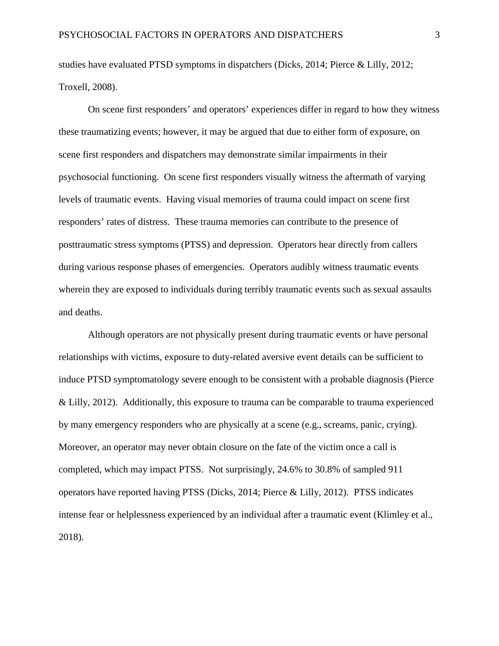studies have evaluated PTSD symptoms in dispatchers (Dicks, 2014; Pierce & Lilly, 2012; Troxell, 2008).

On scene first responders' and operators' experiences differ in regard to how they witness these traumatizing events; however, it may be argued that due to either form of exposure, on scene first responders and dispatchers may demonstrate similar impairments in their psychosocial functioning. On scene first responders visually witness the aftermath of varying levels of traumatic events. Having visual memories of trauma could impact on scene first responders' rates of distress. These trauma memories can contribute to the presence of posttraumatic stress symptoms (PTSS) and depression. Operators hear directly from callers during various response phases of emergencies. Operators audibly witness traumatic events wherein they are exposed to individuals during terribly traumatic events such as sexual assaults and deaths.

Although operators are not physically present during traumatic events or have personal relationships with victims, exposure to duty-related aversive event details can be sufficient to induce PTSD symptomatology severe enough to be consistent with a probable diagnosis (Pierce & Lilly, 2012). Additionally, this exposure to trauma can be comparable to trauma experienced by many emergency responders who are physically at a scene (e.g., screams, panic, crying). Moreover, an operator may never obtain closure on the fate of the victim once a call is completed, which may impact PTSS. Not surprisingly, 24.6% to 30.8% of sampled 911 operators have reported having PTSS (Dicks, 2014; Pierce & Lilly, 2012). PTSS indicates intense fear or helplessness experienced by an individual after a traumatic event (Klimley et al., 2018).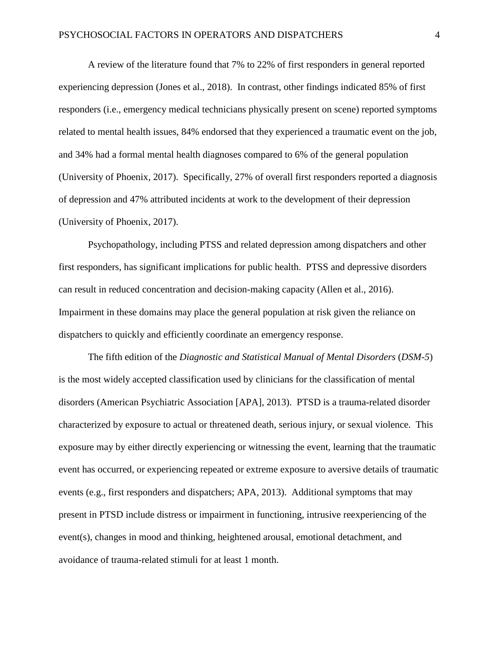A review of the literature found that 7% to 22% of first responders in general reported experiencing depression (Jones et al., 2018). In contrast, other findings indicated 85% of first responders (i.e., emergency medical technicians physically present on scene) reported symptoms related to mental health issues, 84% endorsed that they experienced a traumatic event on the job, and 34% had a formal mental health diagnoses compared to 6% of the general population (University of Phoenix, 2017). Specifically, 27% of overall first responders reported a diagnosis of depression and 47% attributed incidents at work to the development of their depression (University of Phoenix, 2017).

Psychopathology, including PTSS and related depression among dispatchers and other first responders, has significant implications for public health. PTSS and depressive disorders can result in reduced concentration and decision-making capacity (Allen et al., 2016). Impairment in these domains may place the general population at risk given the reliance on dispatchers to quickly and efficiently coordinate an emergency response.

The fifth edition of the *Diagnostic and Statistical Manual of Mental Disorders* (*DSM-5*) is the most widely accepted classification used by clinicians for the classification of mental disorders (American Psychiatric Association [APA], 2013). PTSD is a trauma-related disorder characterized by exposure to actual or threatened death, serious injury, or sexual violence. This exposure may by either directly experiencing or witnessing the event, learning that the traumatic event has occurred, or experiencing repeated or extreme exposure to aversive details of traumatic events (e.g., first responders and dispatchers; APA, 2013). Additional symptoms that may present in PTSD include distress or impairment in functioning, intrusive reexperiencing of the event(s), changes in mood and thinking, heightened arousal, emotional detachment, and avoidance of trauma-related stimuli for at least 1 month.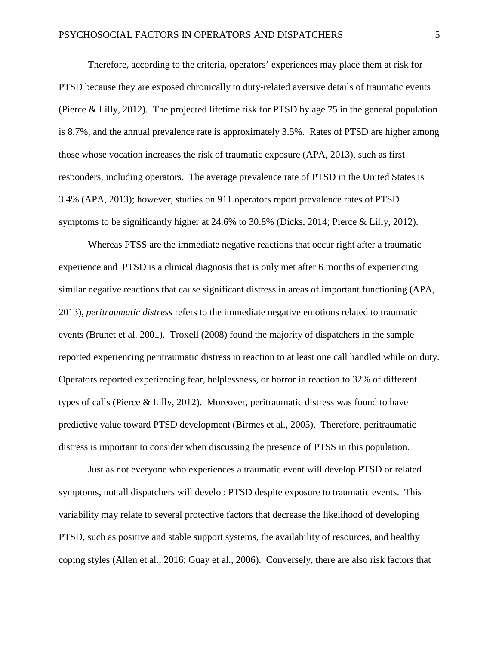Therefore, according to the criteria, operators' experiences may place them at risk for PTSD because they are exposed chronically to duty-related aversive details of traumatic events (Pierce & Lilly, 2012). The projected lifetime risk for PTSD by age 75 in the general population is 8.7%, and the annual prevalence rate is approximately 3.5%. Rates of PTSD are higher among those whose vocation increases the risk of traumatic exposure (APA, 2013), such as first responders, including operators. The average prevalence rate of PTSD in the United States is 3.4% (APA, 2013); however, studies on 911 operators report prevalence rates of PTSD symptoms to be significantly higher at 24.6% to 30.8% (Dicks, 2014; Pierce & Lilly, 2012).

Whereas PTSS are the immediate negative reactions that occur right after a traumatic experience and PTSD is a clinical diagnosis that is only met after 6 months of experiencing similar negative reactions that cause significant distress in areas of important functioning (APA, 2013), *peritraumatic distress* refers to the immediate negative emotions related to traumatic events (Brunet et al. 2001). Troxell (2008) found the majority of dispatchers in the sample reported experiencing peritraumatic distress in reaction to at least one call handled while on duty. Operators reported experiencing fear, helplessness, or horror in reaction to 32% of different types of calls (Pierce & Lilly, 2012). Moreover, peritraumatic distress was found to have predictive value toward PTSD development (Birmes et al., 2005). Therefore, peritraumatic distress is important to consider when discussing the presence of PTSS in this population.

Just as not everyone who experiences a traumatic event will develop PTSD or related symptoms, not all dispatchers will develop PTSD despite exposure to traumatic events. This variability may relate to several protective factors that decrease the likelihood of developing PTSD, such as positive and stable support systems, the availability of resources, and healthy coping styles (Allen et al., 2016; Guay et al., 2006). Conversely, there are also risk factors that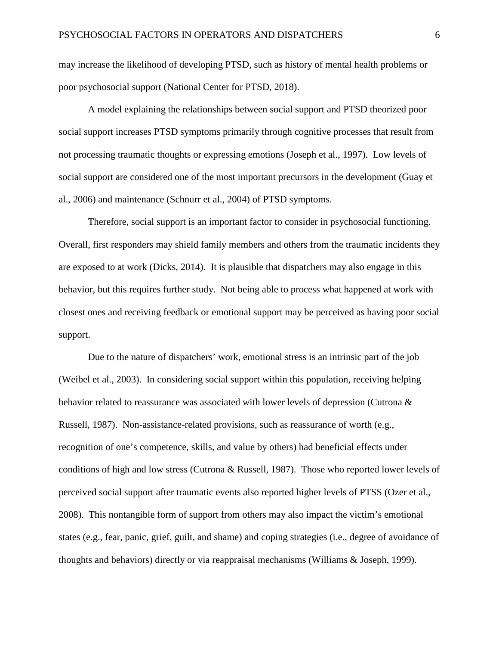may increase the likelihood of developing PTSD, such as history of mental health problems or poor psychosocial support (National Center for PTSD, 2018).

A model explaining the relationships between social support and PTSD theorized poor social support increases PTSD symptoms primarily through cognitive processes that result from not processing traumatic thoughts or expressing emotions (Joseph et al., 1997). Low levels of social support are considered one of the most important precursors in the development (Guay et al., 2006) and maintenance (Schnurr et al., 2004) of PTSD symptoms.

Therefore, social support is an important factor to consider in psychosocial functioning. Overall, first responders may shield family members and others from the traumatic incidents they are exposed to at work (Dicks, 2014). It is plausible that dispatchers may also engage in this behavior, but this requires further study. Not being able to process what happened at work with closest ones and receiving feedback or emotional support may be perceived as having poor social support.

Due to the nature of dispatchers' work, emotional stress is an intrinsic part of the job (Weibel et al., 2003). In considering social support within this population, receiving helping behavior related to reassurance was associated with lower levels of depression (Cutrona & Russell, 1987). Non-assistance-related provisions, such as reassurance of worth (e.g., recognition of one's competence, skills, and value by others) had beneficial effects under conditions of high and low stress (Cutrona & Russell, 1987). Those who reported lower levels of perceived social support after traumatic events also reported higher levels of PTSS (Ozer et al., 2008). This nontangible form of support from others may also impact the victim's emotional states (e.g., fear, panic, grief, guilt, and shame) and coping strategies (i.e., degree of avoidance of thoughts and behaviors) directly or via reappraisal mechanisms (Williams & Joseph, 1999).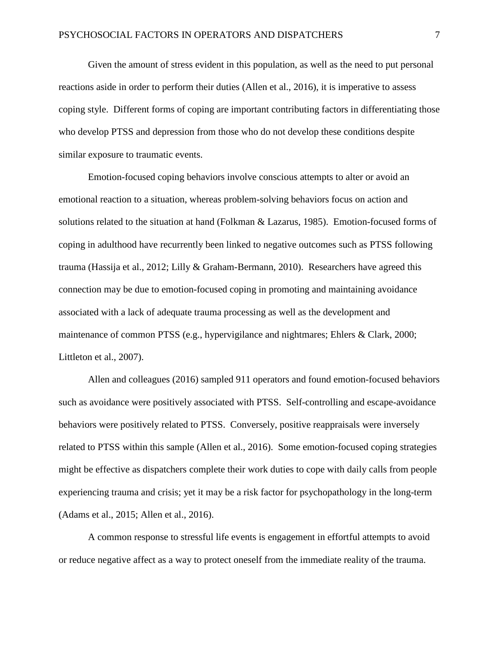Given the amount of stress evident in this population, as well as the need to put personal reactions aside in order to perform their duties (Allen et al., 2016), it is imperative to assess coping style. Different forms of coping are important contributing factors in differentiating those who develop PTSS and depression from those who do not develop these conditions despite similar exposure to traumatic events.

Emotion-focused coping behaviors involve conscious attempts to alter or avoid an emotional reaction to a situation, whereas problem-solving behaviors focus on action and solutions related to the situation at hand (Folkman & Lazarus, 1985). Emotion-focused forms of coping in adulthood have recurrently been linked to negative outcomes such as PTSS following trauma (Hassija et al., 2012; Lilly & Graham-Bermann, 2010). Researchers have agreed this connection may be due to emotion-focused coping in promoting and maintaining avoidance associated with a lack of adequate trauma processing as well as the development and maintenance of common PTSS (e.g., hypervigilance and nightmares; Ehlers & Clark, 2000; Littleton et al., 2007).

Allen and colleagues (2016) sampled 911 operators and found emotion-focused behaviors such as avoidance were positively associated with PTSS. Self-controlling and escape-avoidance behaviors were positively related to PTSS. Conversely, positive reappraisals were inversely related to PTSS within this sample (Allen et al., 2016). Some emotion-focused coping strategies might be effective as dispatchers complete their work duties to cope with daily calls from people experiencing trauma and crisis; yet it may be a risk factor for psychopathology in the long-term (Adams et al., 2015; Allen et al., 2016).

A common response to stressful life events is engagement in effortful attempts to avoid or reduce negative affect as a way to protect oneself from the immediate reality of the trauma.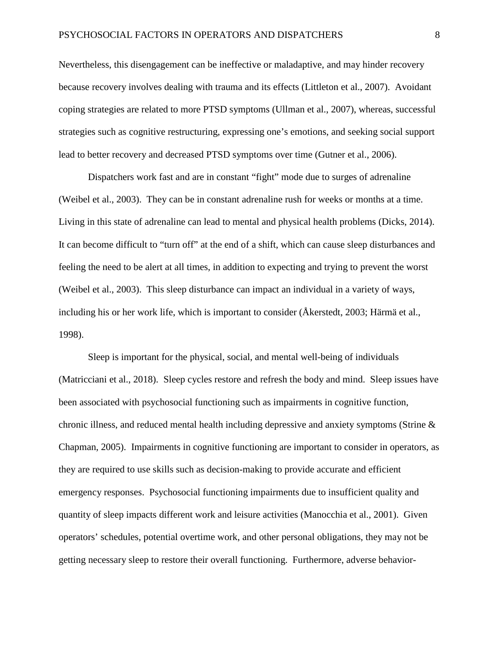Nevertheless, this disengagement can be ineffective or maladaptive, and may hinder recovery because recovery involves dealing with trauma and its effects (Littleton et al., 2007). Avoidant coping strategies are related to more PTSD symptoms (Ullman et al., 2007), whereas, successful strategies such as cognitive restructuring, expressing one's emotions, and seeking social support lead to better recovery and decreased PTSD symptoms over time (Gutner et al., 2006).

Dispatchers work fast and are in constant "fight" mode due to surges of adrenaline (Weibel et al., 2003). They can be in constant adrenaline rush for weeks or months at a time. Living in this state of adrenaline can lead to mental and physical health problems (Dicks, 2014). It can become difficult to "turn off" at the end of a shift, which can cause sleep disturbances and feeling the need to be alert at all times, in addition to expecting and trying to prevent the worst (Weibel et al., 2003). This sleep disturbance can impact an individual in a variety of ways, including his or her work life, which is important to consider (Åkerstedt, 2003; Härmä et al., 1998).

Sleep is important for the physical, social, and mental well-being of individuals (Matricciani et al., 2018). Sleep cycles restore and refresh the body and mind. Sleep issues have been associated with psychosocial functioning such as impairments in cognitive function, chronic illness, and reduced mental health including depressive and anxiety symptoms (Strine & Chapman, 2005). Impairments in cognitive functioning are important to consider in operators, as they are required to use skills such as decision-making to provide accurate and efficient emergency responses. Psychosocial functioning impairments due to insufficient quality and quantity of sleep impacts different work and leisure activities (Manocchia et al., 2001). Given operators' schedules, potential overtime work, and other personal obligations, they may not be getting necessary sleep to restore their overall functioning. Furthermore, adverse behavior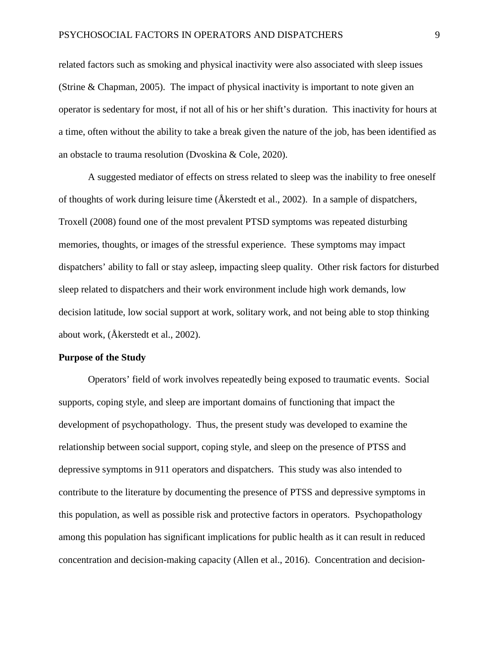related factors such as smoking and physical inactivity were also associated with sleep issues (Strine & Chapman, 2005). The impact of physical inactivity is important to note given an operator is sedentary for most, if not all of his or her shift's duration. This inactivity for hours at a time, often without the ability to take a break given the nature of the job, has been identified as an obstacle to trauma resolution (Dvoskina & Cole, 2020).

A suggested mediator of effects on stress related to sleep was the inability to free oneself of thoughts of work during leisure time ( $\AA$ kerstedt et al., 2002). In a sample of dispatchers, Troxell (2008) found one of the most prevalent PTSD symptoms was repeated disturbing memories, thoughts, or images of the stressful experience. These symptoms may impact dispatchers' ability to fall or stay asleep, impacting sleep quality. Other risk factors for disturbed sleep related to dispatchers and their work environment include high work demands, low decision latitude, low social support at work, solitary work, and not being able to stop thinking about work, (Åkerstedt et al., 2002).

#### **Purpose of the Study**

Operators' field of work involves repeatedly being exposed to traumatic events. Social supports, coping style, and sleep are important domains of functioning that impact the development of psychopathology. Thus, the present study was developed to examine the relationship between social support, coping style, and sleep on the presence of PTSS and depressive symptoms in 911 operators and dispatchers. This study was also intended to contribute to the literature by documenting the presence of PTSS and depressive symptoms in this population, as well as possible risk and protective factors in operators. Psychopathology among this population has significant implications for public health as it can result in reduced concentration and decision-making capacity (Allen et al., 2016). Concentration and decision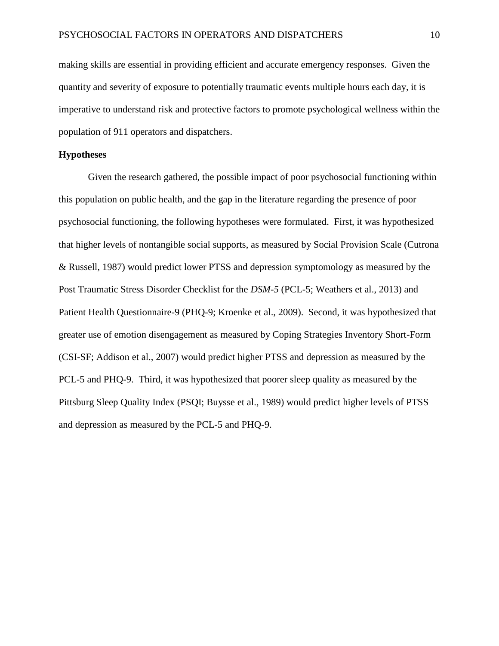making skills are essential in providing efficient and accurate emergency responses. Given the quantity and severity of exposure to potentially traumatic events multiple hours each day, it is imperative to understand risk and protective factors to promote psychological wellness within the population of 911 operators and dispatchers.

#### **Hypotheses**

Given the research gathered, the possible impact of poor psychosocial functioning within this population on public health, and the gap in the literature regarding the presence of poor psychosocial functioning, the following hypotheses were formulated. First, it was hypothesized that higher levels of nontangible social supports, as measured by Social Provision Scale (Cutrona & Russell, 1987) would predict lower PTSS and depression symptomology as measured by the Post Traumatic Stress Disorder Checklist for the *DSM-5* (PCL-5; Weathers et al., 2013) and Patient Health Questionnaire-9 (PHQ-9; Kroenke et al., 2009). Second, it was hypothesized that greater use of emotion disengagement as measured by Coping Strategies Inventory Short-Form (CSI-SF; Addison et al., 2007) would predict higher PTSS and depression as measured by the PCL-5 and PHQ-9. Third, it was hypothesized that poorer sleep quality as measured by the Pittsburg Sleep Quality Index (PSQI; Buysse et al., 1989) would predict higher levels of PTSS and depression as measured by the PCL-5 and PHQ-9.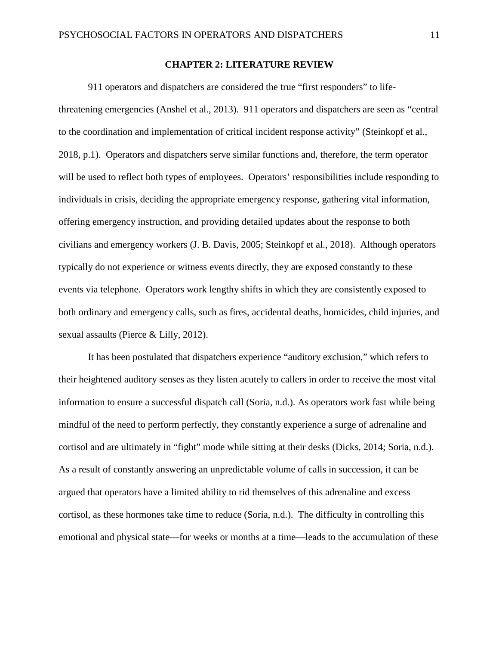#### **CHAPTER 2: LITERATURE REVIEW**

911 operators and dispatchers are considered the true "first responders" to lifethreatening emergencies (Anshel et al., 2013). 911 operators and dispatchers are seen as "central to the coordination and implementation of critical incident response activity" (Steinkopf et al., 2018, p.1). Operators and dispatchers serve similar functions and, therefore, the term operator will be used to reflect both types of employees. Operators' responsibilities include responding to individuals in crisis, deciding the appropriate emergency response, gathering vital information, offering emergency instruction, and providing detailed updates about the response to both civilians and emergency workers (J. B. Davis, 2005; Steinkopf et al., 2018). Although operators typically do not experience or witness events directly, they are exposed constantly to these events via telephone. Operators work lengthy shifts in which they are consistently exposed to both ordinary and emergency calls, such as fires, accidental deaths, homicides, child injuries, and sexual assaults (Pierce & Lilly, 2012).

It has been postulated that dispatchers experience "auditory exclusion," which refers to their heightened auditory senses as they listen acutely to callers in order to receive the most vital information to ensure a successful dispatch call (Soria, n.d.). As operators work fast while being mindful of the need to perform perfectly, they constantly experience a surge of adrenaline and cortisol and are ultimately in "fight" mode while sitting at their desks (Dicks, 2014; Soria, n.d.). As a result of constantly answering an unpredictable volume of calls in succession, it can be argued that operators have a limited ability to rid themselves of this adrenaline and excess cortisol, as these hormones take time to reduce (Soria, n.d.). The difficulty in controlling this emotional and physical state—for weeks or months at a time—leads to the accumulation of these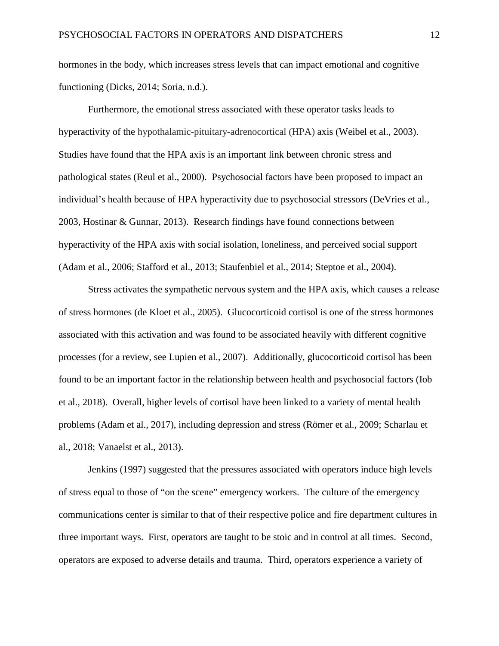hormones in the body, which increases stress levels that can impact emotional and cognitive functioning (Dicks, 2014; Soria, n.d.).

Furthermore, the emotional stress associated with these operator tasks leads to hyperactivity of the hypothalamic-pituitary-adrenocortical (HPA) axis (Weibel et al., 2003). Studies have found that the HPA axis is an important link between chronic stress and pathological states (Reul et al., 2000). Psychosocial factors have been proposed to impact an individual's health because of HPA hyperactivity due to psychosocial stressors (DeVries et al., 2003, Hostinar & Gunnar, 2013). Research findings have found connections between hyperactivity of the HPA axis with social isolation, loneliness, and perceived social support (Adam et al., 2006; Stafford et al., 2013; Staufenbiel et al., 2014; Steptoe et al., 2004).

Stress activates the sympathetic nervous system and the HPA axis, which causes a release of stress hormones (de Kloet et al., 2005). Glucocorticoid cortisol is one of the stress hormones associated with this activation and was found to be associated heavily with different cognitive processes (for a review, see Lupien et al., 2007). Additionally, glucocorticoid cortisol has been found to be an important factor in the relationship between health and psychosocial factors (Iob et al., 2018). Overall, higher levels of cortisol have been linked to a variety of mental health problems (Adam et al., 2017), including depression and stress (Römer et al., 2009; Scharlau et al., 2018; Vanaelst et al., 2013).

Jenkins (1997) suggested that the pressures associated with operators induce high levels of stress equal to those of "on the scene" emergency workers. The culture of the emergency communications center is similar to that of their respective police and fire department cultures in three important ways. First, operators are taught to be stoic and in control at all times. Second, operators are exposed to adverse details and trauma. Third, operators experience a variety of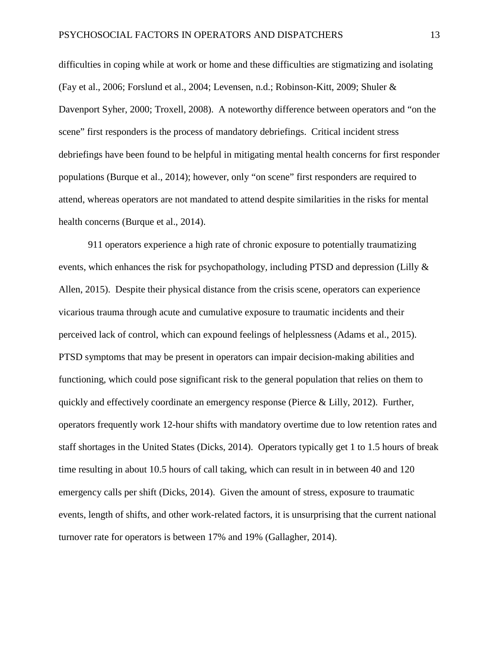difficulties in coping while at work or home and these difficulties are stigmatizing and isolating (Fay et al., 2006; Forslund et al., 2004; Levensen, n.d.; Robinson-Kitt, 2009; Shuler & Davenport Syher, 2000; Troxell, 2008). A noteworthy difference between operators and "on the scene" first responders is the process of mandatory debriefings. Critical incident stress debriefings have been found to be helpful in mitigating mental health concerns for first responder populations (Burque et al., 2014); however, only "on scene" first responders are required to attend, whereas operators are not mandated to attend despite similarities in the risks for mental health concerns (Burque et al., 2014).

911 operators experience a high rate of chronic exposure to potentially traumatizing events, which enhances the risk for psychopathology, including PTSD and depression (Lilly & Allen, 2015). Despite their physical distance from the crisis scene, operators can experience vicarious trauma through acute and cumulative exposure to traumatic incidents and their perceived lack of control, which can expound feelings of helplessness (Adams et al., 2015). PTSD symptoms that may be present in operators can impair decision-making abilities and functioning, which could pose significant risk to the general population that relies on them to quickly and effectively coordinate an emergency response (Pierce & Lilly, 2012). Further, operators frequently work 12-hour shifts with mandatory overtime due to low retention rates and staff shortages in the United States (Dicks, 2014). Operators typically get 1 to 1.5 hours of break time resulting in about 10.5 hours of call taking, which can result in in between 40 and 120 emergency calls per shift (Dicks, 2014). Given the amount of stress, exposure to traumatic events, length of shifts, and other work-related factors, it is unsurprising that the current national turnover rate for operators is between 17% and 19% (Gallagher, 2014).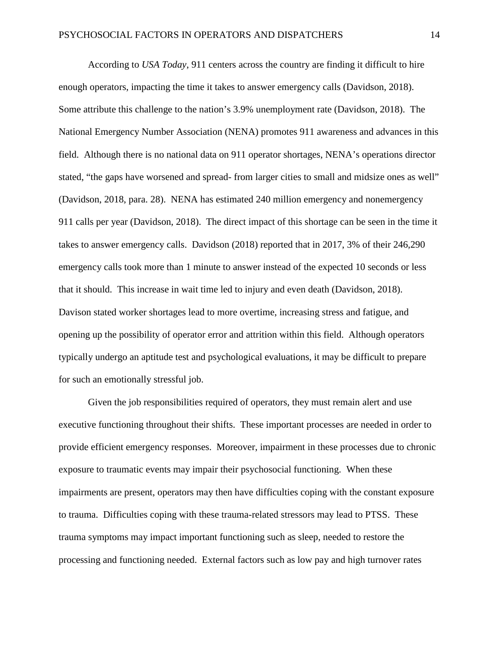According to *USA Today*, 911 centers across the country are finding it difficult to hire enough operators, impacting the time it takes to answer emergency calls (Davidson, 2018). Some attribute this challenge to the nation's 3.9% unemployment rate (Davidson, 2018). The National Emergency Number Association (NENA) promotes 911 awareness and advances in this field. Although there is no national data on 911 operator shortages, NENA's operations director stated, "the gaps have worsened and spread- from larger cities to small and midsize ones as well" (Davidson, 2018, para. 28). NENA has estimated 240 million emergency and nonemergency 911 calls per year (Davidson, 2018). The direct impact of this shortage can be seen in the time it takes to answer emergency calls. Davidson (2018) reported that in 2017, 3% of their 246,290 emergency calls took more than 1 minute to answer instead of the expected 10 seconds or less that it should. This increase in wait time led to injury and even death (Davidson, 2018). Davison stated worker shortages lead to more overtime, increasing stress and fatigue, and opening up the possibility of operator error and attrition within this field. Although operators typically undergo an aptitude test and psychological evaluations, it may be difficult to prepare for such an emotionally stressful job.

Given the job responsibilities required of operators, they must remain alert and use executive functioning throughout their shifts. These important processes are needed in order to provide efficient emergency responses. Moreover, impairment in these processes due to chronic exposure to traumatic events may impair their psychosocial functioning. When these impairments are present, operators may then have difficulties coping with the constant exposure to trauma. Difficulties coping with these trauma-related stressors may lead to PTSS. These trauma symptoms may impact important functioning such as sleep, needed to restore the processing and functioning needed. External factors such as low pay and high turnover rates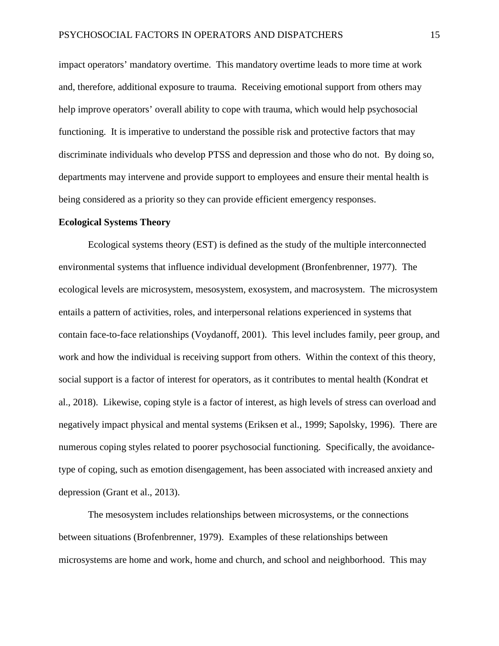impact operators' mandatory overtime. This mandatory overtime leads to more time at work and, therefore, additional exposure to trauma. Receiving emotional support from others may help improve operators' overall ability to cope with trauma, which would help psychosocial functioning. It is imperative to understand the possible risk and protective factors that may discriminate individuals who develop PTSS and depression and those who do not. By doing so, departments may intervene and provide support to employees and ensure their mental health is being considered as a priority so they can provide efficient emergency responses.

#### **Ecological Systems Theory**

Ecological systems theory (EST) is defined as the study of the multiple interconnected environmental systems that influence individual development (Bronfenbrenner, 1977). The ecological levels are microsystem, mesosystem, exosystem, and macrosystem. The microsystem entails a pattern of activities, roles, and interpersonal relations experienced in systems that contain face-to-face relationships (Voydanoff, 2001). This level includes family, peer group, and work and how the individual is receiving support from others. Within the context of this theory, social support is a factor of interest for operators, as it contributes to mental health (Kondrat et al., 2018). Likewise, coping style is a factor of interest, as high levels of stress can overload and negatively impact physical and mental systems (Eriksen et al., 1999; Sapolsky, 1996). There are numerous coping styles related to poorer psychosocial functioning. Specifically, the avoidancetype of coping, such as emotion disengagement, has been associated with increased anxiety and depression (Grant et al., 2013).

The mesosystem includes relationships between microsystems, or the connections between situations (Brofenbrenner, 1979). Examples of these relationships between microsystems are home and work, home and church, and school and neighborhood. This may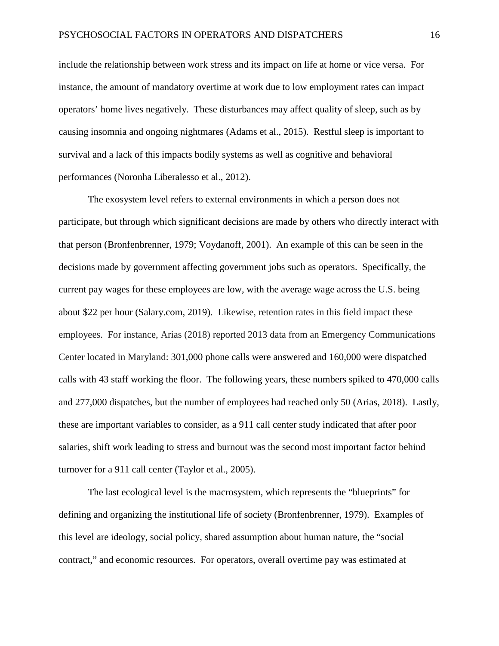include the relationship between work stress and its impact on life at home or vice versa. For instance, the amount of mandatory overtime at work due to low employment rates can impact operators' home lives negatively. These disturbances may affect quality of sleep, such as by causing insomnia and ongoing nightmares (Adams et al., 2015). Restful sleep is important to survival and a lack of this impacts bodily systems as well as cognitive and behavioral performances (Noronha Liberalesso et al., 2012).

The exosystem level refers to external environments in which a person does not participate, but through which significant decisions are made by others who directly interact with that person (Bronfenbrenner, 1979; Voydanoff, 2001). An example of this can be seen in the decisions made by government affecting government jobs such as operators. Specifically, the current pay wages for these employees are low, with the average wage across the U.S. being about \$22 per hour (Salary.com, 2019). Likewise, retention rates in this field impact these employees. For instance, Arias (2018) reported 2013 data from an Emergency Communications Center located in Maryland: 301,000 phone calls were answered and 160,000 were dispatched calls with 43 staff working the floor. The following years, these numbers spiked to 470,000 calls and 277,000 dispatches, but the number of employees had reached only 50 (Arias, 2018). Lastly, these are important variables to consider, as a 911 call center study indicated that after poor salaries, shift work leading to stress and burnout was the second most important factor behind turnover for a 911 call center (Taylor et al., 2005).

The last ecological level is the macrosystem, which represents the "blueprints" for defining and organizing the institutional life of society (Bronfenbrenner, 1979). Examples of this level are ideology, social policy, shared assumption about human nature, the "social contract," and economic resources. For operators, overall overtime pay was estimated at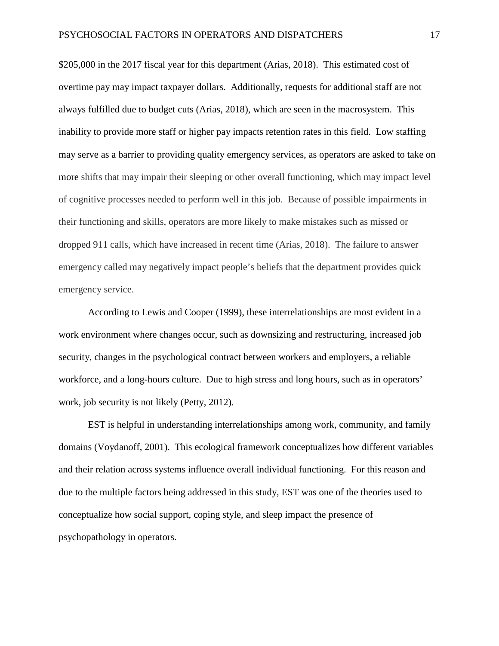\$205,000 in the 2017 fiscal year for this department (Arias, 2018). This estimated cost of overtime pay may impact taxpayer dollars. Additionally, requests for additional staff are not always fulfilled due to budget cuts (Arias, 2018), which are seen in the macrosystem. This inability to provide more staff or higher pay impacts retention rates in this field. Low staffing may serve as a barrier to providing quality emergency services, as operators are asked to take on more shifts that may impair their sleeping or other overall functioning, which may impact level of cognitive processes needed to perform well in this job. Because of possible impairments in their functioning and skills, operators are more likely to make mistakes such as missed or dropped 911 calls, which have increased in recent time (Arias, 2018). The failure to answer emergency called may negatively impact people's beliefs that the department provides quick emergency service.

According to Lewis and Cooper (1999), these interrelationships are most evident in a work environment where changes occur, such as downsizing and restructuring, increased job security, changes in the psychological contract between workers and employers, a reliable workforce, and a long-hours culture. Due to high stress and long hours, such as in operators' work, job security is not likely (Petty, 2012).

EST is helpful in understanding interrelationships among work, community, and family domains (Voydanoff, 2001). This ecological framework conceptualizes how different variables and their relation across systems influence overall individual functioning. For this reason and due to the multiple factors being addressed in this study, EST was one of the theories used to conceptualize how social support, coping style, and sleep impact the presence of psychopathology in operators.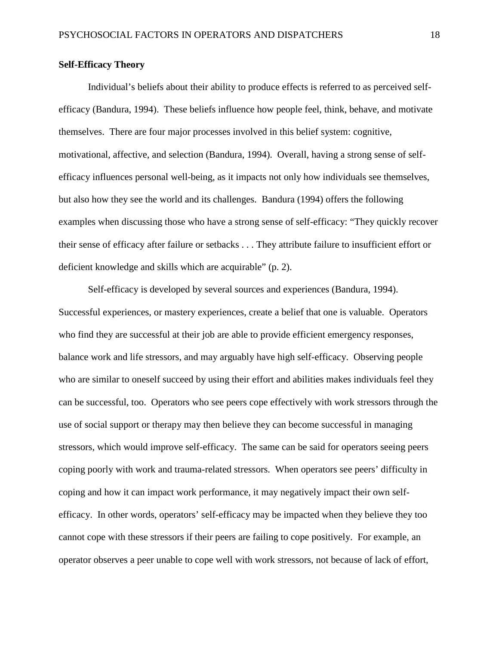#### **Self-Efficacy Theory**

Individual's beliefs about their ability to produce effects is referred to as perceived selfefficacy (Bandura, 1994). These beliefs influence how people feel, think, behave, and motivate themselves. There are four major processes involved in this belief system: cognitive, motivational, affective, and selection (Bandura, 1994). Overall, having a strong sense of selfefficacy influences personal well-being, as it impacts not only how individuals see themselves, but also how they see the world and its challenges. Bandura (1994) offers the following examples when discussing those who have a strong sense of self-efficacy: "They quickly recover their sense of efficacy after failure or setbacks . . . They attribute failure to insufficient effort or deficient knowledge and skills which are acquirable" (p. 2).

Self-efficacy is developed by several sources and experiences (Bandura, 1994). Successful experiences, or mastery experiences, create a belief that one is valuable. Operators who find they are successful at their job are able to provide efficient emergency responses, balance work and life stressors, and may arguably have high self-efficacy. Observing people who are similar to oneself succeed by using their effort and abilities makes individuals feel they can be successful, too. Operators who see peers cope effectively with work stressors through the use of social support or therapy may then believe they can become successful in managing stressors, which would improve self-efficacy. The same can be said for operators seeing peers coping poorly with work and trauma-related stressors. When operators see peers' difficulty in coping and how it can impact work performance, it may negatively impact their own selfefficacy. In other words, operators' self-efficacy may be impacted when they believe they too cannot cope with these stressors if their peers are failing to cope positively. For example, an operator observes a peer unable to cope well with work stressors, not because of lack of effort,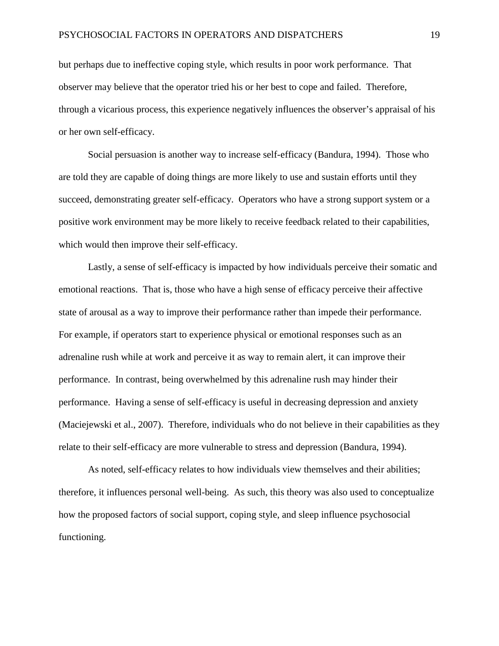but perhaps due to ineffective coping style, which results in poor work performance. That observer may believe that the operator tried his or her best to cope and failed. Therefore, through a vicarious process, this experience negatively influences the observer's appraisal of his or her own self-efficacy.

Social persuasion is another way to increase self-efficacy (Bandura, 1994). Those who are told they are capable of doing things are more likely to use and sustain efforts until they succeed, demonstrating greater self-efficacy. Operators who have a strong support system or a positive work environment may be more likely to receive feedback related to their capabilities, which would then improve their self-efficacy.

Lastly, a sense of self-efficacy is impacted by how individuals perceive their somatic and emotional reactions. That is, those who have a high sense of efficacy perceive their affective state of arousal as a way to improve their performance rather than impede their performance. For example, if operators start to experience physical or emotional responses such as an adrenaline rush while at work and perceive it as way to remain alert, it can improve their performance. In contrast, being overwhelmed by this adrenaline rush may hinder their performance. Having a sense of self-efficacy is useful in decreasing depression and anxiety (Maciejewski et al., 2007). Therefore, individuals who do not believe in their capabilities as they relate to their self-efficacy are more vulnerable to stress and depression (Bandura, 1994).

As noted, self-efficacy relates to how individuals view themselves and their abilities; therefore, it influences personal well-being. As such, this theory was also used to conceptualize how the proposed factors of social support, coping style, and sleep influence psychosocial functioning.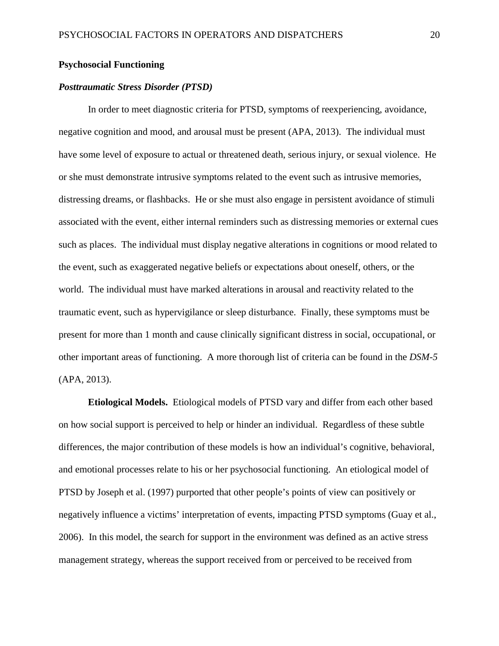#### **Psychosocial Functioning**

#### *Posttraumatic Stress Disorder (PTSD)*

In order to meet diagnostic criteria for PTSD, symptoms of reexperiencing, avoidance, negative cognition and mood, and arousal must be present (APA, 2013). The individual must have some level of exposure to actual or threatened death, serious injury, or sexual violence. He or she must demonstrate intrusive symptoms related to the event such as intrusive memories, distressing dreams, or flashbacks. He or she must also engage in persistent avoidance of stimuli associated with the event, either internal reminders such as distressing memories or external cues such as places. The individual must display negative alterations in cognitions or mood related to the event, such as exaggerated negative beliefs or expectations about oneself, others, or the world. The individual must have marked alterations in arousal and reactivity related to the traumatic event, such as hypervigilance or sleep disturbance. Finally, these symptoms must be present for more than 1 month and cause clinically significant distress in social, occupational, or other important areas of functioning. A more thorough list of criteria can be found in the *DSM-5* (APA, 2013).

**Etiological Models.** Etiological models of PTSD vary and differ from each other based on how social support is perceived to help or hinder an individual. Regardless of these subtle differences, the major contribution of these models is how an individual's cognitive, behavioral, and emotional processes relate to his or her psychosocial functioning. An etiological model of PTSD by Joseph et al. (1997) purported that other people's points of view can positively or negatively influence a victims' interpretation of events, impacting PTSD symptoms (Guay et al., 2006). In this model, the search for support in the environment was defined as an active stress management strategy, whereas the support received from or perceived to be received from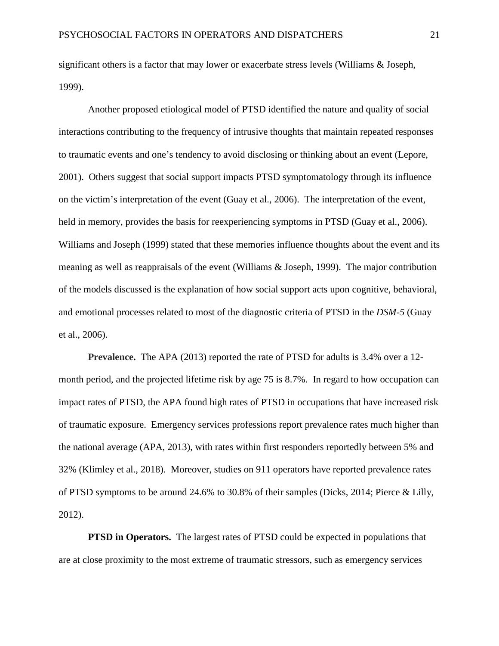significant others is a factor that may lower or exacerbate stress levels (Williams & Joseph, 1999).

Another proposed etiological model of PTSD identified the nature and quality of social interactions contributing to the frequency of intrusive thoughts that maintain repeated responses to traumatic events and one's tendency to avoid disclosing or thinking about an event (Lepore, 2001). Others suggest that social support impacts PTSD symptomatology through its influence on the victim's interpretation of the event (Guay et al., 2006). The interpretation of the event, held in memory, provides the basis for reexperiencing symptoms in PTSD (Guay et al., 2006). Williams and Joseph (1999) stated that these memories influence thoughts about the event and its meaning as well as reappraisals of the event (Williams & Joseph, 1999). The major contribution of the models discussed is the explanation of how social support acts upon cognitive, behavioral, and emotional processes related to most of the diagnostic criteria of PTSD in the *DSM-5* (Guay et al., 2006).

**Prevalence.** The APA (2013) reported the rate of PTSD for adults is 3.4% over a 12 month period, and the projected lifetime risk by age 75 is 8.7%. In regard to how occupation can impact rates of PTSD, the APA found high rates of PTSD in occupations that have increased risk of traumatic exposure. Emergency services professions report prevalence rates much higher than the national average (APA, 2013), with rates within first responders reportedly between 5% and 32% (Klimley et al., 2018). Moreover, studies on 911 operators have reported prevalence rates of PTSD symptoms to be around 24.6% to 30.8% of their samples (Dicks, 2014; Pierce & Lilly, 2012).

**PTSD** in Operators. The largest rates of PTSD could be expected in populations that are at close proximity to the most extreme of traumatic stressors, such as emergency services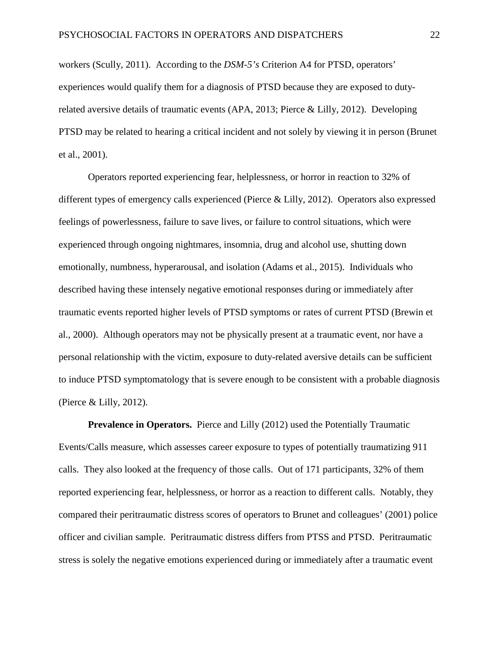workers (Scully, 2011). According to the *DSM-5's* Criterion A4 for PTSD, operators' experiences would qualify them for a diagnosis of PTSD because they are exposed to dutyrelated aversive details of traumatic events (APA, 2013; Pierce & Lilly, 2012). Developing PTSD may be related to hearing a critical incident and not solely by viewing it in person (Brunet et al., 2001).

Operators reported experiencing fear, helplessness, or horror in reaction to 32% of different types of emergency calls experienced (Pierce & Lilly, 2012). Operators also expressed feelings of powerlessness, failure to save lives, or failure to control situations, which were experienced through ongoing nightmares, insomnia, drug and alcohol use, shutting down emotionally, numbness, hyperarousal, and isolation (Adams et al., 2015). Individuals who described having these intensely negative emotional responses during or immediately after traumatic events reported higher levels of PTSD symptoms or rates of current PTSD (Brewin et al., 2000). Although operators may not be physically present at a traumatic event, nor have a personal relationship with the victim, exposure to duty-related aversive details can be sufficient to induce PTSD symptomatology that is severe enough to be consistent with a probable diagnosis (Pierce & Lilly, 2012).

**Prevalence in Operators.** Pierce and Lilly (2012) used the Potentially Traumatic Events/Calls measure, which assesses career exposure to types of potentially traumatizing 911 calls. They also looked at the frequency of those calls. Out of 171 participants, 32% of them reported experiencing fear, helplessness, or horror as a reaction to different calls. Notably, they compared their peritraumatic distress scores of operators to Brunet and colleagues' (2001) police officer and civilian sample. Peritraumatic distress differs from PTSS and PTSD. Peritraumatic stress is solely the negative emotions experienced during or immediately after a traumatic event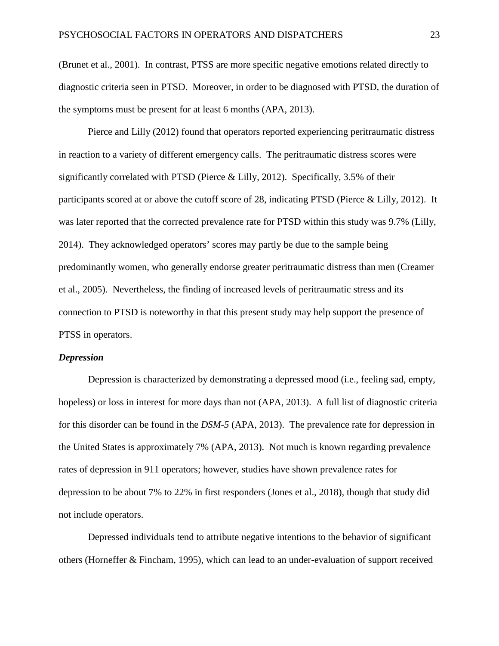(Brunet et al., 2001). In contrast, PTSS are more specific negative emotions related directly to diagnostic criteria seen in PTSD. Moreover, in order to be diagnosed with PTSD, the duration of the symptoms must be present for at least 6 months (APA, 2013).

Pierce and Lilly (2012) found that operators reported experiencing peritraumatic distress in reaction to a variety of different emergency calls. The peritraumatic distress scores were significantly correlated with PTSD (Pierce & Lilly, 2012). Specifically, 3.5% of their participants scored at or above the cutoff score of 28, indicating PTSD (Pierce & Lilly, 2012). It was later reported that the corrected prevalence rate for PTSD within this study was 9.7% (Lilly, 2014). They acknowledged operators' scores may partly be due to the sample being predominantly women, who generally endorse greater peritraumatic distress than men (Creamer et al., 2005). Nevertheless, the finding of increased levels of peritraumatic stress and its connection to PTSD is noteworthy in that this present study may help support the presence of PTSS in operators.

#### *Depression*

Depression is characterized by demonstrating a depressed mood (i.e., feeling sad, empty, hopeless) or loss in interest for more days than not (APA, 2013). A full list of diagnostic criteria for this disorder can be found in the *DSM-5* (APA, 2013). The prevalence rate for depression in the United States is approximately 7% (APA, 2013). Not much is known regarding prevalence rates of depression in 911 operators; however, studies have shown prevalence rates for depression to be about 7% to 22% in first responders (Jones et al., 2018), though that study did not include operators.

Depressed individuals tend to attribute negative intentions to the behavior of significant others (Horneffer & Fincham, 1995), which can lead to an under-evaluation of support received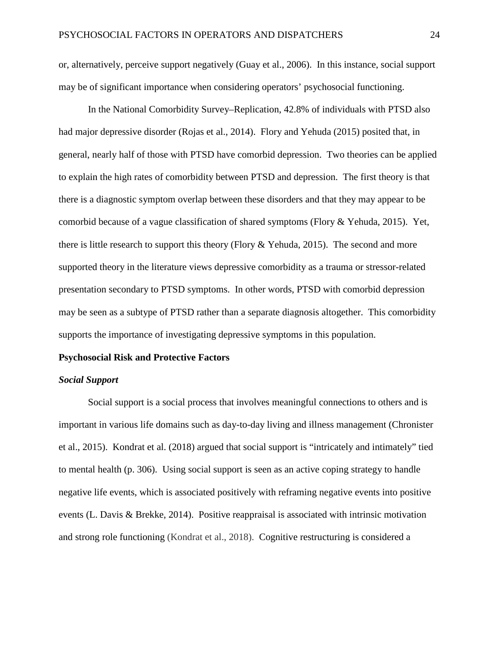or, alternatively, perceive support negatively (Guay et al., 2006). In this instance, social support may be of significant importance when considering operators' psychosocial functioning.

In the National Comorbidity Survey–Replication, 42.8% of individuals with PTSD also had major depressive disorder (Rojas et al., 2014). Flory and Yehuda (2015) posited that, in general, nearly half of those with PTSD have comorbid depression. Two theories can be applied to explain the high rates of comorbidity between PTSD and depression. The first theory is that there is a diagnostic symptom overlap between these disorders and that they may appear to be comorbid because of a vague classification of shared symptoms (Flory & Yehuda, 2015). Yet, there is little research to support this theory (Flory  $\&$  Yehuda, 2015). The second and more supported theory in the literature views depressive comorbidity as a trauma or stressor-related presentation secondary to PTSD symptoms. In other words, PTSD with comorbid depression may be seen as a subtype of PTSD rather than a separate diagnosis altogether. This comorbidity supports the importance of investigating depressive symptoms in this population.

#### **Psychosocial Risk and Protective Factors**

#### *Social Support*

Social support is a social process that involves meaningful connections to others and is important in various life domains such as day-to-day living and illness management (Chronister et al., 2015). Kondrat et al. (2018) argued that social support is "intricately and intimately" tied to mental health (p. 306). Using social support is seen as an active coping strategy to handle negative life events, which is associated positively with reframing negative events into positive events (L. Davis & Brekke, 2014). Positive reappraisal is associated with intrinsic motivation and strong role functioning (Kondrat et al., 2018). Cognitive restructuring is considered a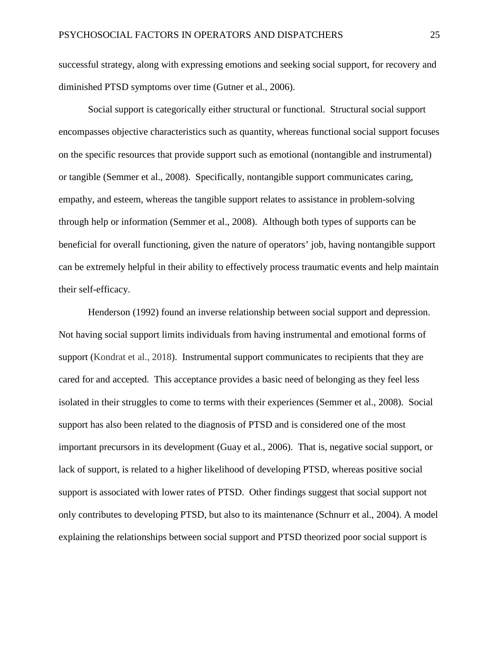successful strategy, along with expressing emotions and seeking social support, for recovery and diminished PTSD symptoms over time (Gutner et al., 2006).

Social support is categorically either structural or functional. Structural social support encompasses objective characteristics such as quantity, whereas functional social support focuses on the specific resources that provide support such as emotional (nontangible and instrumental) or tangible (Semmer et al., 2008). Specifically, nontangible support communicates caring, empathy, and esteem, whereas the tangible support relates to assistance in problem-solving through help or information (Semmer et al., 2008). Although both types of supports can be beneficial for overall functioning, given the nature of operators' job, having nontangible support can be extremely helpful in their ability to effectively process traumatic events and help maintain their self-efficacy.

Henderson (1992) found an inverse relationship between social support and depression. Not having social support limits individuals from having instrumental and emotional forms of support (Kondrat et al., 2018). Instrumental support communicates to recipients that they are cared for and accepted. This acceptance provides a basic need of belonging as they feel less isolated in their struggles to come to terms with their experiences (Semmer et al., 2008). Social support has also been related to the diagnosis of PTSD and is considered one of the most important precursors in its development (Guay et al., 2006). That is, negative social support, or lack of support, is related to a higher likelihood of developing PTSD, whereas positive social support is associated with lower rates of PTSD. Other findings suggest that social support not only contributes to developing PTSD, but also to its maintenance (Schnurr et al., 2004). A model explaining the relationships between social support and PTSD theorized poor social support is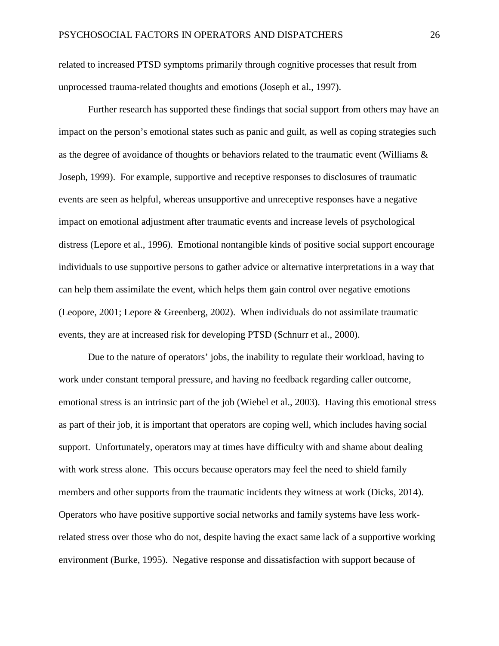related to increased PTSD symptoms primarily through cognitive processes that result from unprocessed trauma-related thoughts and emotions (Joseph et al., 1997).

Further research has supported these findings that social support from others may have an impact on the person's emotional states such as panic and guilt, as well as coping strategies such as the degree of avoidance of thoughts or behaviors related to the traumatic event (Williams & Joseph, 1999). For example, supportive and receptive responses to disclosures of traumatic events are seen as helpful, whereas unsupportive and unreceptive responses have a negative impact on emotional adjustment after traumatic events and increase levels of psychological distress (Lepore et al., 1996). Emotional nontangible kinds of positive social support encourage individuals to use supportive persons to gather advice or alternative interpretations in a way that can help them assimilate the event, which helps them gain control over negative emotions (Leopore, 2001; Lepore & Greenberg, 2002). When individuals do not assimilate traumatic events, they are at increased risk for developing PTSD (Schnurr et al., 2000).

Due to the nature of operators' jobs, the inability to regulate their workload, having to work under constant temporal pressure, and having no feedback regarding caller outcome, emotional stress is an intrinsic part of the job (Wiebel et al., 2003). Having this emotional stress as part of their job, it is important that operators are coping well, which includes having social support. Unfortunately, operators may at times have difficulty with and shame about dealing with work stress alone. This occurs because operators may feel the need to shield family members and other supports from the traumatic incidents they witness at work (Dicks, 2014). Operators who have positive supportive social networks and family systems have less workrelated stress over those who do not, despite having the exact same lack of a supportive working environment (Burke, 1995). Negative response and dissatisfaction with support because of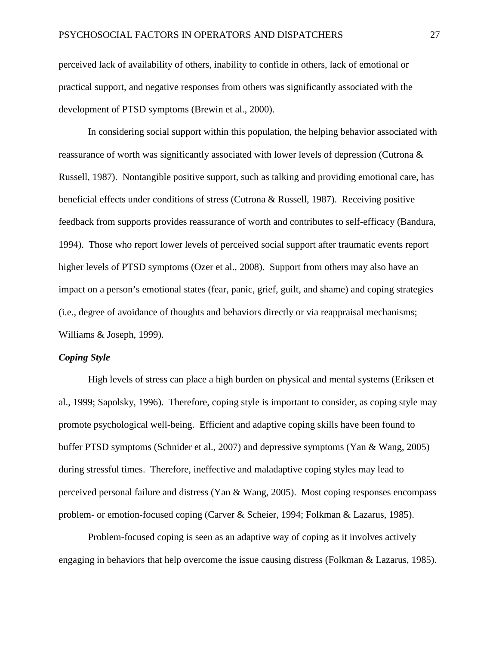perceived lack of availability of others, inability to confide in others, lack of emotional or practical support, and negative responses from others was significantly associated with the development of PTSD symptoms (Brewin et al., 2000).

In considering social support within this population, the helping behavior associated with reassurance of worth was significantly associated with lower levels of depression (Cutrona & Russell, 1987). Nontangible positive support, such as talking and providing emotional care, has beneficial effects under conditions of stress (Cutrona & Russell, 1987). Receiving positive feedback from supports provides reassurance of worth and contributes to self-efficacy (Bandura, 1994). Those who report lower levels of perceived social support after traumatic events report higher levels of PTSD symptoms (Ozer et al., 2008). Support from others may also have an impact on a person's emotional states (fear, panic, grief, guilt, and shame) and coping strategies (i.e., degree of avoidance of thoughts and behaviors directly or via reappraisal mechanisms; Williams & Joseph, 1999).

#### *Coping Style*

High levels of stress can place a high burden on physical and mental systems (Eriksen et al., 1999; Sapolsky, 1996). Therefore, coping style is important to consider, as coping style may promote psychological well-being. Efficient and adaptive coping skills have been found to buffer PTSD symptoms (Schnider et al., 2007) and depressive symptoms (Yan & Wang, 2005) during stressful times. Therefore, ineffective and maladaptive coping styles may lead to perceived personal failure and distress (Yan & Wang, 2005). Most coping responses encompass problem- or emotion-focused coping (Carver & Scheier, 1994; Folkman & Lazarus, 1985).

Problem-focused coping is seen as an adaptive way of coping as it involves actively engaging in behaviors that help overcome the issue causing distress (Folkman & Lazarus, 1985).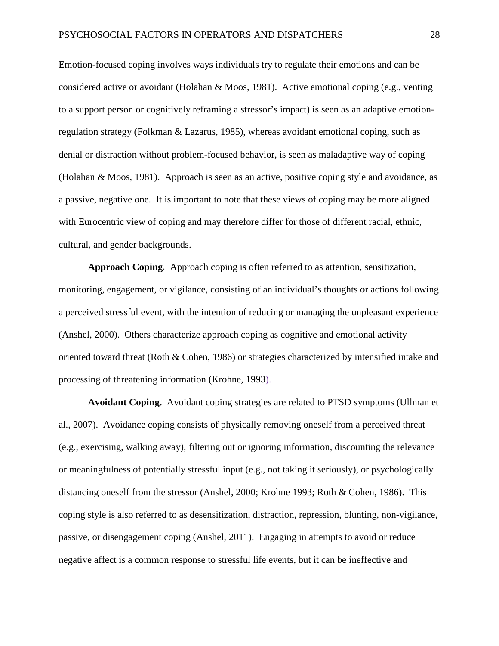Emotion-focused coping involves ways individuals try to regulate their emotions and can be considered active or avoidant (Holahan & Moos, 1981). Active emotional coping (e.g., venting to a support person or cognitively reframing a stressor's impact) is seen as an adaptive emotionregulation strategy (Folkman & Lazarus, 1985), whereas avoidant emotional coping, such as denial or distraction without problem-focused behavior, is seen as maladaptive way of coping (Holahan & Moos, 1981). Approach is seen as an active, positive coping style and avoidance, as a passive, negative one. It is important to note that these views of coping may be more aligned with Eurocentric view of coping and may therefore differ for those of different racial, ethnic, cultural, and gender backgrounds.

**Approach Coping***.* Approach coping is often referred to as attention, sensitization, monitoring, engagement, or vigilance, consisting of an individual's thoughts or actions following a perceived stressful event, with the intention of reducing or managing the unpleasant experience (Anshel, 2000). Others characterize approach coping as cognitive and emotional activity oriented toward threat (Roth & Cohen, 1986) or strategies characterized by intensified intake and processing of threatening information (Krohne, 1993).

**Avoidant Coping.** Avoidant coping strategies are related to PTSD symptoms (Ullman et al., 2007). Avoidance coping consists of physically removing oneself from a perceived threat (e.g., exercising, walking away), filtering out or ignoring information, discounting the relevance or meaningfulness of potentially stressful input (e.g., not taking it seriously), or psychologically distancing oneself from the stressor (Anshel, 2000; Krohne 1993; Roth & Cohen, 1986). This coping style is also referred to as desensitization, distraction, repression, blunting, non-vigilance, passive, or disengagement coping (Anshel, 2011). Engaging in attempts to avoid or reduce negative affect is a common response to stressful life events, but it can be ineffective and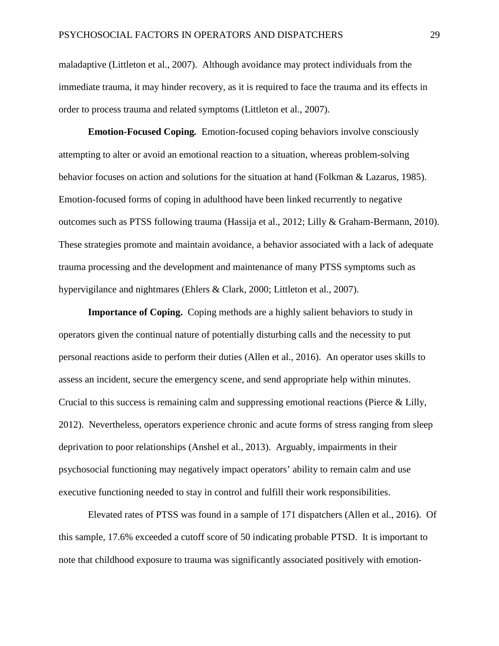maladaptive (Littleton et al., 2007). Although avoidance may protect individuals from the immediate trauma, it may hinder recovery, as it is required to face the trauma and its effects in order to process trauma and related symptoms (Littleton et al., 2007).

**Emotion-Focused Coping***.* Emotion-focused coping behaviors involve consciously attempting to alter or avoid an emotional reaction to a situation, whereas problem-solving behavior focuses on action and solutions for the situation at hand (Folkman & Lazarus, 1985). Emotion-focused forms of coping in adulthood have been linked recurrently to negative outcomes such as PTSS following trauma (Hassija et al., 2012; Lilly & Graham-Bermann, 2010). These strategies promote and maintain avoidance, a behavior associated with a lack of adequate trauma processing and the development and maintenance of many PTSS symptoms such as hypervigilance and nightmares (Ehlers & Clark, 2000; Littleton et al., 2007).

**Importance of Coping.** Coping methods are a highly salient behaviors to study in operators given the continual nature of potentially disturbing calls and the necessity to put personal reactions aside to perform their duties (Allen et al., 2016). An operator uses skills to assess an incident, secure the emergency scene, and send appropriate help within minutes. Crucial to this success is remaining calm and suppressing emotional reactions (Pierce & Lilly, 2012). Nevertheless, operators experience chronic and acute forms of stress ranging from sleep deprivation to poor relationships (Anshel et al., 2013). Arguably, impairments in their psychosocial functioning may negatively impact operators' ability to remain calm and use executive functioning needed to stay in control and fulfill their work responsibilities.

Elevated rates of PTSS was found in a sample of 171 dispatchers (Allen et al., 2016). Of this sample, 17.6% exceeded a cutoff score of 50 indicating probable PTSD. It is important to note that childhood exposure to trauma was significantly associated positively with emotion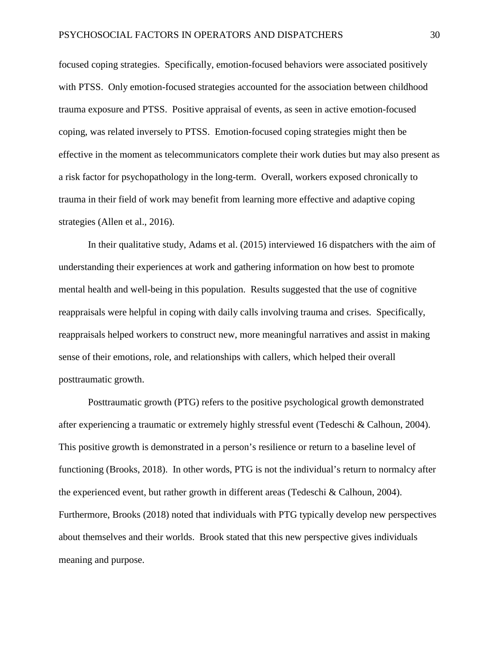focused coping strategies. Specifically, emotion-focused behaviors were associated positively with PTSS. Only emotion-focused strategies accounted for the association between childhood trauma exposure and PTSS. Positive appraisal of events, as seen in active emotion-focused coping, was related inversely to PTSS. Emotion-focused coping strategies might then be effective in the moment as telecommunicators complete their work duties but may also present as a risk factor for psychopathology in the long-term. Overall, workers exposed chronically to trauma in their field of work may benefit from learning more effective and adaptive coping strategies (Allen et al., 2016).

In their qualitative study, Adams et al. (2015) interviewed 16 dispatchers with the aim of understanding their experiences at work and gathering information on how best to promote mental health and well-being in this population. Results suggested that the use of cognitive reappraisals were helpful in coping with daily calls involving trauma and crises. Specifically, reappraisals helped workers to construct new, more meaningful narratives and assist in making sense of their emotions, role, and relationships with callers, which helped their overall posttraumatic growth.

Posttraumatic growth (PTG) refers to the positive psychological growth demonstrated after experiencing a traumatic or extremely highly stressful event (Tedeschi & Calhoun, 2004). This positive growth is demonstrated in a person's resilience or return to a baseline level of functioning (Brooks, 2018). In other words, PTG is not the individual's return to normalcy after the experienced event, but rather growth in different areas (Tedeschi & Calhoun, 2004). Furthermore, Brooks (2018) noted that individuals with PTG typically develop new perspectives about themselves and their worlds. Brook stated that this new perspective gives individuals meaning and purpose.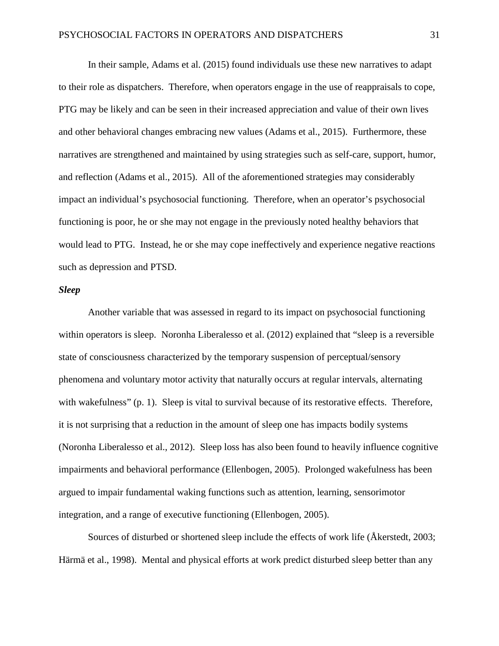In their sample, Adams et al. (2015) found individuals use these new narratives to adapt to their role as dispatchers. Therefore, when operators engage in the use of reappraisals to cope, PTG may be likely and can be seen in their increased appreciation and value of their own lives and other behavioral changes embracing new values (Adams et al., 2015). Furthermore, these narratives are strengthened and maintained by using strategies such as self-care, support, humor, and reflection (Adams et al., 2015). All of the aforementioned strategies may considerably impact an individual's psychosocial functioning. Therefore, when an operator's psychosocial functioning is poor, he or she may not engage in the previously noted healthy behaviors that would lead to PTG. Instead, he or she may cope ineffectively and experience negative reactions such as depression and PTSD.

#### *Sleep*

Another variable that was assessed in regard to its impact on psychosocial functioning within operators is sleep. Noronha Liberalesso et al. (2012) explained that "sleep is a reversible state of consciousness characterized by the temporary suspension of perceptual/sensory phenomena and voluntary motor activity that naturally occurs at regular intervals, alternating with wakefulness" (p. 1). Sleep is vital to survival because of its restorative effects. Therefore, it is not surprising that a reduction in the amount of sleep one has impacts bodily systems (Noronha Liberalesso et al., 2012). Sleep loss has also been found to heavily influence cognitive impairments and behavioral performance (Ellenbogen, 2005). Prolonged wakefulness has been argued to impair fundamental waking functions such as attention, learning, sensorimotor integration, and a range of executive functioning (Ellenbogen, 2005).

Sources of disturbed or shortened sleep include the effects of work life (Åkerstedt, 2003; Härmä et al., 1998). Mental and physical efforts at work predict disturbed sleep better than any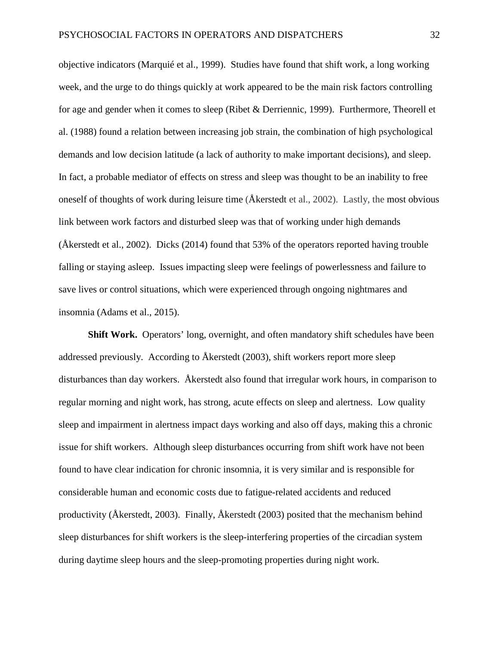objective indicators (Marquié et al., 1999). Studies have found that shift work, a long working week, and the urge to do things quickly at work appeared to be the main risk factors controlling for age and gender when it comes to sleep (Ribet & Derriennic, 1999). Furthermore, Theorell et al. (1988) found a relation between increasing job strain, the combination of high psychological demands and low decision latitude (a lack of authority to make important decisions), and sleep. In fact, a probable mediator of effects on stress and sleep was thought to be an inability to free oneself of thoughts of work during leisure time (Åkerstedt et al., 2002). Lastly, the most obvious link between work factors and disturbed sleep was that of working under high demands (Åkerstedt et al., 2002). Dicks (2014) found that 53% of the operators reported having trouble falling or staying asleep. Issues impacting sleep were feelings of powerlessness and failure to save lives or control situations, which were experienced through ongoing nightmares and insomnia (Adams et al., 2015).

**Shift Work.** Operators' long, overnight, and often mandatory shift schedules have been addressed previously. According to Åkerstedt (2003), shift workers report more sleep disturbances than day workers. Åkerstedt also found that irregular work hours, in comparison to regular morning and night work, has strong, acute effects on sleep and alertness. Low quality sleep and impairment in alertness impact days working and also off days, making this a chronic issue for shift workers. Although sleep disturbances occurring from shift work have not been found to have clear indication for chronic insomnia, it is very similar and is responsible for considerable human and economic costs due to fatigue-related accidents and reduced productivity (Åkerstedt, 2003). Finally, Åkerstedt (2003) posited that the mechanism behind sleep disturbances for shift workers is the sleep-interfering properties of the circadian system during daytime sleep hours and the sleep-promoting properties during night work.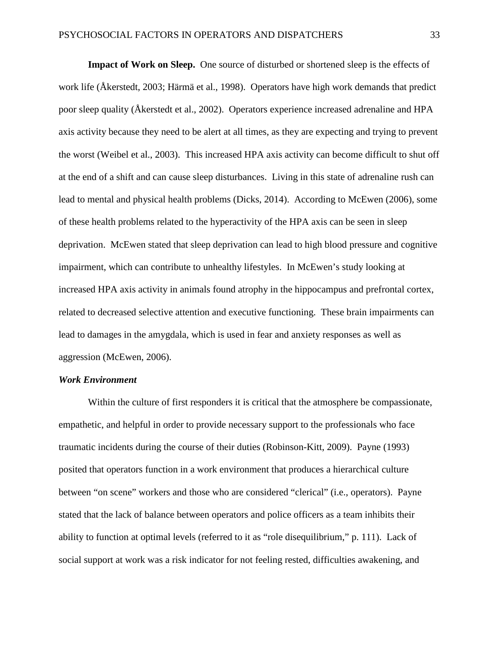**Impact of Work on Sleep.** One source of disturbed or shortened sleep is the effects of work life (Åkerstedt, 2003; Härmä et al., 1998). Operators have high work demands that predict poor sleep quality (Åkerstedt et al., 2002). Operators experience increased adrenaline and HPA axis activity because they need to be alert at all times, as they are expecting and trying to prevent the worst (Weibel et al., 2003). This increased HPA axis activity can become difficult to shut off at the end of a shift and can cause sleep disturbances. Living in this state of adrenaline rush can lead to mental and physical health problems (Dicks, 2014). According to McEwen (2006), some of these health problems related to the hyperactivity of the HPA axis can be seen in sleep deprivation. McEwen stated that sleep deprivation can lead to high blood pressure and cognitive impairment, which can contribute to unhealthy lifestyles. In McEwen's study looking at increased HPA axis activity in animals found atrophy in the hippocampus and prefrontal cortex, related to decreased selective attention and executive functioning. These brain impairments can lead to damages in the amygdala, which is used in fear and anxiety responses as well as aggression (McEwen, 2006).

#### *Work Environment*

Within the culture of first responders it is critical that the atmosphere be compassionate, empathetic, and helpful in order to provide necessary support to the professionals who face traumatic incidents during the course of their duties (Robinson-Kitt, 2009). Payne (1993) posited that operators function in a work environment that produces a hierarchical culture between "on scene" workers and those who are considered "clerical" (i.e., operators). Payne stated that the lack of balance between operators and police officers as a team inhibits their ability to function at optimal levels (referred to it as "role disequilibrium," p. 111). Lack of social support at work was a risk indicator for not feeling rested, difficulties awakening, and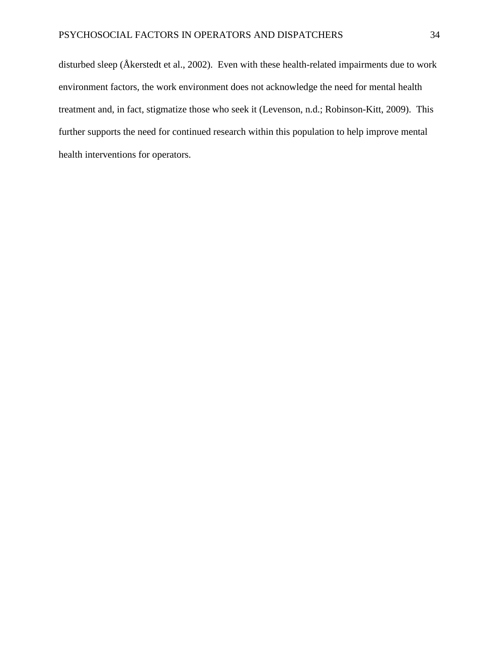disturbed sleep (Åkerstedt et al., 2002). Even with these health-related impairments due to work environment factors, the work environment does not acknowledge the need for mental health treatment and, in fact, stigmatize those who seek it (Levenson, n.d.; Robinson-Kitt, 2009). This further supports the need for continued research within this population to help improve mental health interventions for operators.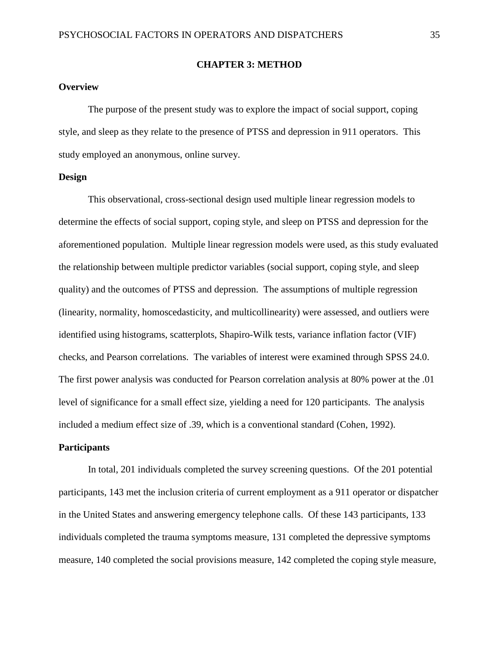### **CHAPTER 3: METHOD**

## **Overview**

The purpose of the present study was to explore the impact of social support, coping style, and sleep as they relate to the presence of PTSS and depression in 911 operators. This study employed an anonymous, online survey.

#### **Design**

This observational, cross-sectional design used multiple linear regression models to determine the effects of social support, coping style, and sleep on PTSS and depression for the aforementioned population. Multiple linear regression models were used, as this study evaluated the relationship between multiple predictor variables (social support, coping style, and sleep quality) and the outcomes of PTSS and depression. The assumptions of multiple regression (linearity, normality, homoscedasticity, and multicollinearity) were assessed, and outliers were identified using histograms, scatterplots, Shapiro-Wilk tests, variance inflation factor (VIF) checks, and Pearson correlations. The variables of interest were examined through SPSS 24.0. The first power analysis was conducted for Pearson correlation analysis at 80% power at the .01 level of significance for a small effect size, yielding a need for 120 participants. The analysis included a medium effect size of .39, which is a conventional standard (Cohen, 1992).

#### **Participants**

In total, 201 individuals completed the survey screening questions. Of the 201 potential participants, 143 met the inclusion criteria of current employment as a 911 operator or dispatcher in the United States and answering emergency telephone calls. Of these 143 participants, 133 individuals completed the trauma symptoms measure, 131 completed the depressive symptoms measure, 140 completed the social provisions measure, 142 completed the coping style measure,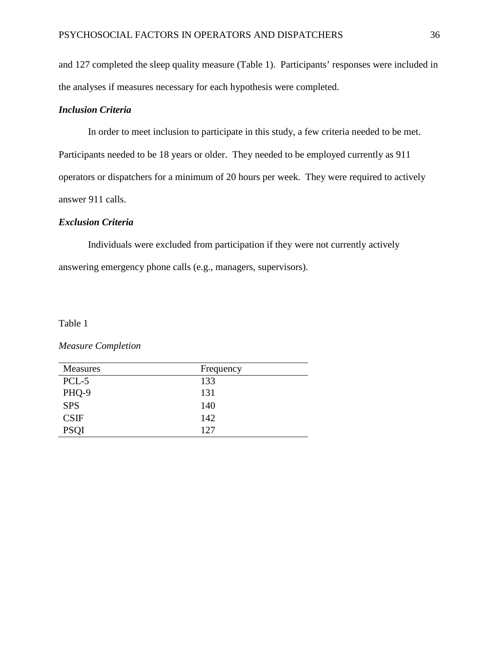and 127 completed the sleep quality measure (Table 1). Participants' responses were included in the analyses if measures necessary for each hypothesis were completed.

## *Inclusion Criteria*

In order to meet inclusion to participate in this study, a few criteria needed to be met. Participants needed to be 18 years or older. They needed to be employed currently as 911 operators or dispatchers for a minimum of 20 hours per week. They were required to actively answer 911 calls.

#### *Exclusion Criteria*

Individuals were excluded from participation if they were not currently actively answering emergency phone calls (e.g., managers, supervisors).

### Table 1

### *Measure Completion*

| Measures    | Frequency |
|-------------|-----------|
| PCL-5       | 133       |
| PHQ-9       | 131       |
| <b>SPS</b>  | 140       |
| <b>CSIF</b> | 142       |
| <b>PSQI</b> | 127       |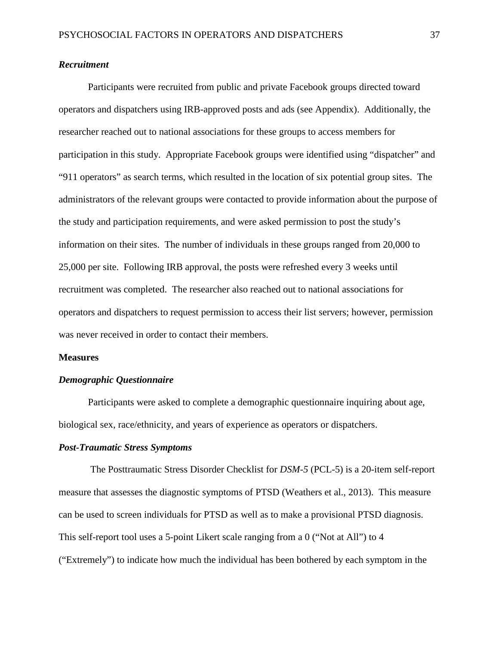## *Recruitment*

Participants were recruited from public and private Facebook groups directed toward operators and dispatchers using IRB-approved posts and ads (see Appendix). Additionally, the researcher reached out to national associations for these groups to access members for participation in this study. Appropriate Facebook groups were identified using "dispatcher" and "911 operators" as search terms, which resulted in the location of six potential group sites. The administrators of the relevant groups were contacted to provide information about the purpose of the study and participation requirements, and were asked permission to post the study's information on their sites. The number of individuals in these groups ranged from 20,000 to 25,000 per site. Following IRB approval, the posts were refreshed every 3 weeks until recruitment was completed. The researcher also reached out to national associations for operators and dispatchers to request permission to access their list servers; however, permission was never received in order to contact their members.

#### **Measures**

#### *Demographic Questionnaire*

Participants were asked to complete a demographic questionnaire inquiring about age, biological sex, race/ethnicity, and years of experience as operators or dispatchers.

#### *Post-Traumatic Stress Symptoms*

The Posttraumatic Stress Disorder Checklist for *DSM-5* (PCL-5) is a 20-item self-report measure that assesses the diagnostic symptoms of PTSD (Weathers et al., 2013). This measure can be used to screen individuals for PTSD as well as to make a provisional PTSD diagnosis. This self-report tool uses a 5-point Likert scale ranging from a 0 ("Not at All") to 4 ("Extremely") to indicate how much the individual has been bothered by each symptom in the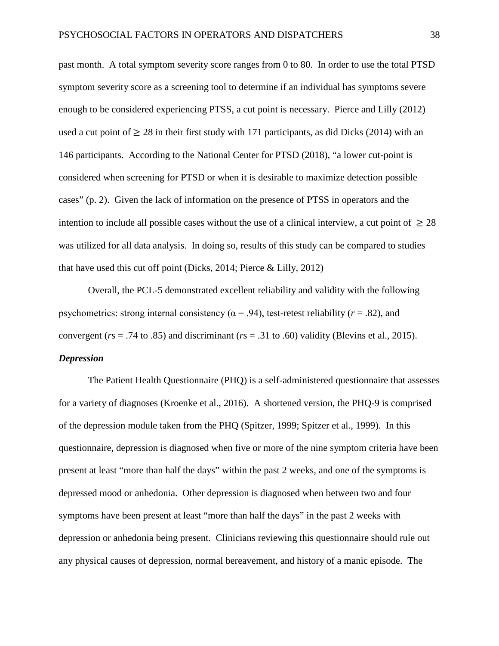past month. A total symptom severity score ranges from 0 to 80. In order to use the total PTSD symptom severity score as a screening tool to determine if an individual has symptoms severe enough to be considered experiencing PTSS, a cut point is necessary. Pierce and Lilly (2012) used a cut point of  $\geq 28$  in their first study with 171 participants, as did Dicks (2014) with an 146 participants. According to the National Center for PTSD (2018), "a lower cut-point is considered when screening for PTSD or when it is desirable to maximize detection possible cases" (p. 2). Given the lack of information on the presence of PTSS in operators and the intention to include all possible cases without the use of a clinical interview, a cut point of  $\geq 28$ was utilized for all data analysis. In doing so, results of this study can be compared to studies that have used this cut off point (Dicks, 2014; Pierce & Lilly, 2012)

Overall, the PCL-5 demonstrated excellent reliability and validity with the following psychometrics: strong internal consistency ( $\alpha$  = .94), test-retest reliability ( $r$  = .82), and convergent ( $rs = .74$  to  $.85$ ) and discriminant ( $rs = .31$  to  $.60$ ) validity (Blevins et al., 2015). *Depression*

The Patient Health Questionnaire (PHQ) is a self-administered questionnaire that assesses for a variety of diagnoses (Kroenke et al., 2016). A shortened version, the PHQ-9 is comprised of the depression module taken from the PHQ (Spitzer, 1999; Spitzer et al., 1999). In this questionnaire, depression is diagnosed when five or more of the nine symptom criteria have been present at least "more than half the days" within the past 2 weeks, and one of the symptoms is depressed mood or anhedonia. Other depression is diagnosed when between two and four symptoms have been present at least "more than half the days" in the past 2 weeks with depression or anhedonia being present. Clinicians reviewing this questionnaire should rule out any physical causes of depression, normal bereavement, and history of a manic episode. The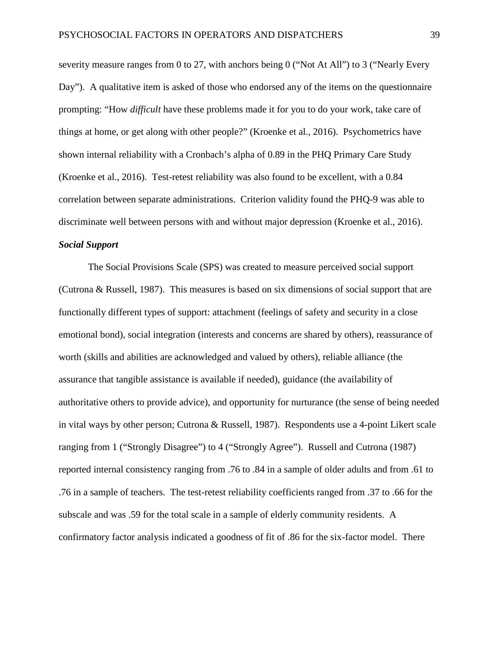severity measure ranges from 0 to 27, with anchors being 0 ("Not At All") to 3 ("Nearly Every Day"). A qualitative item is asked of those who endorsed any of the items on the questionnaire prompting: "How *difficult* have these problems made it for you to do your work, take care of things at home, or get along with other people?" (Kroenke et al., 2016). Psychometrics have shown internal reliability with a Cronbach's alpha of 0.89 in the PHQ Primary Care Study (Kroenke et al., 2016). Test-retest reliability was also found to be excellent, with a 0.84 correlation between separate administrations. Criterion validity found the PHQ-9 was able to discriminate well between persons with and without major depression (Kroenke et al., 2016). *Social Support*

The Social Provisions Scale (SPS) was created to measure perceived social support (Cutrona & Russell, 1987). This measures is based on six dimensions of social support that are functionally different types of support: attachment (feelings of safety and security in a close emotional bond), social integration (interests and concerns are shared by others), reassurance of worth (skills and abilities are acknowledged and valued by others), reliable alliance (the assurance that tangible assistance is available if needed), guidance (the availability of authoritative others to provide advice), and opportunity for nurturance (the sense of being needed in vital ways by other person; Cutrona & Russell, 1987). Respondents use a 4-point Likert scale ranging from 1 ("Strongly Disagree") to 4 ("Strongly Agree"). Russell and Cutrona (1987) reported internal consistency ranging from .76 to .84 in a sample of older adults and from .61 to .76 in a sample of teachers. The test-retest reliability coefficients ranged from .37 to .66 for the subscale and was .59 for the total scale in a sample of elderly community residents. A confirmatory factor analysis indicated a goodness of fit of .86 for the six-factor model. There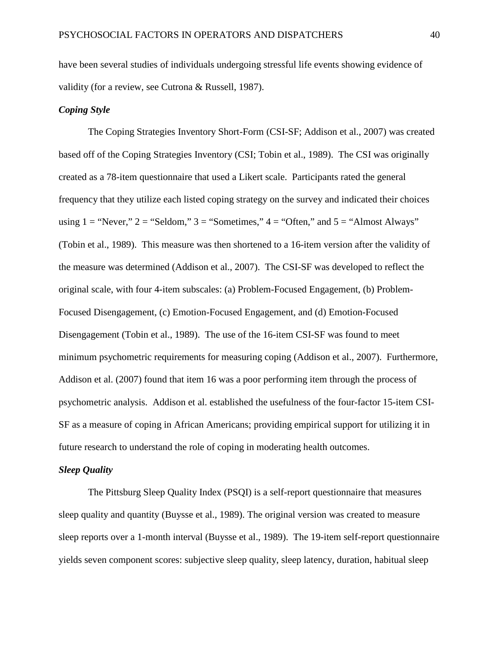have been several studies of individuals undergoing stressful life events showing evidence of validity (for a review, see Cutrona & Russell, 1987).

#### *Coping Style*

The Coping Strategies Inventory Short-Form (CSI-SF; Addison et al., 2007) was created based off of the Coping Strategies Inventory (CSI; Tobin et al., 1989). The CSI was originally created as a 78-item questionnaire that used a Likert scale. Participants rated the general frequency that they utilize each listed coping strategy on the survey and indicated their choices using  $1 =$  "Never,"  $2 =$  "Seldom,"  $3 =$  "Sometimes,"  $4 =$  "Often," and  $5 =$  "Almost Always" (Tobin et al., 1989). This measure was then shortened to a 16-item version after the validity of the measure was determined (Addison et al., 2007). The CSI-SF was developed to reflect the original scale, with four 4-item subscales: (a) Problem-Focused Engagement, (b) Problem-Focused Disengagement, (c) Emotion-Focused Engagement, and (d) Emotion-Focused Disengagement (Tobin et al., 1989). The use of the 16-item CSI-SF was found to meet minimum psychometric requirements for measuring coping (Addison et al., 2007). Furthermore, Addison et al. (2007) found that item 16 was a poor performing item through the process of psychometric analysis. Addison et al. established the usefulness of the four-factor 15-item CSI-SF as a measure of coping in African Americans; providing empirical support for utilizing it in future research to understand the role of coping in moderating health outcomes.

#### *Sleep Quality*

The Pittsburg Sleep Quality Index (PSQI) is a self-report questionnaire that measures sleep quality and quantity (Buysse et al., 1989). The original version was created to measure sleep reports over a 1-month interval (Buysse et al., 1989). The 19-item self-report questionnaire yields seven component scores: subjective sleep quality, sleep latency, duration, habitual sleep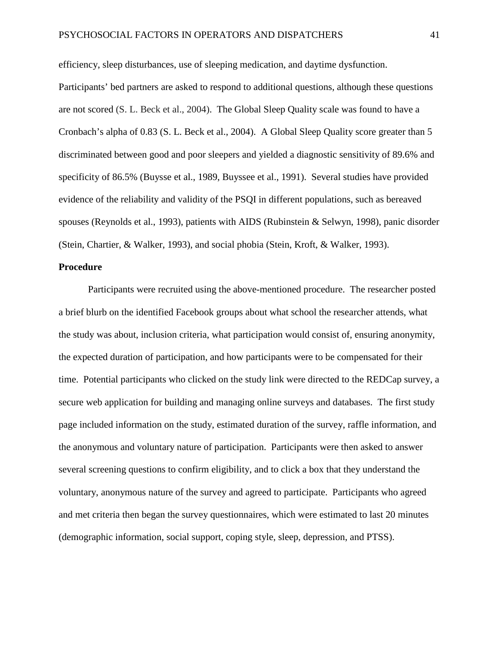efficiency, sleep disturbances, use of sleeping medication, and daytime dysfunction.

Participants' bed partners are asked to respond to additional questions, although these questions are not scored (S. L. Beck et al., 2004). The Global Sleep Quality scale was found to have a Cronbach's alpha of 0.83 (S. L. Beck et al., 2004). A Global Sleep Quality score greater than 5 discriminated between good and poor sleepers and yielded a diagnostic sensitivity of 89.6% and specificity of 86.5% (Buysse et al., 1989, Buyssee et al., 1991). Several studies have provided evidence of the reliability and validity of the PSQI in different populations, such as bereaved spouses (Reynolds et al., 1993), patients with AIDS (Rubinstein & Selwyn, 1998), panic disorder (Stein, Chartier, & Walker, 1993), and social phobia (Stein, Kroft, & Walker, 1993).

#### **Procedure**

Participants were recruited using the above-mentioned procedure. The researcher posted a brief blurb on the identified Facebook groups about what school the researcher attends, what the study was about, inclusion criteria, what participation would consist of, ensuring anonymity, the expected duration of participation, and how participants were to be compensated for their time. Potential participants who clicked on the study link were directed to the REDCap survey, a secure web application for building and managing online surveys and databases. The first study page included information on the study, estimated duration of the survey, raffle information, and the anonymous and voluntary nature of participation. Participants were then asked to answer several screening questions to confirm eligibility, and to click a box that they understand the voluntary, anonymous nature of the survey and agreed to participate. Participants who agreed and met criteria then began the survey questionnaires, which were estimated to last 20 minutes (demographic information, social support, coping style, sleep, depression, and PTSS).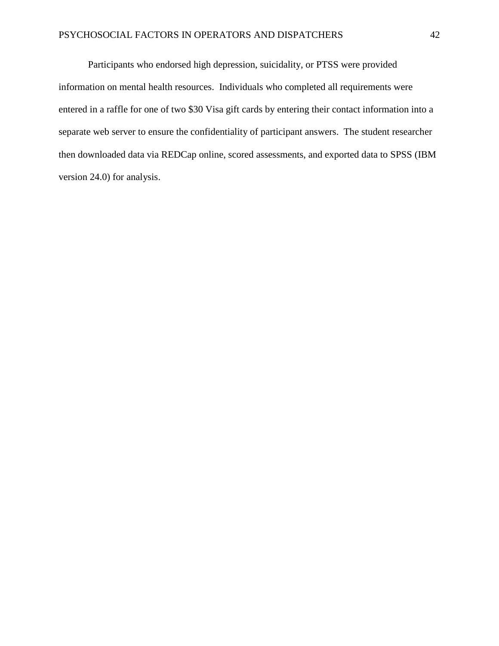Participants who endorsed high depression, suicidality, or PTSS were provided information on mental health resources. Individuals who completed all requirements were entered in a raffle for one of two \$30 Visa gift cards by entering their contact information into a separate web server to ensure the confidentiality of participant answers. The student researcher then downloaded data via REDCap online, scored assessments, and exported data to SPSS (IBM version 24.0) for analysis.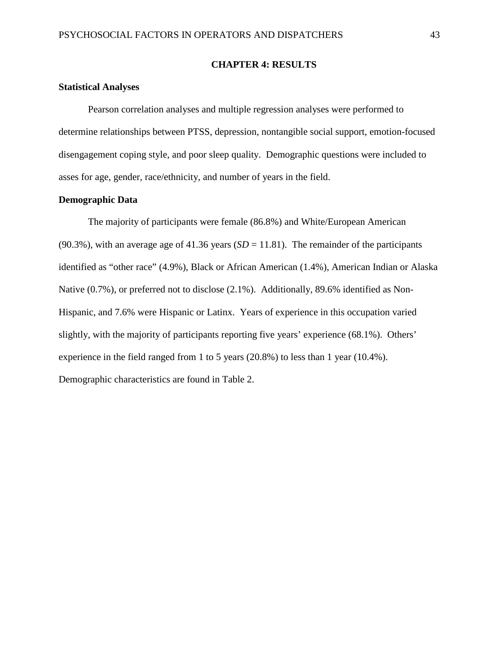#### **CHAPTER 4: RESULTS**

## **Statistical Analyses**

Pearson correlation analyses and multiple regression analyses were performed to determine relationships between PTSS, depression, nontangible social support, emotion-focused disengagement coping style, and poor sleep quality. Demographic questions were included to asses for age, gender, race/ethnicity, and number of years in the field.

#### **Demographic Data**

The majority of participants were female (86.8%) and White/European American (90.3%), with an average age of 41.36 years ( $SD = 11.81$ ). The remainder of the participants identified as "other race" (4.9%), Black or African American (1.4%), American Indian or Alaska Native (0.7%), or preferred not to disclose (2.1%). Additionally, 89.6% identified as Non-Hispanic, and 7.6% were Hispanic or Latinx. Years of experience in this occupation varied slightly, with the majority of participants reporting five years' experience (68.1%). Others' experience in the field ranged from 1 to 5 years (20.8%) to less than 1 year (10.4%). Demographic characteristics are found in Table 2.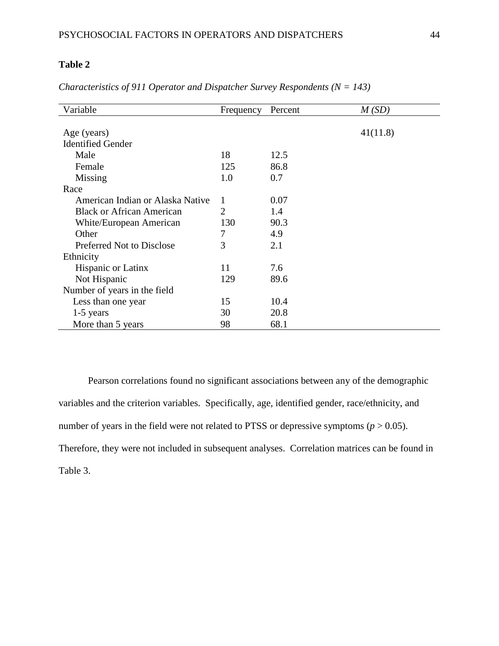| Variable                         | Frequency | Percent | M(SD)    |
|----------------------------------|-----------|---------|----------|
|                                  |           |         |          |
| Age (years)                      |           |         | 41(11.8) |
| <b>Identified Gender</b>         |           |         |          |
| Male                             | 18        | 12.5    |          |
| Female                           | 125       | 86.8    |          |
| Missing                          | 1.0       | 0.7     |          |
| Race                             |           |         |          |
| American Indian or Alaska Native | 1         | 0.07    |          |
| <b>Black or African American</b> | 2         | 1.4     |          |
| White/European American          | 130       | 90.3    |          |
| Other                            | 7         | 4.9     |          |
| <b>Preferred Not to Disclose</b> | 3         | 2.1     |          |
| Ethnicity                        |           |         |          |
| <b>Hispanic or Latinx</b>        | 11        | 7.6     |          |
| Not Hispanic                     | 129       | 89.6    |          |
| Number of years in the field     |           |         |          |
| Less than one year               | 15        | 10.4    |          |
| $1-5$ years                      | 30        | 20.8    |          |
| More than 5 years                | 98        | 68.1    |          |

*Characteristics of 911 Operator and Dispatcher Survey Respondents (N = 143)*

Pearson correlations found no significant associations between any of the demographic variables and the criterion variables. Specifically, age, identified gender, race/ethnicity, and number of years in the field were not related to PTSS or depressive symptoms ( $p > 0.05$ ). Therefore, they were not included in subsequent analyses. Correlation matrices can be found in Table 3.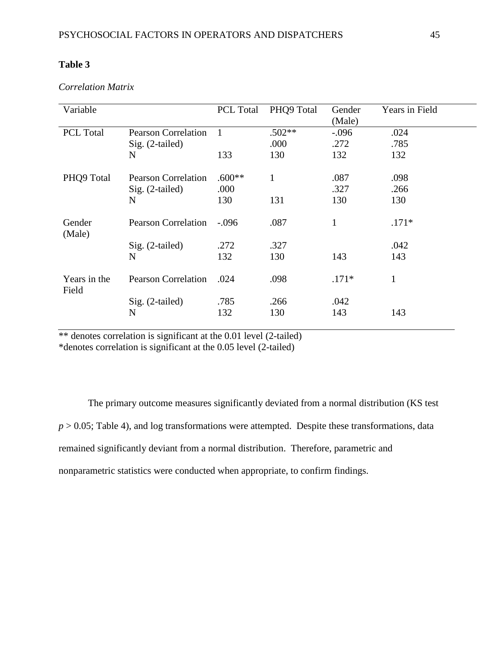| Variable              |                            | PCL Total | PHQ9 Total | Gender<br>(Male) | Years in Field |
|-----------------------|----------------------------|-----------|------------|------------------|----------------|
| PCL Total             | <b>Pearson Correlation</b> | -1        | $.502**$   | $-.096$          | .024           |
|                       | Sig. (2-tailed)            |           | .000       | .272             | .785           |
|                       | N                          | 133       | 130        | 132              | 132            |
| PHQ9 Total            | <b>Pearson Correlation</b> | $.600**$  | 1          | .087             | .098           |
|                       | $Sig. (2-tailed)$          | .000      |            | .327             | .266           |
|                       | N                          | 130       | 131        | 130              | 130            |
| Gender<br>(Male)      | <b>Pearson Correlation</b> | $-.096$   | .087       | 1                | $.171*$        |
|                       | Sig. (2-tailed)            | .272      | .327       |                  | .042           |
|                       | N                          | 132       | 130        | 143              | 143            |
| Years in the<br>Field | <b>Pearson Correlation</b> | .024      | .098       | $.171*$          | $\mathbf{1}$   |
|                       | $Sig. (2-tailed)$          | .785      | .266       | .042             |                |
|                       | N                          | 132       | 130        | 143              | 143            |

#### *Correlation Matrix*

\*\* denotes correlation is significant at the 0.01 level (2-tailed)

\*denotes correlation is significant at the 0.05 level (2-tailed)

The primary outcome measures significantly deviated from a normal distribution (KS test  $p > 0.05$ ; Table 4), and log transformations were attempted. Despite these transformations, data remained significantly deviant from a normal distribution. Therefore, parametric and nonparametric statistics were conducted when appropriate, to confirm findings.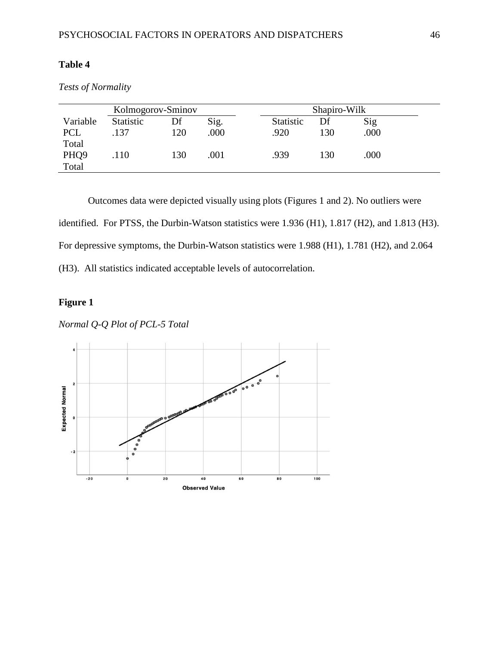| Kolmogorov-Sminov |                  |     |      |           | Shapiro-Wilk |      |  |
|-------------------|------------------|-----|------|-----------|--------------|------|--|
| Variable          | <b>Statistic</b> | Df  | Sig. | Statistic | Df           | Sig  |  |
| <b>PCL</b>        | .137             | 120 | .000 | .920      | 130          | .000 |  |
| Total             |                  |     |      |           |              |      |  |
| PHQ <sub>9</sub>  | .110             | 130 | .001 | .939      | 130          | .000 |  |
| Total             |                  |     |      |           |              |      |  |

*Tests of Normality*

Outcomes data were depicted visually using plots (Figures 1 and 2). No outliers were identified. For PTSS, the Durbin-Watson statistics were 1.936 (H1), 1.817 (H2), and 1.813 (H3). For depressive symptoms, the Durbin-Watson statistics were 1.988 (H1), 1.781 (H2), and 2.064 (H3). All statistics indicated acceptable levels of autocorrelation.

# **Figure 1**

*Normal Q-Q Plot of PCL-5 Total* 

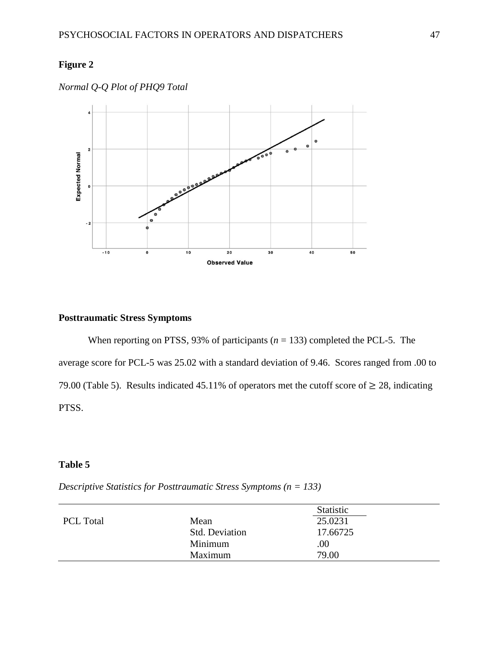# **Figure 2**



*Normal Q-Q Plot of PHQ9 Total*

## **Posttraumatic Stress Symptoms**

When reporting on PTSS, 93% of participants ( $n = 133$ ) completed the PCL-5. The average score for PCL-5 was 25.02 with a standard deviation of 9.46. Scores ranged from .00 to 79.00 (Table 5). Results indicated 45.11% of operators met the cutoff score of  $\geq$  28, indicating PTSS.

# **Table 5**

*Descriptive Statistics for Posttraumatic Stress Symptoms (n = 133)*

|                  |                       | Statistic |
|------------------|-----------------------|-----------|
| <b>PCL Total</b> | Mean                  | 25.0231   |
|                  | <b>Std. Deviation</b> | 17.66725  |
|                  | Minimum               | .00       |
|                  | Maximum               | 79.00     |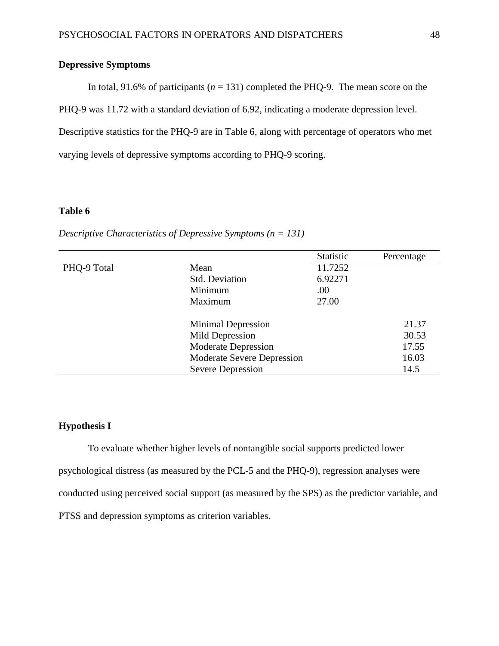## **Depressive Symptoms**

In total, 91.6% of participants  $(n = 131)$  completed the PHQ-9. The mean score on the

PHQ-9 was 11.72 with a standard deviation of 6.92, indicating a moderate depression level.

Descriptive statistics for the PHQ-9 are in Table 6, along with percentage of operators who met

varying levels of depressive symptoms according to PHQ-9 scoring.

## **Table 6**

|             |                            | Statistic | Percentage |
|-------------|----------------------------|-----------|------------|
| PHQ-9 Total | Mean                       | 11.7252   |            |
|             | <b>Std. Deviation</b>      | 6.92271   |            |
|             | Minimum                    | .00       |            |
|             | Maximum                    | 27.00     |            |
|             | <b>Minimal Depression</b>  |           | 21.37      |
|             | Mild Depression            |           | 30.53      |
|             | <b>Moderate Depression</b> |           | 17.55      |
|             | Moderate Severe Depression |           | 16.03      |
|             | <b>Severe Depression</b>   |           | 14.5       |

*Descriptive Characteristics of Depressive Symptoms (n = 131)*

### **Hypothesis I**

To evaluate whether higher levels of nontangible social supports predicted lower psychological distress (as measured by the PCL-5 and the PHQ-9), regression analyses were conducted using perceived social support (as measured by the SPS) as the predictor variable, and PTSS and depression symptoms as criterion variables.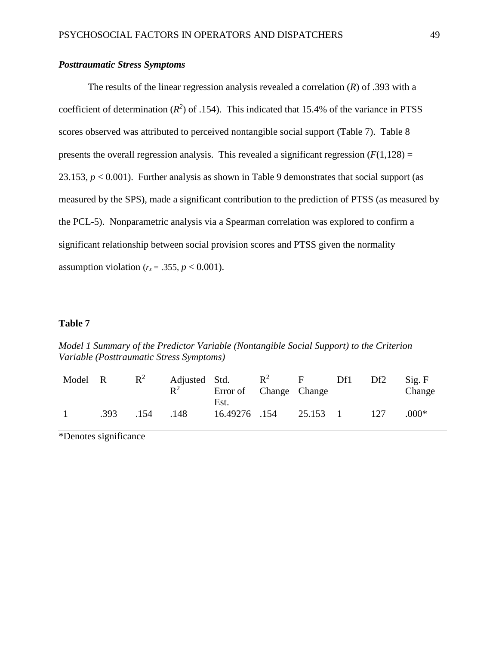## *Posttraumatic Stress Symptoms*

The results of the linear regression analysis revealed a correlation (*R*) of .393 with a coefficient of determination  $(R^2)$  of .154). This indicated that 15.4% of the variance in PTSS scores observed was attributed to perceived nontangible social support (Table 7). Table 8 presents the overall regression analysis. This revealed a significant regression  $(F(1,128)) =$ 23.153,  $p < 0.001$ ). Further analysis as shown in Table 9 demonstrates that social support (as measured by the SPS), made a significant contribution to the prediction of PTSS (as measured by the PCL-5). Nonparametric analysis via a Spearman correlation was explored to confirm a significant relationship between social provision scores and PTSS given the normality assumption violation ( $r_s = .355$ ,  $p < 0.001$ ).

### **Table 7**

*Model 1 Summary of the Predictor Variable (Nontangible Social Support) to the Criterion Variable (Posttraumatic Stress Symptoms)* 

| Model | $\overline{R}$ | $\mathbb{R}^2$ | Adjusted Std.<br>$\mathbf{R}^2$ | Error of Change Change<br>Est. | $\mathbb{R}^2$ |        | Df1 | Df2 | Sig. F<br>Change |
|-------|----------------|----------------|---------------------------------|--------------------------------|----------------|--------|-----|-----|------------------|
|       | .393           | .154           | 148                             | 16.49276 .154                  |                | 25.153 |     |     | $.000*$          |

\*Denotes significance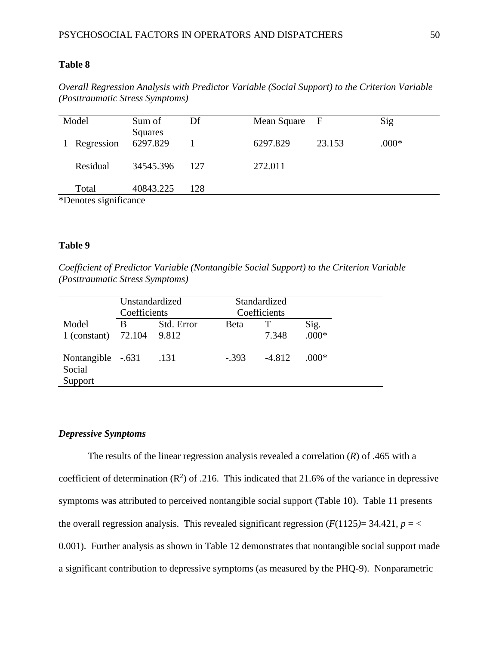*Overall Regression Analysis with Predictor Variable (Social Support) to the Criterion Variable (Posttraumatic Stress Symptoms)*

| Model                 | Sum of<br>Squares | Df  | Mean Square F |        | Sig     |
|-----------------------|-------------------|-----|---------------|--------|---------|
| Regression            | 6297.829          |     | 6297.829      | 23.153 | $.000*$ |
| Residual              | 34545.396         | 127 | 272.011       |        |         |
| Total                 | 40843.225         | 128 |               |        |         |
| *Denotes significance |                   |     |               |        |         |

#### **Table 9**

*Coefficient of Predictor Variable (Nontangible Social Support) to the Criterion Variable (Posttraumatic Stress Symptoms)*

|                                        | Unstandardized<br>Coefficients |                     |             | Standardized<br>Coefficients |                 |  |  |
|----------------------------------------|--------------------------------|---------------------|-------------|------------------------------|-----------------|--|--|
| Model<br>1 (constant)                  | B<br>72.104                    | Std. Error<br>9.812 | <b>Beta</b> | 7.348                        | Sig.<br>$.000*$ |  |  |
| Nontangible -.631<br>Social<br>Support |                                | .131                | $-393$      | $-4.812$                     | $.000*$         |  |  |

#### *Depressive Symptoms*

The results of the linear regression analysis revealed a correlation (*R*) of .465 with a coefficient of determination  $(R^2)$  of .216. This indicated that 21.6% of the variance in depressive symptoms was attributed to perceived nontangible social support (Table 10). Table 11 presents the overall regression analysis. This revealed significant regression  $(F(1125) = 34.421, p = \langle$ 0.001). Further analysis as shown in Table 12 demonstrates that nontangible social support made a significant contribution to depressive symptoms (as measured by the PHQ-9). Nonparametric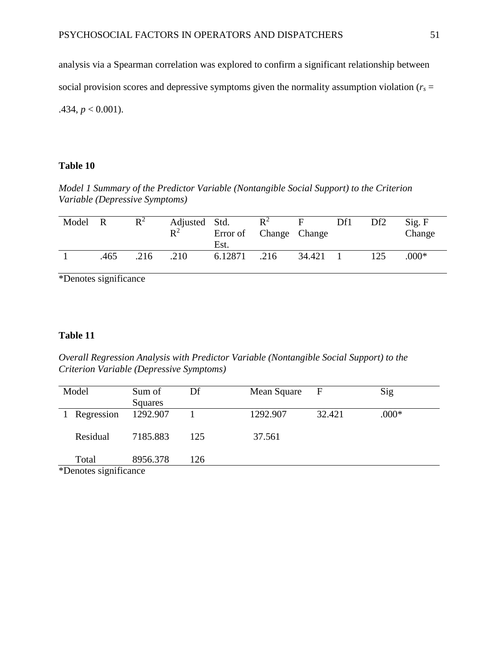analysis via a Spearman correlation was explored to confirm a significant relationship between social provision scores and depressive symptoms given the normality assumption violation ( $r_s$  = .434,  $p < 0.001$ ).

## **Table 10**

*Model 1 Summary of the Predictor Variable (Nontangible Social Support) to the Criterion Variable (Depressive Symptoms)*

| Model R |      | $R^2$ | Adjusted Std.<br>$\mathbb{R}^2$ | Error of Change Change<br>Est. | $R^2$ | F.       | Df1 | Df <sub>2</sub> | Sig. F<br>Change |
|---------|------|-------|---------------------------------|--------------------------------|-------|----------|-----|-----------------|------------------|
|         | .465 | .216  | .210                            | 6.12871                        | .216  | 34.421 1 |     | 125             | $.000*$          |

\*Denotes significance

## **Table 11**

*Overall Regression Analysis with Predictor Variable (Nontangible Social Support) to the Criterion Variable (Depressive Symptoms)*

| Model                 | Sum of<br>Squares | Df  | Mean Square | $\mathbf{F}$ | Sig     |
|-----------------------|-------------------|-----|-------------|--------------|---------|
| Regression            | 1292.907          |     | 1292.907    | 32.421       | $.000*$ |
| Residual              | 7185.883          | 125 | 37.561      |              |         |
| Total                 | 8956.378          | 126 |             |              |         |
| *Denotes significance |                   |     |             |              |         |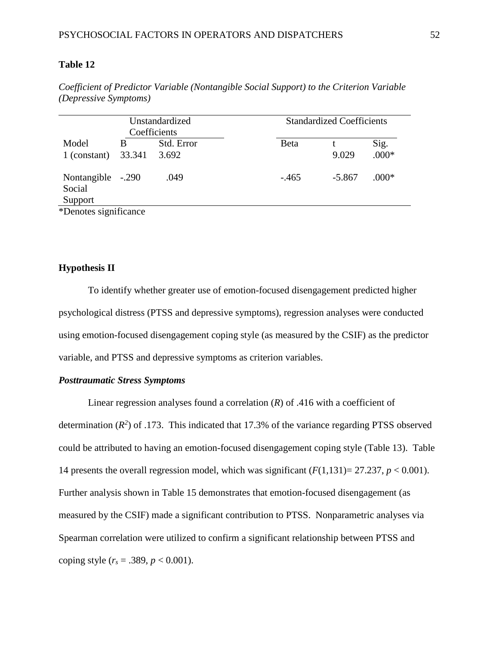|                             |        | Unstandardized<br>Coefficients |         | <b>Standardized Coefficients</b> |         |
|-----------------------------|--------|--------------------------------|---------|----------------------------------|---------|
| Model                       | В      | Std. Error                     | Beta    |                                  | Sig.    |
| 1 (constant)                | 33.341 | 3.692                          |         | 9.029                            | $.000*$ |
| Nontangible -.290<br>Social |        | .049                           | $-.465$ | $-5.867$                         | $.000*$ |
| Support                     |        |                                |         |                                  |         |
| *Denotes significance       |        |                                |         |                                  |         |

*Coefficient of Predictor Variable (Nontangible Social Support) to the Criterion Variable (Depressive Symptoms)*

#### **Hypothesis II**

To identify whether greater use of emotion-focused disengagement predicted higher psychological distress (PTSS and depressive symptoms), regression analyses were conducted using emotion-focused disengagement coping style (as measured by the CSIF) as the predictor variable, and PTSS and depressive symptoms as criterion variables.

#### *Posttraumatic Stress Symptoms*

Linear regression analyses found a correlation  $(R)$  of .416 with a coefficient of determination  $(R^2)$  of .173. This indicated that 17.3% of the variance regarding PTSS observed could be attributed to having an emotion-focused disengagement coping style (Table 13). Table 14 presents the overall regression model, which was significant  $(F(1,131)=27.237, p < 0.001)$ . Further analysis shown in Table 15 demonstrates that emotion-focused disengagement (as measured by the CSIF) made a significant contribution to PTSS. Nonparametric analyses via Spearman correlation were utilized to confirm a significant relationship between PTSS and coping style  $(r_s = .389, p < 0.001)$ .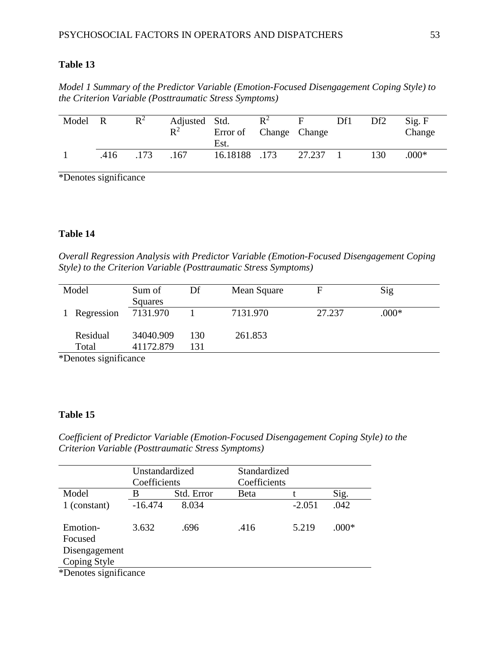*Model 1 Summary of the Predictor Variable (Emotion-Focused Disengagement Coping Style) to the Criterion Variable (Posttraumatic Stress Symptoms)* 

| Model R |      | $R^2$ | Adjusted Std.<br>$\mathbf{R}^2$ | Error of Change Change<br>Est. | $\mathbb{R}^2$ | $F_{\perp}$ | Df1 | Df <sub>2</sub> | Sig. F<br>Change |
|---------|------|-------|---------------------------------|--------------------------------|----------------|-------------|-----|-----------------|------------------|
|         | .416 | .173  | 167                             | 16.18188 .173                  |                | 27.237      |     | 130             | $.000*$          |

\*Denotes significance

# **Table 14**

*Overall Regression Analysis with Predictor Variable (Emotion-Focused Disengagement Coping Style) to the Criterion Variable (Posttraumatic Stress Symptoms)*

| Model             | Sum of<br>Squares      | Df         | Mean Square |        | Sig     |  |
|-------------------|------------------------|------------|-------------|--------|---------|--|
| 1 Regression      | 7131.970               |            | 7131.970    | 27.237 | $.000*$ |  |
| Residual<br>Total | 34040.909<br>41172.879 | 130<br>131 | 261.853     |        |         |  |

\*Denotes significance

## **Table 15**

*Coefficient of Predictor Variable (Emotion-Focused Disengagement Coping Style) to the Criterion Variable (Posttraumatic Stress Symptoms)*

|                       | Unstandardized |            | Standardized |          |         |
|-----------------------|----------------|------------|--------------|----------|---------|
|                       | Coefficients   |            | Coefficients |          |         |
| Model                 | В              | Std. Error | Beta         |          | Sig.    |
| 1 (constant)          | $-16.474$      | 8.034      |              | $-2.051$ | .042    |
|                       |                |            |              |          |         |
| Emotion-              | 3.632          | .696       | .416         | 5.219    | $.000*$ |
| Focused               |                |            |              |          |         |
| Disengagement         |                |            |              |          |         |
| Coping Style          |                |            |              |          |         |
| *Denotes significance |                |            |              |          |         |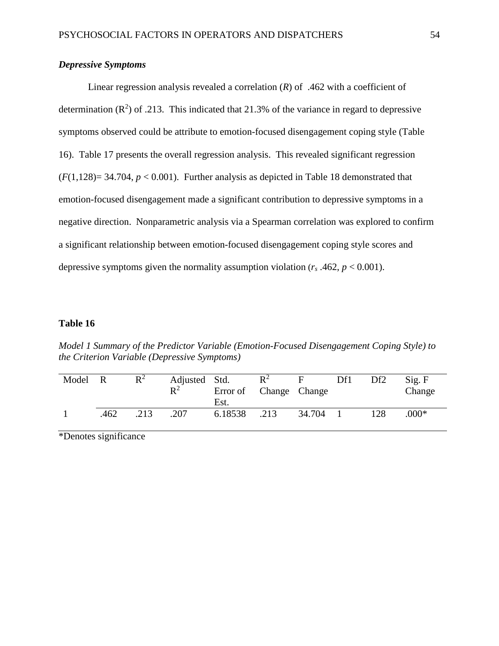## *Depressive Symptoms*

Linear regression analysis revealed a correlation  $(R)$  of .462 with a coefficient of determination  $(R^2)$  of .213. This indicated that 21.3% of the variance in regard to depressive symptoms observed could be attribute to emotion-focused disengagement coping style (Table 16). Table 17 presents the overall regression analysis. This revealed significant regression  $(F(1,128)=34.704, p<0.001)$ . Further analysis as depicted in Table 18 demonstrated that emotion-focused disengagement made a significant contribution to depressive symptoms in a negative direction. Nonparametric analysis via a Spearman correlation was explored to confirm a significant relationship between emotion-focused disengagement coping style scores and depressive symptoms given the normality assumption violation  $(r_s.462, p < 0.001)$ .

## **Table 16**

*Model 1 Summary of the Predictor Variable (Emotion-Focused Disengagement Coping Style) to the Criterion Variable (Depressive Symptoms)* 

| Model R |      | $\mathbb{R}^2$ | Adjusted Std.<br>$\mathbf{R}^2$ | Error of Change Change<br>Est. | $\mathbb{R}^2$ |        | Df1 | Df <sub>2</sub> | Sig. F<br>Change |
|---------|------|----------------|---------------------------------|--------------------------------|----------------|--------|-----|-----------------|------------------|
|         | .462 | .213           | .207                            | 6.18538                        | .213           | 34.704 |     | 128             | $.000*$          |

\*Denotes significance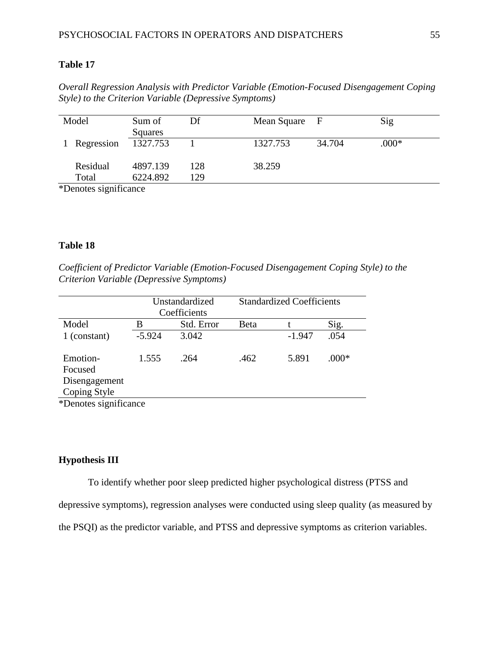*Overall Regression Analysis with Predictor Variable (Emotion-Focused Disengagement Coping Style) to the Criterion Variable (Depressive Symptoms)* 

| Model        | Sum of<br>Squares | Df  | Mean Square F |        | Sig     |
|--------------|-------------------|-----|---------------|--------|---------|
| 1 Regression | 1327.753          |     | 1327.753      | 34.704 | $.000*$ |
| Residual     | 4897.139          | 128 | 38.259        |        |         |
| Total        | 6224.892          | 129 |               |        |         |

\*Denotes significance

#### **Table 18**

*Coefficient of Predictor Variable (Emotion-Focused Disengagement Coping Style) to the Criterion Variable (Depressive Symptoms)*

|                                      |          | Unstandardized<br>Coefficients | <b>Standardized Coefficients</b> |          |         |  |
|--------------------------------------|----------|--------------------------------|----------------------------------|----------|---------|--|
| Model                                | В        | Std. Error                     | Beta                             |          | Sig.    |  |
| 1 (constant)                         | $-5.924$ | 3.042                          |                                  | $-1.947$ | .054    |  |
| Emotion-<br>Focused<br>Disengagement | 1.555    | .264                           | .462                             | 5.891    | $.000*$ |  |
| Coping Style                         |          |                                |                                  |          |         |  |
| *Denotes significance                |          |                                |                                  |          |         |  |

#### **Hypothesis III**

To identify whether poor sleep predicted higher psychological distress (PTSS and

depressive symptoms), regression analyses were conducted using sleep quality (as measured by

the PSQI) as the predictor variable, and PTSS and depressive symptoms as criterion variables.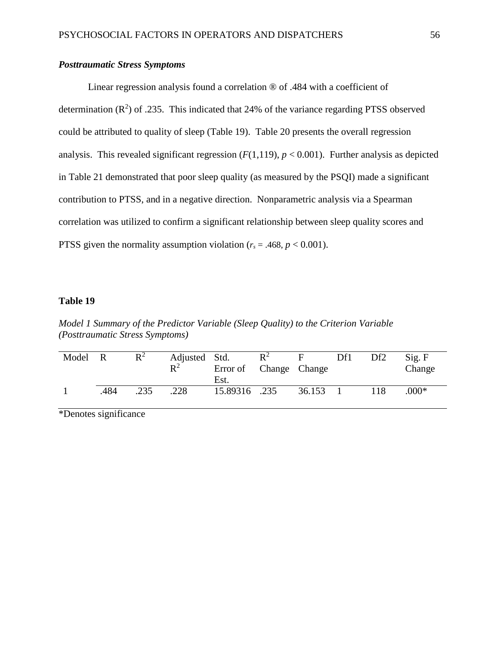## *Posttraumatic Stress Symptoms*

Linear regression analysis found a correlation ® of .484 with a coefficient of determination  $(R^2)$  of .235. This indicated that 24% of the variance regarding PTSS observed could be attributed to quality of sleep (Table 19). Table 20 presents the overall regression analysis. This revealed significant regression  $(F(1,119), p < 0.001)$ . Further analysis as depicted in Table 21 demonstrated that poor sleep quality (as measured by the PSQI) made a significant contribution to PTSS, and in a negative direction. Nonparametric analysis via a Spearman correlation was utilized to confirm a significant relationship between sleep quality scores and PTSS given the normality assumption violation  $(r_s = .468, p < 0.001)$ .

## **Table 19**

*Model 1 Summary of the Predictor Variable (Sleep Quality) to the Criterion Variable (Posttraumatic Stress Symptoms)* 

| Model R |      | $\mathbb{R}^2$ | Adjusted Std.<br>$R^2$ | Error of Change Change<br>Est. | $R^2$ | F.               | Df1 | Df <sub>2</sub> | Sig. F<br>Change |
|---------|------|----------------|------------------------|--------------------------------|-------|------------------|-----|-----------------|------------------|
|         | .484 | .235           | .228                   | 15.89316 .235                  |       | $36.153 \quad 1$ |     | 118             | $.000*$          |

\*Denotes significance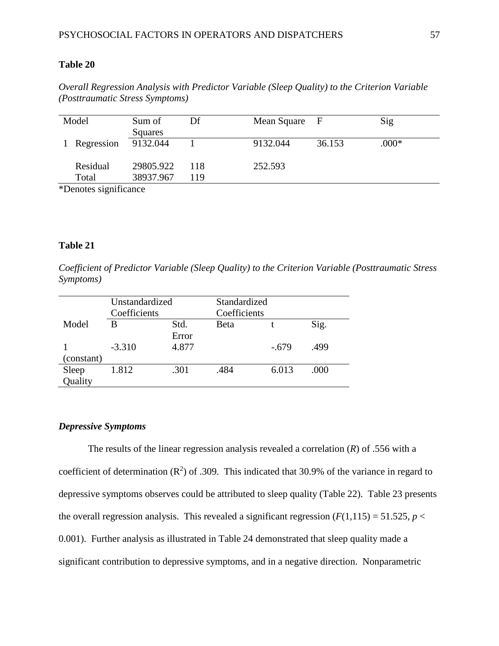*Overall Regression Analysis with Predictor Variable (Sleep Quality) to the Criterion Variable (Posttraumatic Stress Symptoms)*

| Model                             | Sum of<br>Squares | Df  | Mean Square | - F    | Sig     |
|-----------------------------------|-------------------|-----|-------------|--------|---------|
| Regression                        | 9132.044          |     | 9132.044    | 36.153 | $.000*$ |
| Residual                          | 29805.922         | 118 | 252.593     |        |         |
| Total<br>$*$ Donotog gjanjficanog | 38937.967         | 119 |             |        |         |

\*Denotes significance

#### **Table 21**

*Coefficient of Predictor Variable (Sleep Quality) to the Criterion Variable (Posttraumatic Stress Symptoms)*

|                  | Unstandardized<br>Coefficients |               | Standardized<br>Coefficients |         |      |
|------------------|--------------------------------|---------------|------------------------------|---------|------|
| Model            | В                              | Std.<br>Error | <b>B</b> eta                 |         | Sig. |
| (constant)       | $-3.310$                       | 4.877         |                              | $-.679$ | .499 |
| Sleep<br>Quality | 1.812                          | .301          | .484                         | 6.013   | .000 |

### *Depressive Symptoms*

The results of the linear regression analysis revealed a correlation (*R*) of .556 with a coefficient of determination  $(R^2)$  of .309. This indicated that 30.9% of the variance in regard to depressive symptoms observes could be attributed to sleep quality (Table 22). Table 23 presents the overall regression analysis. This revealed a significant regression  $(F(1,115) = 51.525, p <$ 0.001). Further analysis as illustrated in Table 24 demonstrated that sleep quality made a significant contribution to depressive symptoms, and in a negative direction. Nonparametric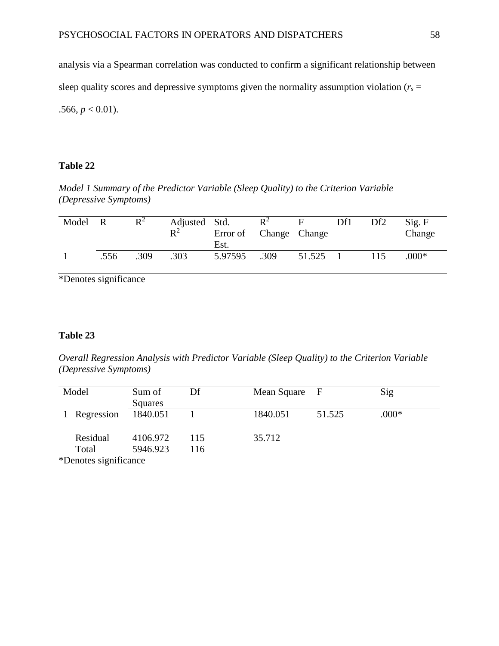analysis via a Spearman correlation was conducted to confirm a significant relationship between sleep quality scores and depressive symptoms given the normality assumption violation ( $r_s$  = .566,  $p < 0.01$ ).

## **Table 22**

*Model 1 Summary of the Predictor Variable (Sleep Quality) to the Criterion Variable (Depressive Symptoms)*

| Model R |      | $R^2$ | Adjusted Std.<br>$\mathbb{R}^2$ | Error of Change Change<br>Est. | $R^2$ | E      | Df1 | Df2 | Sig. F<br>Change |
|---------|------|-------|---------------------------------|--------------------------------|-------|--------|-----|-----|------------------|
|         | .556 | .309  | .303                            | 5.97595                        | .309  | 51.525 |     | 115 | $.000*$          |

\*Denotes significance

## **Table 23**

*Overall Regression Analysis with Predictor Variable (Sleep Quality) to the Criterion Variable (Depressive Symptoms)* 

| Model             | Sum of<br>Squares    | Df         | Mean Square | - F    | Sig     |
|-------------------|----------------------|------------|-------------|--------|---------|
| Regression        | 1840.051             |            | 1840.051    | 51.525 | $.000*$ |
| Residual<br>Total | 4106.972<br>5946.923 | 115<br>116 | 35.712      |        |         |

\*Denotes significance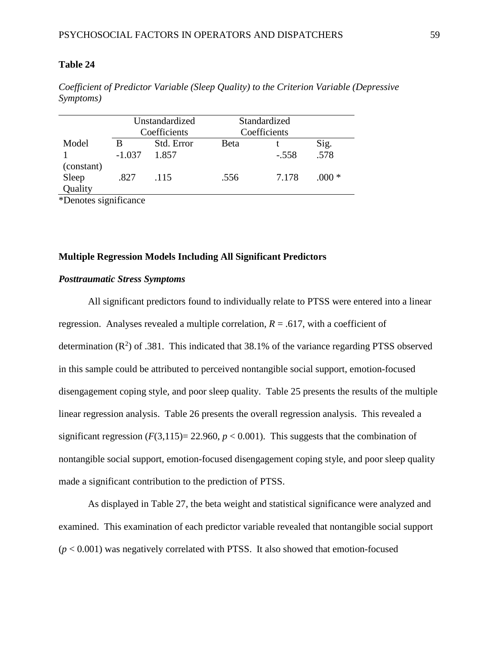|                  |          | Unstandardized<br>Coefficients | Standardized<br>Coefficients |         |         |
|------------------|----------|--------------------------------|------------------------------|---------|---------|
| Model            |          | Std. Error                     | <b>Beta</b>                  |         | Sig.    |
| (constant)       | $-1.037$ | 1.857                          |                              | $-.558$ | .578    |
| Sleep<br>Quality | .827     | .115                           | .556                         | 7.178   | $.000*$ |

*Coefficient of Predictor Variable (Sleep Quality) to the Criterion Variable (Depressive Symptoms)* 

\*Denotes significance

## **Multiple Regression Models Including All Significant Predictors**

#### *Posttraumatic Stress Symptoms*

All significant predictors found to individually relate to PTSS were entered into a linear regression. Analyses revealed a multiple correlation,  $R = .617$ , with a coefficient of determination  $(R^2)$  of .381. This indicated that 38.1% of the variance regarding PTSS observed in this sample could be attributed to perceived nontangible social support, emotion-focused disengagement coping style, and poor sleep quality. Table 25 presents the results of the multiple linear regression analysis. Table 26 presents the overall regression analysis. This revealed a significant regression  $(F(3,115)=22.960, p<0.001)$ . This suggests that the combination of nontangible social support, emotion-focused disengagement coping style, and poor sleep quality made a significant contribution to the prediction of PTSS.

As displayed in Table 27, the beta weight and statistical significance were analyzed and examined. This examination of each predictor variable revealed that nontangible social support  $(p < 0.001)$  was negatively correlated with PTSS. It also showed that emotion-focused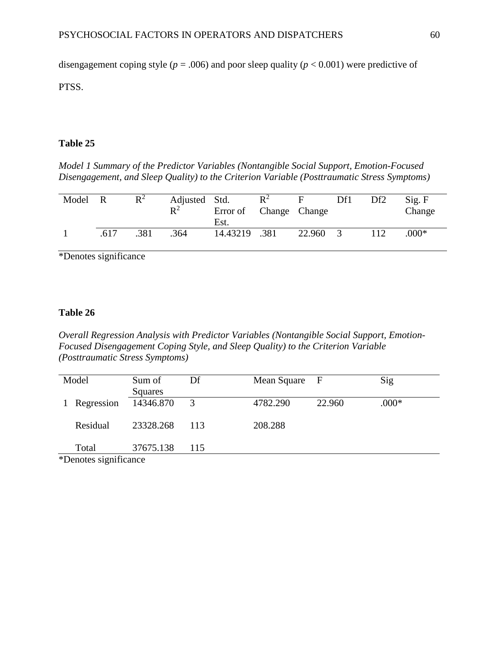disengagement coping style ( $p = .006$ ) and poor sleep quality ( $p < 0.001$ ) were predictive of

PTSS.

## **Table 25**

*Model 1 Summary of the Predictor Variables (Nontangible Social Support, Emotion-Focused Disengagement, and Sleep Quality) to the Criterion Variable (Posttraumatic Stress Symptoms)* 

| Model | $\overline{R}$ | $R^2$ | Adjusted Std.<br>$\mathbb{R}^2$ | Error of Change Change<br>Est. | $R^2$ | E      | Df1 | Df2 | Sig. F<br>Change |
|-------|----------------|-------|---------------------------------|--------------------------------|-------|--------|-----|-----|------------------|
|       | .617           | .381  | .364                            | 14.43219 .381                  |       | 22.960 |     | 112 | $.000*$          |

\*Denotes significance

## **Table 26**

*Overall Regression Analysis with Predictor Variables (Nontangible Social Support, Emotion-Focused Disengagement Coping Style, and Sleep Quality) to the Criterion Variable (Posttraumatic Stress Symptoms)* 

|   | Model                 | Sum of    | Df  | Mean Square F |        | Sig     |  |
|---|-----------------------|-----------|-----|---------------|--------|---------|--|
|   |                       | Squares   |     |               |        |         |  |
| 1 | Regression            | 14346.870 | 3   | 4782.290      | 22.960 | $.000*$ |  |
|   |                       |           |     |               |        |         |  |
|   | Residual              | 23328.268 | 113 | 208.288       |        |         |  |
|   |                       |           |     |               |        |         |  |
|   | Total                 | 37675.138 | 115 |               |        |         |  |
|   | *Denotes significance |           |     |               |        |         |  |

\*Denotes significance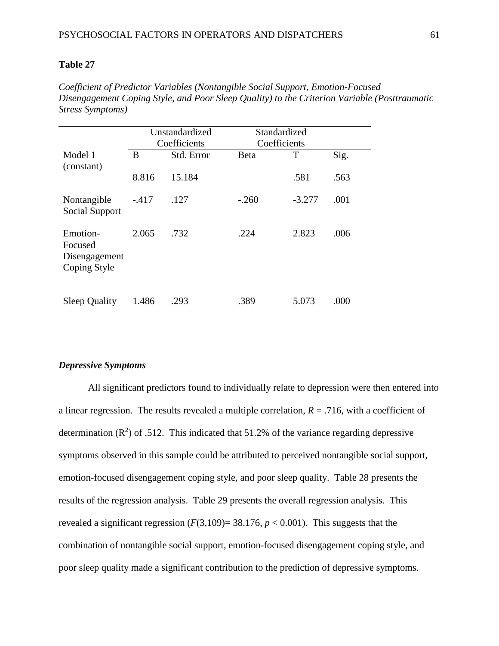*Coefficient of Predictor Variables (Nontangible Social Support, Emotion-Focused Disengagement Coping Style, and Poor Sleep Quality) to the Criterion Variable (Posttraumatic Stress Symptoms)*

|                                                      | Unstandardized<br>Coefficients |            | Standardized<br>Coefficients |          |      |  |
|------------------------------------------------------|--------------------------------|------------|------------------------------|----------|------|--|
| Model 1<br>(constant)                                | B                              | Std. Error | <b>Beta</b>                  | Τ        | Sig. |  |
|                                                      | 8.816                          | 15.184     |                              | .581     | .563 |  |
| Nontangible<br>Social Support                        | $-.417$                        | .127       | $-.260$                      | $-3.277$ | .001 |  |
| Emotion-<br>Focused<br>Disengagement<br>Coping Style | 2.065                          | .732       | .224                         | 2.823    | .006 |  |
| <b>Sleep Quality</b>                                 | 1.486                          | .293       | .389                         | 5.073    | .000 |  |

#### *Depressive Symptoms*

All significant predictors found to individually relate to depression were then entered into a linear regression. The results revealed a multiple correlation,  $R = .716$ , with a coefficient of determination  $(R^2)$  of .512. This indicated that 51.2% of the variance regarding depressive symptoms observed in this sample could be attributed to perceived nontangible social support, emotion-focused disengagement coping style, and poor sleep quality. Table 28 presents the results of the regression analysis. Table 29 presents the overall regression analysis. This revealed a significant regression  $(F(3,109)=38.176, p<0.001)$ . This suggests that the combination of nontangible social support, emotion-focused disengagement coping style, and poor sleep quality made a significant contribution to the prediction of depressive symptoms.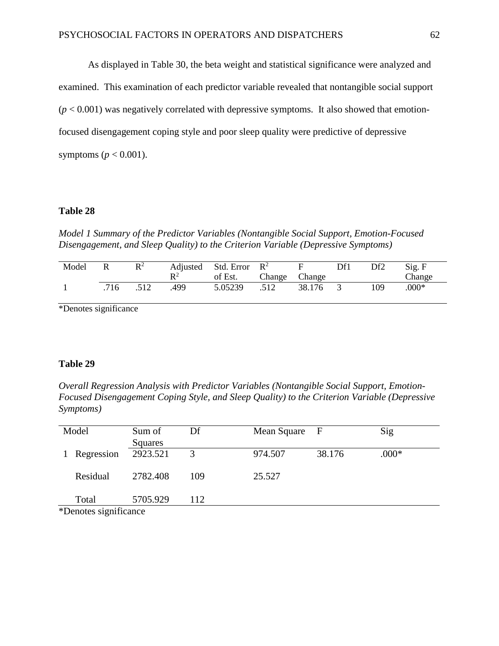As displayed in Table 30, the beta weight and statistical significance were analyzed and examined. This examination of each predictor variable revealed that nontangible social support  $(p < 0.001)$  was negatively correlated with depressive symptoms. It also showed that emotionfocused disengagement coping style and poor sleep quality were predictive of depressive symptoms ( $p < 0.001$ ).

#### **Table 28**

*Model 1 Summary of the Predictor Variables (Nontangible Social Support, Emotion-Focused Disengagement, and Sleep Quality) to the Criterion Variable (Depressive Symptoms)* 

| Model | R    | $\mathbb{R}^2$ | $\mathbf{p}$ <sup>2</sup> | Adjusted Std. Error $R^2$<br>of Est. | Change Change |        | Df1 | Df2 | Sig. F<br>Change |
|-------|------|----------------|---------------------------|--------------------------------------|---------------|--------|-----|-----|------------------|
|       | .716 | .512           | .499                      | 5.05239                              | .512          | 38.176 |     | 109 | $.000*$          |

\*Denotes significance

### **Table 29**

*Overall Regression Analysis with Predictor Variables (Nontangible Social Support, Emotion-Focused Disengagement Coping Style, and Sleep Quality) to the Criterion Variable (Depressive Symptoms)* 

| Model |                       | Sum of   | Df  | Mean Square F |        | Sig     |  |
|-------|-----------------------|----------|-----|---------------|--------|---------|--|
|       |                       | Squares  |     |               |        |         |  |
|       | Regression            | 2923.521 | 3   | 974.507       | 38.176 | $.000*$ |  |
|       |                       |          |     |               |        |         |  |
|       | Residual              | 2782.408 | 109 | 25.527        |        |         |  |
|       |                       |          |     |               |        |         |  |
|       | Total                 | 5705.929 | 112 |               |        |         |  |
|       | *Denotes significance |          |     |               |        |         |  |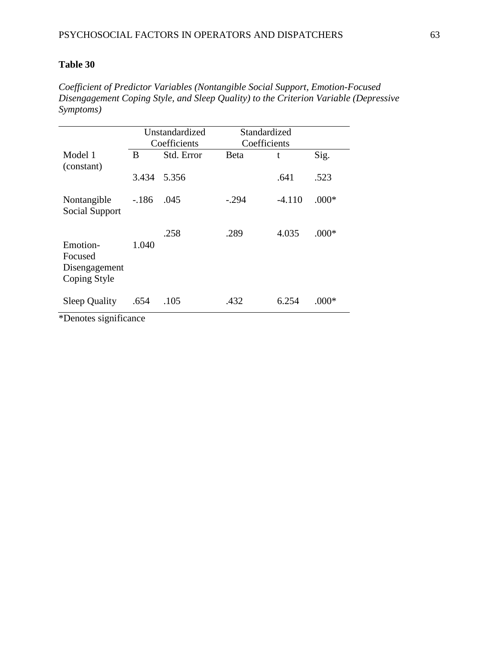*Coefficient of Predictor Variables (Nontangible Social Support, Emotion-Focused Disengagement Coping Style, and Sleep Quality) to the Criterion Variable (Depressive Symptoms)*

|                                                      |         | Unstandardized<br>Coefficients | Standardized<br>Coefficients |          |         |
|------------------------------------------------------|---------|--------------------------------|------------------------------|----------|---------|
| Model 1<br>(constant)                                | B       | Std. Error                     | Beta                         | t        | Sig.    |
|                                                      | 3.434   | 5.356                          |                              | .641     | .523    |
| Nontangible<br>Social Support                        | $-.186$ | .045                           | $-.294$                      | $-4.110$ | $.000*$ |
| Emotion-<br>Focused<br>Disengagement<br>Coping Style | 1.040   | .258                           | .289                         | 4.035    | $.000*$ |
| <b>Sleep Quality</b>                                 | .654    | .105                           | .432                         | 6.254    | .000*   |

\*Denotes significance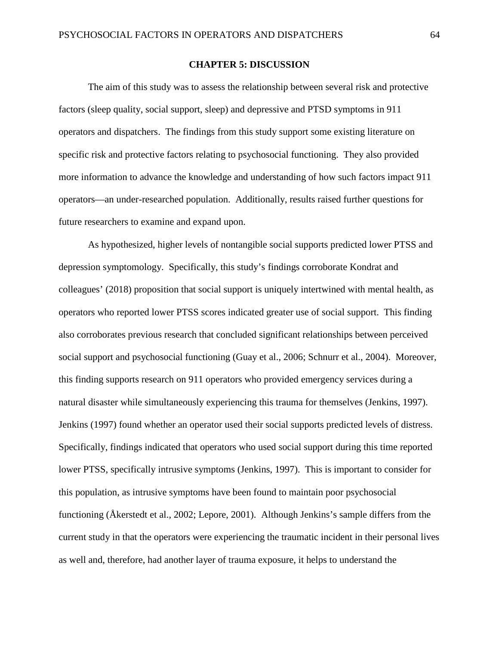### **CHAPTER 5: DISCUSSION**

The aim of this study was to assess the relationship between several risk and protective factors (sleep quality, social support, sleep) and depressive and PTSD symptoms in 911 operators and dispatchers. The findings from this study support some existing literature on specific risk and protective factors relating to psychosocial functioning. They also provided more information to advance the knowledge and understanding of how such factors impact 911 operators—an under-researched population. Additionally, results raised further questions for future researchers to examine and expand upon.

As hypothesized, higher levels of nontangible social supports predicted lower PTSS and depression symptomology. Specifically, this study's findings corroborate Kondrat and colleagues' (2018) proposition that social support is uniquely intertwined with mental health, as operators who reported lower PTSS scores indicated greater use of social support. This finding also corroborates previous research that concluded significant relationships between perceived social support and psychosocial functioning (Guay et al., 2006; Schnurr et al., 2004). Moreover, this finding supports research on 911 operators who provided emergency services during a natural disaster while simultaneously experiencing this trauma for themselves (Jenkins, 1997). Jenkins (1997) found whether an operator used their social supports predicted levels of distress. Specifically, findings indicated that operators who used social support during this time reported lower PTSS, specifically intrusive symptoms (Jenkins, 1997). This is important to consider for this population, as intrusive symptoms have been found to maintain poor psychosocial functioning (Åkerstedt et al., 2002; Lepore, 2001). Although Jenkins's sample differs from the current study in that the operators were experiencing the traumatic incident in their personal lives as well and, therefore, had another layer of trauma exposure, it helps to understand the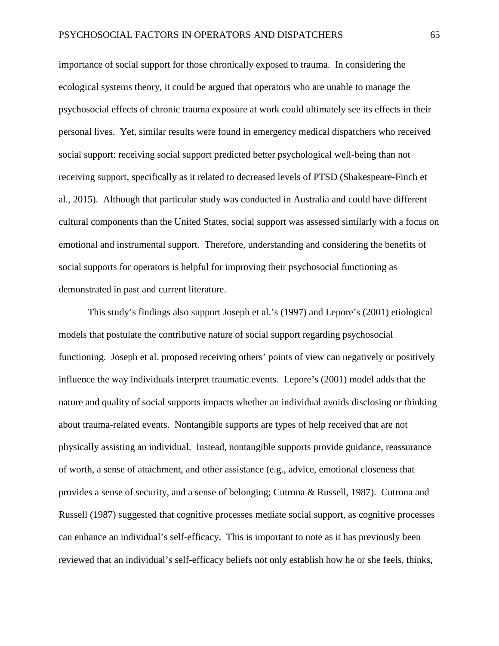importance of social support for those chronically exposed to trauma. In considering the ecological systems theory, it could be argued that operators who are unable to manage the psychosocial effects of chronic trauma exposure at work could ultimately see its effects in their personal lives. Yet, similar results were found in emergency medical dispatchers who received social support: receiving social support predicted better psychological well-being than not receiving support, specifically as it related to decreased levels of PTSD (Shakespeare-Finch et al., 2015). Although that particular study was conducted in Australia and could have different cultural components than the United States, social support was assessed similarly with a focus on emotional and instrumental support. Therefore, understanding and considering the benefits of social supports for operators is helpful for improving their psychosocial functioning as demonstrated in past and current literature.

This study's findings also support Joseph et al.'s (1997) and Lepore's (2001) etiological models that postulate the contributive nature of social support regarding psychosocial functioning. Joseph et al. proposed receiving others' points of view can negatively or positively influence the way individuals interpret traumatic events. Lepore's (2001) model adds that the nature and quality of social supports impacts whether an individual avoids disclosing or thinking about trauma-related events. Nontangible supports are types of help received that are not physically assisting an individual. Instead, nontangible supports provide guidance, reassurance of worth, a sense of attachment, and other assistance (e.g., advice, emotional closeness that provides a sense of security, and a sense of belonging; Cutrona & Russell, 1987). Cutrona and Russell (1987) suggested that cognitive processes mediate social support, as cognitive processes can enhance an individual's self-efficacy. This is important to note as it has previously been reviewed that an individual's self-efficacy beliefs not only establish how he or she feels, thinks,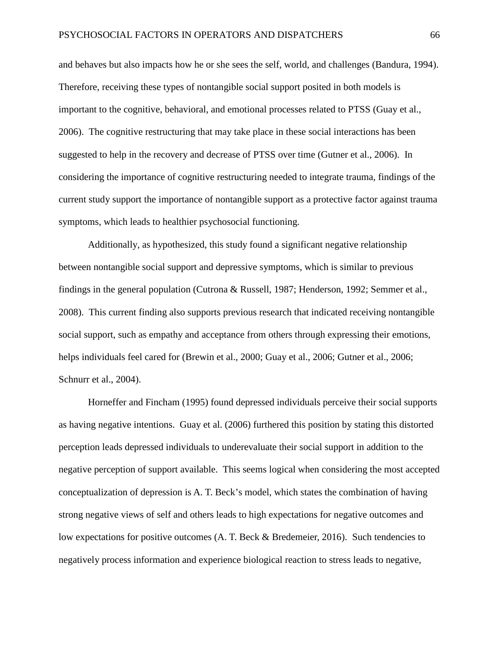and behaves but also impacts how he or she sees the self, world, and challenges (Bandura, 1994). Therefore, receiving these types of nontangible social support posited in both models is important to the cognitive, behavioral, and emotional processes related to PTSS (Guay et al., 2006). The cognitive restructuring that may take place in these social interactions has been suggested to help in the recovery and decrease of PTSS over time (Gutner et al., 2006). In considering the importance of cognitive restructuring needed to integrate trauma, findings of the current study support the importance of nontangible support as a protective factor against trauma symptoms, which leads to healthier psychosocial functioning.

Additionally, as hypothesized, this study found a significant negative relationship between nontangible social support and depressive symptoms, which is similar to previous findings in the general population (Cutrona & Russell, 1987; Henderson, 1992; Semmer et al., 2008). This current finding also supports previous research that indicated receiving nontangible social support, such as empathy and acceptance from others through expressing their emotions, helps individuals feel cared for (Brewin et al., 2000; Guay et al., 2006; Gutner et al., 2006; Schnurr et al., 2004).

Horneffer and Fincham (1995) found depressed individuals perceive their social supports as having negative intentions. Guay et al. (2006) furthered this position by stating this distorted perception leads depressed individuals to underevaluate their social support in addition to the negative perception of support available. This seems logical when considering the most accepted conceptualization of depression is A. T. Beck's model, which states the combination of having strong negative views of self and others leads to high expectations for negative outcomes and low expectations for positive outcomes (A. T. Beck & Bredemeier, 2016). Such tendencies to negatively process information and experience biological reaction to stress leads to negative,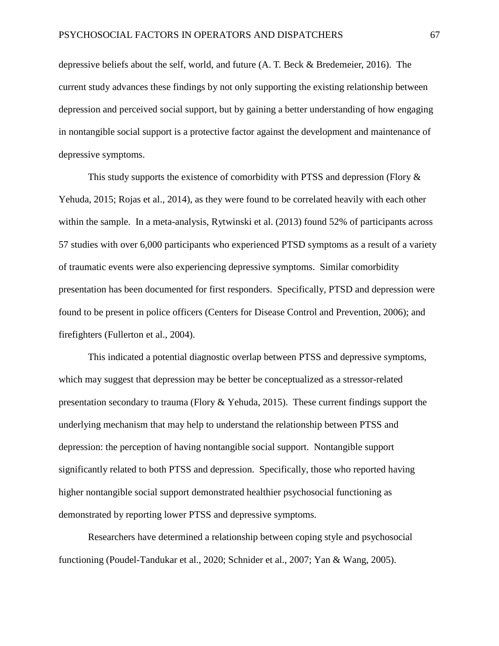depressive beliefs about the self, world, and future (A. T. Beck & Bredemeier, 2016). The current study advances these findings by not only supporting the existing relationship between depression and perceived social support, but by gaining a better understanding of how engaging in nontangible social support is a protective factor against the development and maintenance of depressive symptoms.

This study supports the existence of comorbidity with PTSS and depression (Flory  $\&$ Yehuda, 2015; Rojas et al., 2014), as they were found to be correlated heavily with each other within the sample. In a meta-analysis, Rytwinski et al. (2013) found 52% of participants across 57 studies with over 6,000 participants who experienced PTSD symptoms as a result of a variety of traumatic events were also experiencing depressive symptoms. Similar comorbidity presentation has been documented for first responders. Specifically, PTSD and depression were found to be present in police officers (Centers for Disease Control and Prevention, 2006); and firefighters (Fullerton et al., 2004).

This indicated a potential diagnostic overlap between PTSS and depressive symptoms, which may suggest that depression may be better be conceptualized as a stressor-related presentation secondary to trauma (Flory & Yehuda, 2015). These current findings support the underlying mechanism that may help to understand the relationship between PTSS and depression: the perception of having nontangible social support. Nontangible support significantly related to both PTSS and depression. Specifically, those who reported having higher nontangible social support demonstrated healthier psychosocial functioning as demonstrated by reporting lower PTSS and depressive symptoms.

Researchers have determined a relationship between coping style and psychosocial functioning (Poudel-Tandukar et al., 2020; Schnider et al., 2007; Yan & Wang, 2005).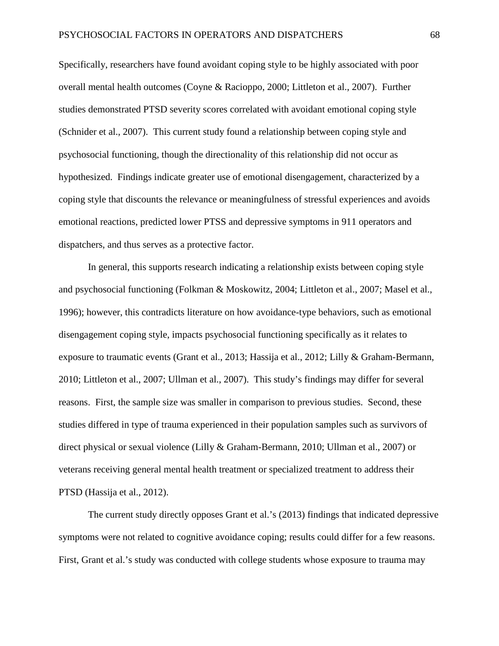Specifically, researchers have found avoidant coping style to be highly associated with poor overall mental health outcomes (Coyne & Racioppo, 2000; Littleton et al., 2007). Further studies demonstrated PTSD severity scores correlated with avoidant emotional coping style (Schnider et al., 2007). This current study found a relationship between coping style and psychosocial functioning, though the directionality of this relationship did not occur as hypothesized. Findings indicate greater use of emotional disengagement, characterized by a coping style that discounts the relevance or meaningfulness of stressful experiences and avoids emotional reactions, predicted lower PTSS and depressive symptoms in 911 operators and dispatchers, and thus serves as a protective factor.

In general, this supports research indicating a relationship exists between coping style and psychosocial functioning (Folkman & Moskowitz, 2004; Littleton et al., 2007; Masel et al., 1996); however, this contradicts literature on how avoidance-type behaviors, such as emotional disengagement coping style, impacts psychosocial functioning specifically as it relates to exposure to traumatic events (Grant et al., 2013; Hassija et al., 2012; Lilly & Graham-Bermann, 2010; Littleton et al., 2007; Ullman et al., 2007). This study's findings may differ for several reasons. First, the sample size was smaller in comparison to previous studies. Second, these studies differed in type of trauma experienced in their population samples such as survivors of direct physical or sexual violence (Lilly & Graham-Bermann, 2010; Ullman et al., 2007) or veterans receiving general mental health treatment or specialized treatment to address their PTSD (Hassija et al., 2012).

The current study directly opposes Grant et al.'s (2013) findings that indicated depressive symptoms were not related to cognitive avoidance coping; results could differ for a few reasons. First, Grant et al.'s study was conducted with college students whose exposure to trauma may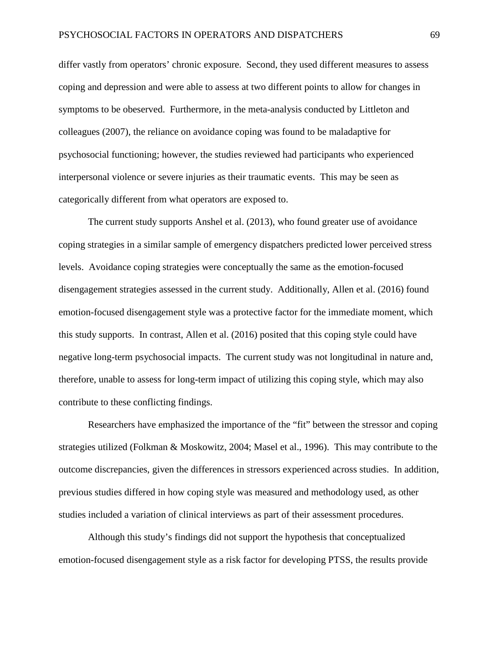differ vastly from operators' chronic exposure. Second, they used different measures to assess coping and depression and were able to assess at two different points to allow for changes in symptoms to be obeserved. Furthermore, in the meta-analysis conducted by Littleton and colleagues (2007), the reliance on avoidance coping was found to be maladaptive for psychosocial functioning; however, the studies reviewed had participants who experienced interpersonal violence or severe injuries as their traumatic events. This may be seen as categorically different from what operators are exposed to.

The current study supports Anshel et al. (2013), who found greater use of avoidance coping strategies in a similar sample of emergency dispatchers predicted lower perceived stress levels. Avoidance coping strategies were conceptually the same as the emotion-focused disengagement strategies assessed in the current study. Additionally, Allen et al. (2016) found emotion-focused disengagement style was a protective factor for the immediate moment, which this study supports. In contrast, Allen et al. (2016) posited that this coping style could have negative long-term psychosocial impacts. The current study was not longitudinal in nature and, therefore, unable to assess for long-term impact of utilizing this coping style, which may also contribute to these conflicting findings.

Researchers have emphasized the importance of the "fit" between the stressor and coping strategies utilized (Folkman & Moskowitz, 2004; Masel et al., 1996). This may contribute to the outcome discrepancies, given the differences in stressors experienced across studies. In addition, previous studies differed in how coping style was measured and methodology used, as other studies included a variation of clinical interviews as part of their assessment procedures.

Although this study's findings did not support the hypothesis that conceptualized emotion-focused disengagement style as a risk factor for developing PTSS, the results provide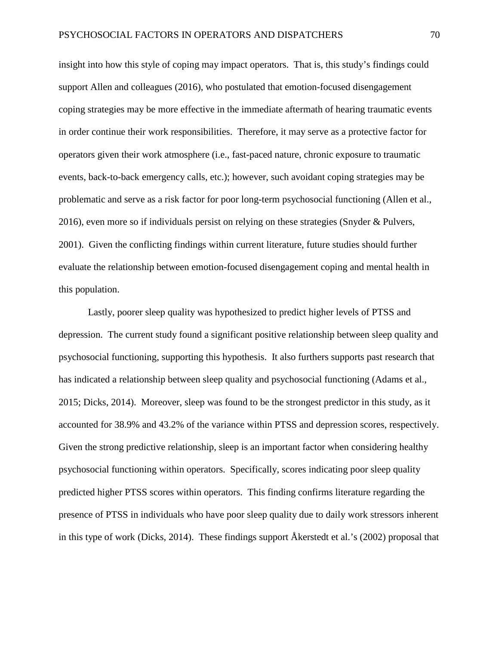insight into how this style of coping may impact operators. That is, this study's findings could support Allen and colleagues (2016), who postulated that emotion-focused disengagement coping strategies may be more effective in the immediate aftermath of hearing traumatic events in order continue their work responsibilities. Therefore, it may serve as a protective factor for operators given their work atmosphere (i.e., fast-paced nature, chronic exposure to traumatic events, back-to-back emergency calls, etc.); however, such avoidant coping strategies may be problematic and serve as a risk factor for poor long-term psychosocial functioning (Allen et al., 2016), even more so if individuals persist on relying on these strategies (Snyder & Pulvers, 2001). Given the conflicting findings within current literature, future studies should further evaluate the relationship between emotion-focused disengagement coping and mental health in this population.

Lastly, poorer sleep quality was hypothesized to predict higher levels of PTSS and depression. The current study found a significant positive relationship between sleep quality and psychosocial functioning, supporting this hypothesis. It also furthers supports past research that has indicated a relationship between sleep quality and psychosocial functioning (Adams et al., 2015; Dicks, 2014). Moreover, sleep was found to be the strongest predictor in this study, as it accounted for 38.9% and 43.2% of the variance within PTSS and depression scores, respectively. Given the strong predictive relationship, sleep is an important factor when considering healthy psychosocial functioning within operators. Specifically, scores indicating poor sleep quality predicted higher PTSS scores within operators. This finding confirms literature regarding the presence of PTSS in individuals who have poor sleep quality due to daily work stressors inherent in this type of work (Dicks, 2014). These findings support Åkerstedt et al.'s (2002) proposal that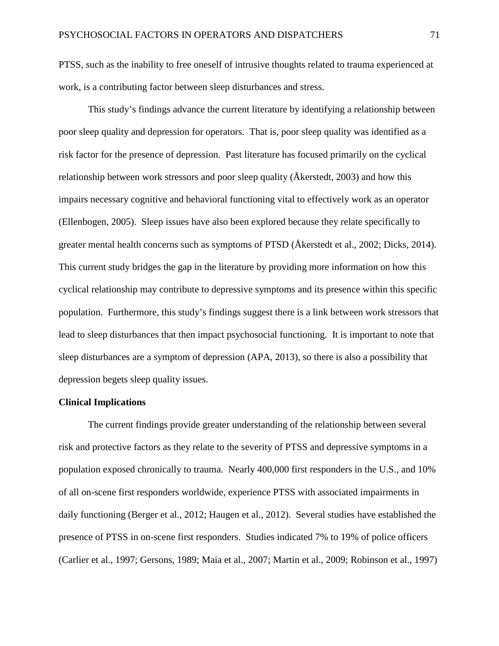PTSS, such as the inability to free oneself of intrusive thoughts related to trauma experienced at work, is a contributing factor between sleep disturbances and stress.

This study's findings advance the current literature by identifying a relationship between poor sleep quality and depression for operators. That is, poor sleep quality was identified as a risk factor for the presence of depression. Past literature has focused primarily on the cyclical relationship between work stressors and poor sleep quality (Åkerstedt, 2003) and how this impairs necessary cognitive and behavioral functioning vital to effectively work as an operator (Ellenbogen, 2005). Sleep issues have also been explored because they relate specifically to greater mental health concerns such as symptoms of PTSD (Åkerstedt et al., 2002; Dicks, 2014). This current study bridges the gap in the literature by providing more information on how this cyclical relationship may contribute to depressive symptoms and its presence within this specific population. Furthermore, this study's findings suggest there is a link between work stressors that lead to sleep disturbances that then impact psychosocial functioning. It is important to note that sleep disturbances are a symptom of depression (APA, 2013), so there is also a possibility that depression begets sleep quality issues.

# **Clinical Implications**

The current findings provide greater understanding of the relationship between several risk and protective factors as they relate to the severity of PTSS and depressive symptoms in a population exposed chronically to trauma. Nearly 400,000 first responders in the U.S., and 10% of all on-scene first responders worldwide, experience PTSS with associated impairments in daily functioning (Berger et al., 2012; Haugen et al., 2012). Several studies have established the presence of PTSS in on-scene first responders. Studies indicated 7% to 19% of police officers (Carlier et al., 1997; Gersons, 1989; Maia et al., 2007; Martin et al., 2009; Robinson et al., 1997)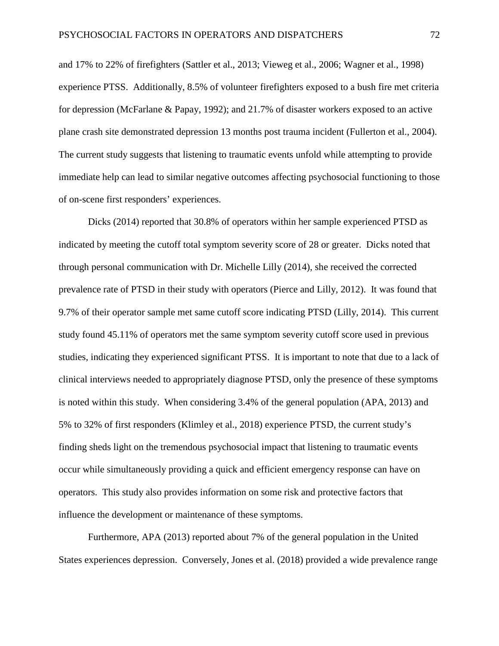and 17% to 22% of firefighters (Sattler et al., 2013; Vieweg et al., 2006; Wagner et al., 1998) experience PTSS. Additionally, 8.5% of volunteer firefighters exposed to a bush fire met criteria for depression (McFarlane & Papay, 1992); and 21.7% of disaster workers exposed to an active plane crash site demonstrated depression 13 months post trauma incident (Fullerton et al., 2004). The current study suggests that listening to traumatic events unfold while attempting to provide immediate help can lead to similar negative outcomes affecting psychosocial functioning to those of on-scene first responders' experiences.

Dicks (2014) reported that 30.8% of operators within her sample experienced PTSD as indicated by meeting the cutoff total symptom severity score of 28 or greater. Dicks noted that through personal communication with Dr. Michelle Lilly (2014), she received the corrected prevalence rate of PTSD in their study with operators (Pierce and Lilly, 2012). It was found that 9.7% of their operator sample met same cutoff score indicating PTSD (Lilly, 2014). This current study found 45.11% of operators met the same symptom severity cutoff score used in previous studies, indicating they experienced significant PTSS. It is important to note that due to a lack of clinical interviews needed to appropriately diagnose PTSD, only the presence of these symptoms is noted within this study. When considering 3.4% of the general population (APA, 2013) and 5% to 32% of first responders (Klimley et al., 2018) experience PTSD, the current study's finding sheds light on the tremendous psychosocial impact that listening to traumatic events occur while simultaneously providing a quick and efficient emergency response can have on operators. This study also provides information on some risk and protective factors that influence the development or maintenance of these symptoms.

Furthermore, APA (2013) reported about 7% of the general population in the United States experiences depression. Conversely, Jones et al. (2018) provided a wide prevalence range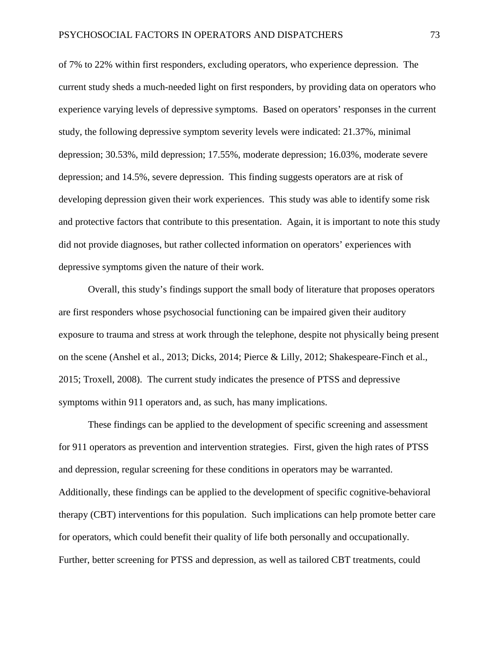of 7% to 22% within first responders, excluding operators, who experience depression. The current study sheds a much-needed light on first responders, by providing data on operators who experience varying levels of depressive symptoms. Based on operators' responses in the current study, the following depressive symptom severity levels were indicated: 21.37%, minimal depression; 30.53%, mild depression; 17.55%, moderate depression; 16.03%, moderate severe depression; and 14.5%, severe depression. This finding suggests operators are at risk of developing depression given their work experiences. This study was able to identify some risk and protective factors that contribute to this presentation. Again, it is important to note this study did not provide diagnoses, but rather collected information on operators' experiences with depressive symptoms given the nature of their work.

Overall, this study's findings support the small body of literature that proposes operators are first responders whose psychosocial functioning can be impaired given their auditory exposure to trauma and stress at work through the telephone, despite not physically being present on the scene (Anshel et al., 2013; Dicks, 2014; Pierce & Lilly, 2012; Shakespeare-Finch et al., 2015; Troxell, 2008). The current study indicates the presence of PTSS and depressive symptoms within 911 operators and, as such, has many implications.

These findings can be applied to the development of specific screening and assessment for 911 operators as prevention and intervention strategies. First, given the high rates of PTSS and depression, regular screening for these conditions in operators may be warranted. Additionally, these findings can be applied to the development of specific cognitive-behavioral therapy (CBT) interventions for this population. Such implications can help promote better care for operators, which could benefit their quality of life both personally and occupationally. Further, better screening for PTSS and depression, as well as tailored CBT treatments, could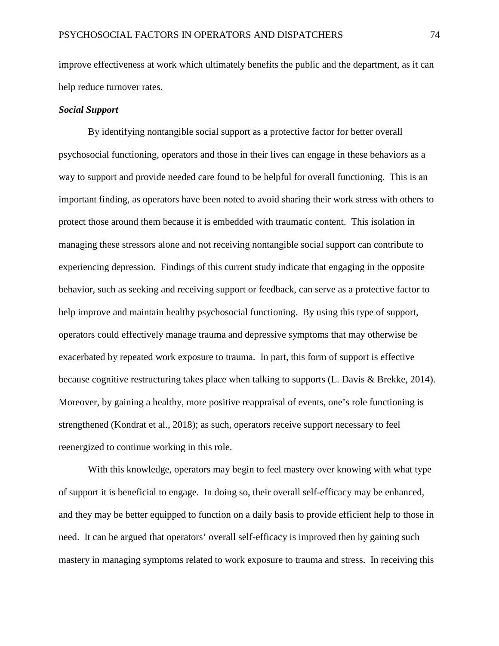improve effectiveness at work which ultimately benefits the public and the department, as it can help reduce turnover rates.

# *Social Support*

By identifying nontangible social support as a protective factor for better overall psychosocial functioning, operators and those in their lives can engage in these behaviors as a way to support and provide needed care found to be helpful for overall functioning. This is an important finding, as operators have been noted to avoid sharing their work stress with others to protect those around them because it is embedded with traumatic content. This isolation in managing these stressors alone and not receiving nontangible social support can contribute to experiencing depression. Findings of this current study indicate that engaging in the opposite behavior, such as seeking and receiving support or feedback, can serve as a protective factor to help improve and maintain healthy psychosocial functioning. By using this type of support, operators could effectively manage trauma and depressive symptoms that may otherwise be exacerbated by repeated work exposure to trauma. In part, this form of support is effective because cognitive restructuring takes place when talking to supports (L. Davis & Brekke, 2014). Moreover, by gaining a healthy, more positive reappraisal of events, one's role functioning is strengthened (Kondrat et al., 2018); as such, operators receive support necessary to feel reenergized to continue working in this role.

With this knowledge, operators may begin to feel mastery over knowing with what type of support it is beneficial to engage. In doing so, their overall self-efficacy may be enhanced, and they may be better equipped to function on a daily basis to provide efficient help to those in need. It can be argued that operators' overall self-efficacy is improved then by gaining such mastery in managing symptoms related to work exposure to trauma and stress. In receiving this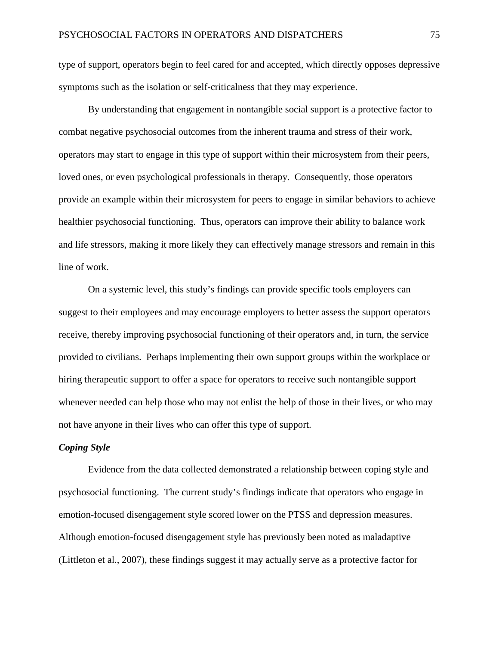type of support, operators begin to feel cared for and accepted, which directly opposes depressive symptoms such as the isolation or self-criticalness that they may experience.

By understanding that engagement in nontangible social support is a protective factor to combat negative psychosocial outcomes from the inherent trauma and stress of their work, operators may start to engage in this type of support within their microsystem from their peers, loved ones, or even psychological professionals in therapy. Consequently, those operators provide an example within their microsystem for peers to engage in similar behaviors to achieve healthier psychosocial functioning. Thus, operators can improve their ability to balance work and life stressors, making it more likely they can effectively manage stressors and remain in this line of work.

On a systemic level, this study's findings can provide specific tools employers can suggest to their employees and may encourage employers to better assess the support operators receive, thereby improving psychosocial functioning of their operators and, in turn, the service provided to civilians. Perhaps implementing their own support groups within the workplace or hiring therapeutic support to offer a space for operators to receive such nontangible support whenever needed can help those who may not enlist the help of those in their lives, or who may not have anyone in their lives who can offer this type of support.

#### *Coping Style*

Evidence from the data collected demonstrated a relationship between coping style and psychosocial functioning. The current study's findings indicate that operators who engage in emotion-focused disengagement style scored lower on the PTSS and depression measures. Although emotion-focused disengagement style has previously been noted as maladaptive (Littleton et al., 2007), these findings suggest it may actually serve as a protective factor for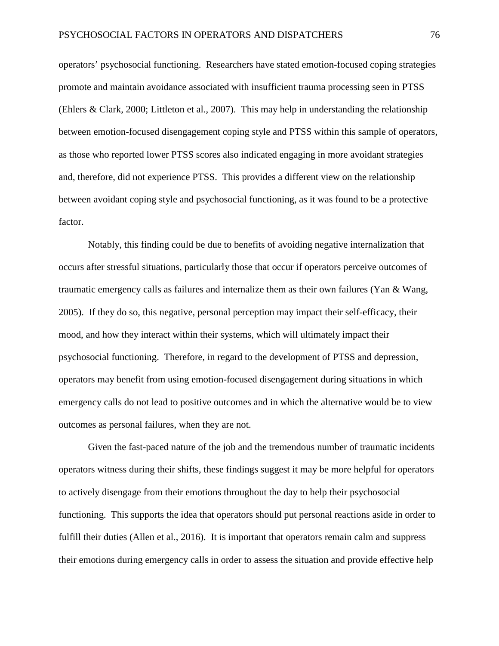operators' psychosocial functioning. Researchers have stated emotion-focused coping strategies promote and maintain avoidance associated with insufficient trauma processing seen in PTSS (Ehlers & Clark, 2000; Littleton et al., 2007). This may help in understanding the relationship between emotion-focused disengagement coping style and PTSS within this sample of operators, as those who reported lower PTSS scores also indicated engaging in more avoidant strategies and, therefore, did not experience PTSS. This provides a different view on the relationship between avoidant coping style and psychosocial functioning, as it was found to be a protective factor.

Notably, this finding could be due to benefits of avoiding negative internalization that occurs after stressful situations, particularly those that occur if operators perceive outcomes of traumatic emergency calls as failures and internalize them as their own failures (Yan  $\&$  Wang, 2005). If they do so, this negative, personal perception may impact their self-efficacy, their mood, and how they interact within their systems, which will ultimately impact their psychosocial functioning. Therefore, in regard to the development of PTSS and depression, operators may benefit from using emotion-focused disengagement during situations in which emergency calls do not lead to positive outcomes and in which the alternative would be to view outcomes as personal failures, when they are not.

Given the fast-paced nature of the job and the tremendous number of traumatic incidents operators witness during their shifts, these findings suggest it may be more helpful for operators to actively disengage from their emotions throughout the day to help their psychosocial functioning. This supports the idea that operators should put personal reactions aside in order to fulfill their duties (Allen et al., 2016). It is important that operators remain calm and suppress their emotions during emergency calls in order to assess the situation and provide effective help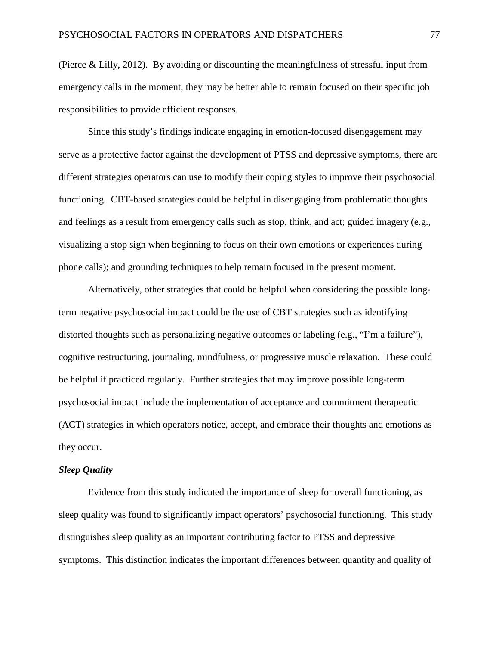(Pierce & Lilly, 2012). By avoiding or discounting the meaningfulness of stressful input from emergency calls in the moment, they may be better able to remain focused on their specific job responsibilities to provide efficient responses.

Since this study's findings indicate engaging in emotion-focused disengagement may serve as a protective factor against the development of PTSS and depressive symptoms, there are different strategies operators can use to modify their coping styles to improve their psychosocial functioning. CBT-based strategies could be helpful in disengaging from problematic thoughts and feelings as a result from emergency calls such as stop, think, and act; guided imagery (e.g., visualizing a stop sign when beginning to focus on their own emotions or experiences during phone calls); and grounding techniques to help remain focused in the present moment.

Alternatively, other strategies that could be helpful when considering the possible longterm negative psychosocial impact could be the use of CBT strategies such as identifying distorted thoughts such as personalizing negative outcomes or labeling (e.g., "I'm a failure"), cognitive restructuring, journaling, mindfulness, or progressive muscle relaxation. These could be helpful if practiced regularly. Further strategies that may improve possible long-term psychosocial impact include the implementation of acceptance and commitment therapeutic (ACT) strategies in which operators notice, accept, and embrace their thoughts and emotions as they occur.

# *Sleep Quality*

Evidence from this study indicated the importance of sleep for overall functioning, as sleep quality was found to significantly impact operators' psychosocial functioning. This study distinguishes sleep quality as an important contributing factor to PTSS and depressive symptoms. This distinction indicates the important differences between quantity and quality of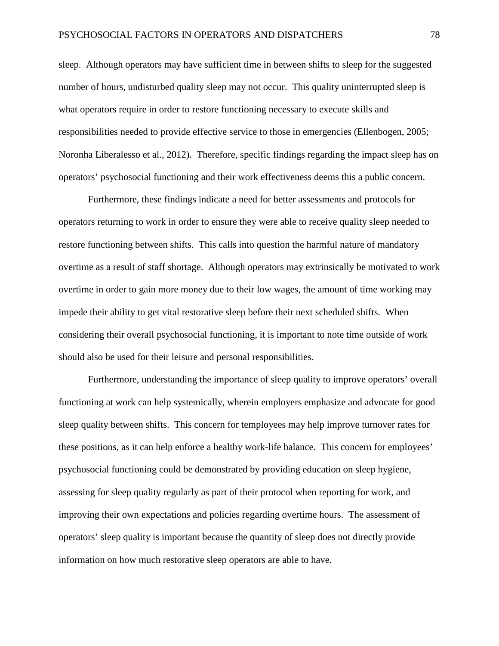sleep. Although operators may have sufficient time in between shifts to sleep for the suggested number of hours, undisturbed quality sleep may not occur. This quality uninterrupted sleep is what operators require in order to restore functioning necessary to execute skills and responsibilities needed to provide effective service to those in emergencies (Ellenbogen, 2005; Noronha Liberalesso et al., 2012). Therefore, specific findings regarding the impact sleep has on operators' psychosocial functioning and their work effectiveness deems this a public concern.

Furthermore, these findings indicate a need for better assessments and protocols for operators returning to work in order to ensure they were able to receive quality sleep needed to restore functioning between shifts. This calls into question the harmful nature of mandatory overtime as a result of staff shortage. Although operators may extrinsically be motivated to work overtime in order to gain more money due to their low wages, the amount of time working may impede their ability to get vital restorative sleep before their next scheduled shifts. When considering their overall psychosocial functioning, it is important to note time outside of work should also be used for their leisure and personal responsibilities.

Furthermore, understanding the importance of sleep quality to improve operators' overall functioning at work can help systemically, wherein employers emphasize and advocate for good sleep quality between shifts. This concern for temployees may help improve turnover rates for these positions, as it can help enforce a healthy work-life balance. This concern for employees' psychosocial functioning could be demonstrated by providing education on sleep hygiene, assessing for sleep quality regularly as part of their protocol when reporting for work, and improving their own expectations and policies regarding overtime hours. The assessment of operators' sleep quality is important because the quantity of sleep does not directly provide information on how much restorative sleep operators are able to have.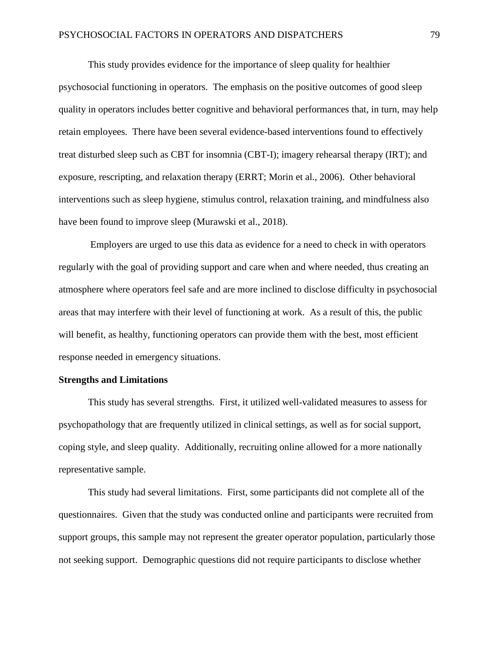This study provides evidence for the importance of sleep quality for healthier psychosocial functioning in operators. The emphasis on the positive outcomes of good sleep quality in operators includes better cognitive and behavioral performances that, in turn, may help retain employees. There have been several evidence-based interventions found to effectively treat disturbed sleep such as CBT for insomnia (CBT-I); imagery rehearsal therapy (IRT); and exposure, rescripting, and relaxation therapy (ERRT; Morin et al., 2006). Other behavioral interventions such as sleep hygiene, stimulus control, relaxation training, and mindfulness also have been found to improve sleep (Murawski et al., 2018).

Employers are urged to use this data as evidence for a need to check in with operators regularly with the goal of providing support and care when and where needed, thus creating an atmosphere where operators feel safe and are more inclined to disclose difficulty in psychosocial areas that may interfere with their level of functioning at work. As a result of this, the public will benefit, as healthy, functioning operators can provide them with the best, most efficient response needed in emergency situations.

# **Strengths and Limitations**

This study has several strengths. First, it utilized well-validated measures to assess for psychopathology that are frequently utilized in clinical settings, as well as for social support, coping style, and sleep quality. Additionally, recruiting online allowed for a more nationally representative sample.

This study had several limitations. First, some participants did not complete all of the questionnaires. Given that the study was conducted online and participants were recruited from support groups, this sample may not represent the greater operator population, particularly those not seeking support. Demographic questions did not require participants to disclose whether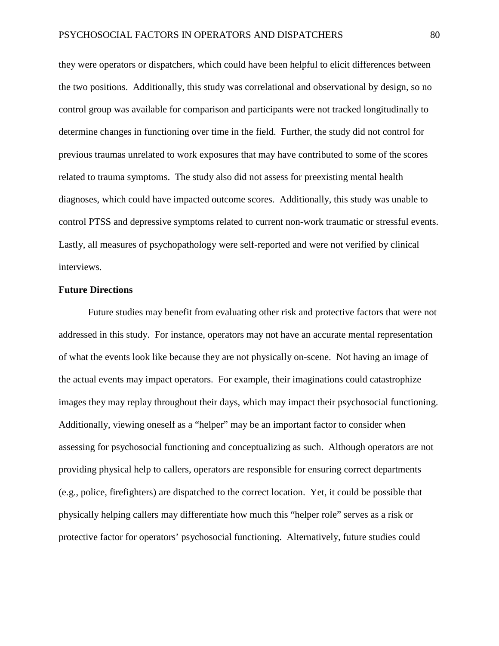they were operators or dispatchers, which could have been helpful to elicit differences between the two positions. Additionally, this study was correlational and observational by design, so no control group was available for comparison and participants were not tracked longitudinally to determine changes in functioning over time in the field. Further, the study did not control for previous traumas unrelated to work exposures that may have contributed to some of the scores related to trauma symptoms. The study also did not assess for preexisting mental health diagnoses, which could have impacted outcome scores. Additionally, this study was unable to control PTSS and depressive symptoms related to current non-work traumatic or stressful events. Lastly, all measures of psychopathology were self-reported and were not verified by clinical interviews.

#### **Future Directions**

Future studies may benefit from evaluating other risk and protective factors that were not addressed in this study. For instance, operators may not have an accurate mental representation of what the events look like because they are not physically on-scene. Not having an image of the actual events may impact operators. For example, their imaginations could catastrophize images they may replay throughout their days, which may impact their psychosocial functioning. Additionally, viewing oneself as a "helper" may be an important factor to consider when assessing for psychosocial functioning and conceptualizing as such. Although operators are not providing physical help to callers, operators are responsible for ensuring correct departments (e.g., police, firefighters) are dispatched to the correct location. Yet, it could be possible that physically helping callers may differentiate how much this "helper role" serves as a risk or protective factor for operators' psychosocial functioning. Alternatively, future studies could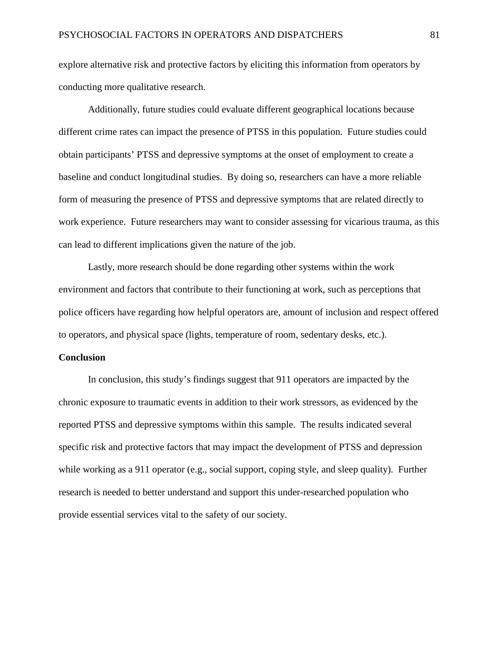explore alternative risk and protective factors by eliciting this information from operators by conducting more qualitative research.

Additionally, future studies could evaluate different geographical locations because different crime rates can impact the presence of PTSS in this population. Future studies could obtain participants' PTSS and depressive symptoms at the onset of employment to create a baseline and conduct longitudinal studies. By doing so, researchers can have a more reliable form of measuring the presence of PTSS and depressive symptoms that are related directly to work experience. Future researchers may want to consider assessing for vicarious trauma, as this can lead to different implications given the nature of the job.

Lastly, more research should be done regarding other systems within the work environment and factors that contribute to their functioning at work, such as perceptions that police officers have regarding how helpful operators are, amount of inclusion and respect offered to operators, and physical space (lights, temperature of room, sedentary desks, etc.).

# **Conclusion**

In conclusion, this study's findings suggest that 911 operators are impacted by the chronic exposure to traumatic events in addition to their work stressors, as evidenced by the reported PTSS and depressive symptoms within this sample. The results indicated several specific risk and protective factors that may impact the development of PTSS and depression while working as a 911 operator (e.g., social support, coping style, and sleep quality). Further research is needed to better understand and support this under-researched population who provide essential services vital to the safety of our society.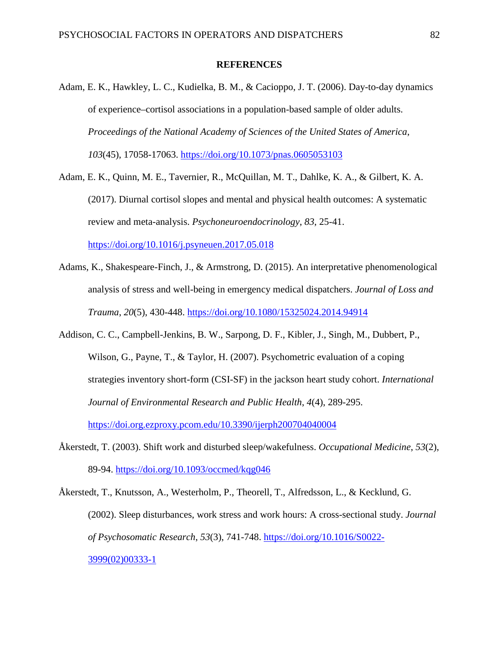### **REFERENCES**

- Adam, E. K., Hawkley, L. C., Kudielka, B. M., & Cacioppo, J. T. (2006). Day-to-day dynamics of experience–cortisol associations in a population-based sample of older adults. *Proceedings of the National Academy of Sciences of the United States of America*, *103*(45), 17058-17063.<https://doi.org/10.1073/pnas.0605053103>
- Adam, E. K., Quinn, M. E., Tavernier, R., McQuillan, M. T., Dahlke, K. A., & Gilbert, K. A. (2017). Diurnal cortisol slopes and mental and physical health outcomes: A systematic review and meta-analysis. *Psychoneuroendocrinology*, *83*, 25-41. <https://doi.org/10.1016/j.psyneuen.2017.05.018>
- Adams, K., Shakespeare-Finch, J., & Armstrong, D. (2015). An interpretative phenomenological analysis of stress and well-being in emergency medical dispatchers. *Journal of Loss and Trauma*, *20*(5), 430-448. <https://doi.org/10.1080/15325024.2014.94914>
- Addison, C. C., Campbell-Jenkins, B. W., Sarpong, D. F., Kibler, J., Singh, M., Dubbert, P., Wilson, G., Payne, T., & Taylor, H. (2007). Psychometric evaluation of a coping strategies inventory short-form (CSI-SF) in the jackson heart study cohort. *International Journal of Environmental Research and Public Health*, *4*(4), 289-295. <https://doi.org.ezproxy.pcom.edu/10.3390/ijerph200704040004>
- Åkerstedt, T. (2003). Shift work and disturbed sleep/wakefulness. *Occupational Medicine*, *53*(2), 89-94.<https://doi.org/10.1093/occmed/kqg046>
- Åkerstedt, T., Knutsson, A., Westerholm, P., Theorell, T., Alfredsson, L., & Kecklund, G. (2002). Sleep disturbances, work stress and work hours: A cross-sectional study. *Journal of Psychosomatic Research*, *53*(3), 741-748. [https://doi.org/10.1016/S0022-](https://doi.org/10.1016/S0022-3999(02)00333-1) [3999\(02\)00333-1](https://doi.org/10.1016/S0022-3999(02)00333-1)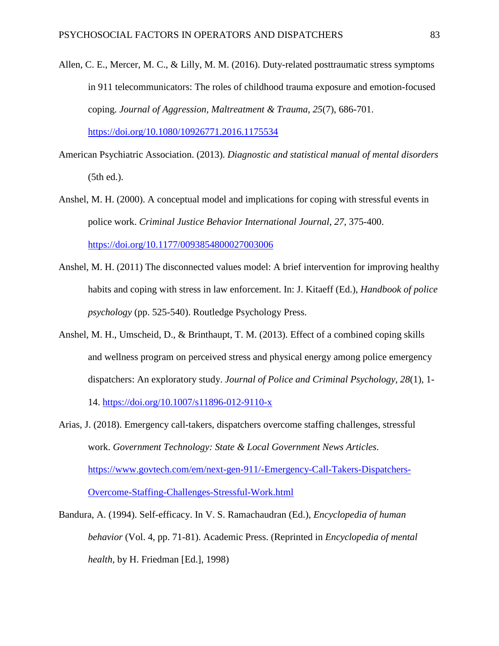Allen, C. E., Mercer, M. C., & Lilly, M. M. (2016). Duty-related posttraumatic stress symptoms in 911 telecommunicators: The roles of childhood trauma exposure and emotion-focused coping. *Journal of Aggression, Maltreatment & Trauma*, *25*(7), 686-701.

<https://doi.org/10.1080/10926771.2016.1175534>

- American Psychiatric Association. (2013). *Diagnostic and statistical manual of mental disorders* (5th ed.).
- Anshel, M. H. (2000). A conceptual model and implications for coping with stressful events in police work. *Criminal Justice Behavior International Journal*, *27*, 375-400. <https://doi.org/10.1177/0093854800027003006>
- Anshel, M. H. (2011) The disconnected values model: A brief intervention for improving healthy habits and coping with stress in law enforcement. In: J. Kitaeff (Ed.), *Handbook of police psychology* (pp. 525-540). Routledge Psychology Press.
- Anshel, M. H., Umscheid, D., & Brinthaupt, T. M. (2013). Effect of a combined coping skills and wellness program on perceived stress and physical energy among police emergency dispatchers: An exploratory study. *Journal of Police and Criminal Psychology*, *28*(1), 1- 14.<https://doi.org/10.1007/s11896-012-9110-x>
- Arias, J. (2018). Emergency call-takers, dispatchers overcome staffing challenges, stressful work. *Government Technology: State & Local Government News Articles*. [https://www.govtech.com/em/next-gen-911/-Emergency-Call-Takers-Dispatchers-](https://www.govtech.com/em/next-gen-911/-Emergency-Call-Takers-Dispatchers-Overcome-Staffing-Challenges-Stressful-Work.html)[Overcome-Staffing-Challenges-Stressful-Work.html](https://www.govtech.com/em/next-gen-911/-Emergency-Call-Takers-Dispatchers-Overcome-Staffing-Challenges-Stressful-Work.html)
- Bandura, A. (1994). Self-efficacy. In V. S. Ramachaudran (Ed.), *Encyclopedia of human behavior* (Vol. 4, pp. 71-81). Academic Press. (Reprinted in *Encyclopedia of mental health*, by H. Friedman [Ed.], 1998)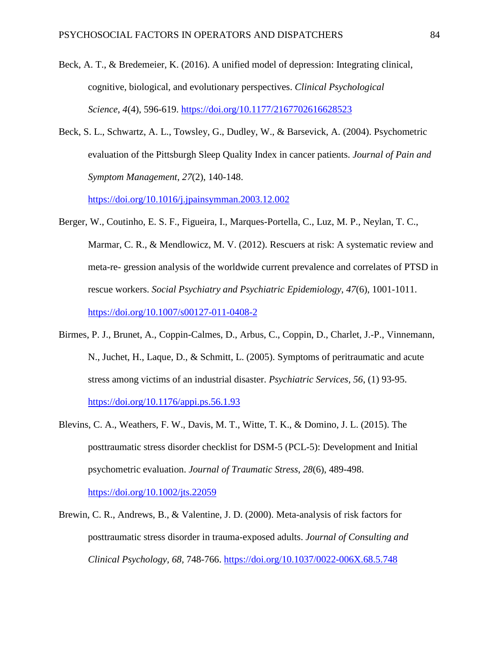- Beck, A. T., & Bredemeier, K. (2016). A unified model of depression: Integrating clinical, cognitive, biological, and evolutionary perspectives. *Clinical Psychological Science*, *4*(4), 596-619.<https://doi.org/10.1177/2167702616628523>
- Beck, S. L., Schwartz, A. L., Towsley, G., Dudley, W., & Barsevick, A. (2004). Psychometric evaluation of the Pittsburgh Sleep Quality Index in cancer patients. *Journal of Pain and Symptom Management*, *27*(2), 140-148.

<https://doi.org/10.1016/j.jpainsymman.2003.12.002>

- Berger, W., Coutinho, E. S. F., Figueira, I., Marques-Portella, C., Luz, M. P., Neylan, T. C., Marmar, C. R., & Mendlowicz, M. V. (2012). Rescuers at risk: A systematic review and meta-re- gression analysis of the worldwide current prevalence and correlates of PTSD in rescue workers. *Social Psychiatry and Psychiatric Epidemiology*, *47*(6), 1001-1011. <https://doi.org/10.1007/s00127-011-0408-2>
- Birmes, P. J., Brunet, A., Coppin-Calmes, D., Arbus, C., Coppin, D., Charlet, J.-P., Vinnemann, N., Juchet, H., Laque, D., & Schmitt, L. (2005). Symptoms of peritraumatic and acute stress among victims of an industrial disaster. *Psychiatric Services, 56*, (1) 93-95. <https://doi.org/10.1176/appi.ps.56.1.93>
- Blevins, C. A., Weathers, F. W., Davis, M. T., Witte, T. K., & Domino, J. L. (2015). The posttraumatic stress disorder checklist for DSM-5 (PCL-5): Development and Initial psychometric evaluation. *Journal of Traumatic Stress*, *28*(6), 489-498. <https://doi.org/10.1002/jts.22059>
- Brewin, C. R., Andrews, B., & Valentine, J. D. (2000). Meta-analysis of risk factors for posttraumatic stress disorder in trauma-exposed adults. *Journal of Consulting and Clinical Psychology, 68,* 748-766. <https://doi.org/10.1037/0022-006X.68.5.748>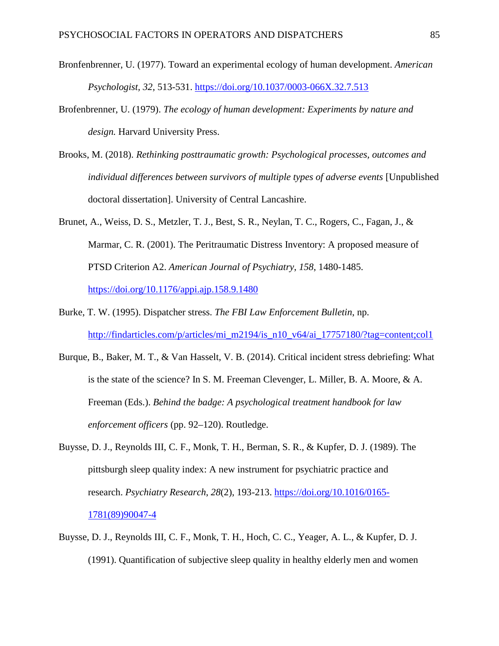- Bronfenbrenner, U. (1977). Toward an experimental ecology of human development. *American Psychologist, 32*, 513-531. <https://doi.org/10.1037/0003-066X.32.7.513>
- Brofenbrenner, U. (1979). *The ecology of human development: Experiments by nature and design.* Harvard University Press.
- Brooks, M. (2018). *Rethinking posttraumatic growth: Psychological processes, outcomes and individual differences between survivors of multiple types of adverse events* [Unpublished doctoral dissertation]. University of Central Lancashire.
- Brunet, A., Weiss, D. S., Metzler, T. J., Best, S. R., Neylan, T. C., Rogers, C., Fagan, J., & Marmar, C. R. (2001). The Peritraumatic Distress Inventory: A proposed measure of PTSD Criterion A2. *American Journal of Psychiatry*, *158*, 1480-1485. <https://doi.org/10.1176/appi.ajp.158.9.1480>
- Burke, T. W. (1995). Dispatcher stress. *The FBI Law Enforcement Bulletin*, np. [http://findarticles.com/p/articles/mi\\_m2194/is\\_n10\\_v64/ai\\_17757180/?tag=content;col1](http://findarticles.com/p/articles/mi_m2194/is_n10_v64/ai_17757180/?tag=content;col1)
- Burque, B., Baker, M. T., & Van Hasselt, V. B. (2014). Critical incident stress debriefing: What is the state of the science? In S. M. Freeman Clevenger, L. Miller, B. A. Moore, & A. Freeman (Eds.). *Behind the badge: A psychological treatment handbook for law enforcement officers* (pp. 92–120). Routledge.
- Buysse, D. J., Reynolds III, C. F., Monk, T. H., Berman, S. R., & Kupfer, D. J. (1989). The pittsburgh sleep quality index: A new instrument for psychiatric practice and research. *Psychiatry Research*, *28*(2), 193-213. [https://doi.org/10.1016/0165-](https://doi.org/10.1016/0165-1781(89)90047-4) [1781\(89\)90047-4](https://doi.org/10.1016/0165-1781(89)90047-4)
- Buysse, D. J., Reynolds III, C. F., Monk, T. H., Hoch, C. C., Yeager, A. L., & Kupfer, D. J. (1991). Quantification of subjective sleep quality in healthy elderly men and women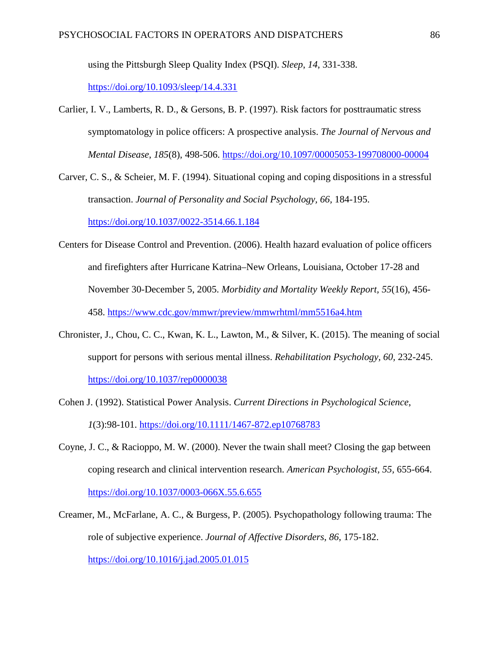using the Pittsburgh Sleep Quality Index (PSQI). *Sleep*, *14*, 331-338.

<https://doi.org/10.1093/sleep/14.4.331>

- Carlier, I. V., Lamberts, R. D., & Gersons, B. P. (1997). Risk factors for posttraumatic stress symptomatology in police officers: A prospective analysis. *The Journal of Nervous and Mental Disease*, *185*(8), 498-506.<https://doi.org/10.1097/00005053-199708000-00004>
- Carver, C. S., & Scheier, M. F. (1994). Situational coping and coping dispositions in a stressful transaction. *Journal of Personality and Social Psychology, 66,* 184-195.

<https://doi.org/10.1037/0022-3514.66.1.184>

- Centers for Disease Control and Prevention. (2006). Health hazard evaluation of police officers and firefighters after Hurricane Katrina–New Orleans, Louisiana, October 17-28 and November 30-December 5, 2005. *Morbidity and Mortality Weekly Report, 55*(16), 456- 458.<https://www.cdc.gov/mmwr/preview/mmwrhtml/mm5516a4.htm>
- Chronister, J., Chou, C. C., Kwan, K. L., Lawton, M., & Silver, K. (2015). The meaning of social support for persons with serious mental illness. *Rehabilitation Psychology, 60,* 232-245. <https://doi.org/10.1037/rep0000038>
- Cohen J. (1992). Statistical Power Analysis. *Current Directions in Psychological Science*, *1*(3):98-101.<https://doi.org/10.1111/1467-872.ep10768783>
- Coyne, J. C., & Racioppo, M. W. (2000). Never the twain shall meet? Closing the gap between coping research and clinical intervention research. *American Psychologist, 55,* 655-664. <https://doi.org/10.1037/0003-066X.55.6.655>
- Creamer, M., McFarlane, A. C., & Burgess, P. (2005). Psychopathology following trauma: The role of subjective experience. *Journal of Affective Disorders*, *86*, 175-182. <https://doi.org/10.1016/j.jad.2005.01.015>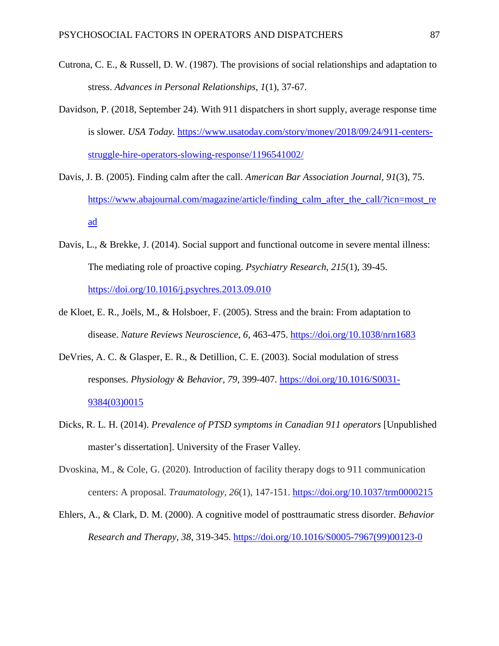- Cutrona, C. E., & Russell, D. W. (1987). The provisions of social relationships and adaptation to stress. *Advances in Personal Relationships*, *1*(1), 37-67.
- Davidson, P. (2018, September 24). With 911 dispatchers in short supply, average response time is slower*. USA Today.* [https://www.usatoday.com/story/money/2018/09/24/911-centers](https://www.usatoday.com/story/money/2018/09/24/911-centers-struggle-hire-operators-slowing-response/1196541002/)[struggle-hire-operators-slowing-response/1196541002/](https://www.usatoday.com/story/money/2018/09/24/911-centers-struggle-hire-operators-slowing-response/1196541002/)
- Davis, J. B. (2005). Finding calm after the call. *American Bar Association Journal, 91*(3), 75. [https://www.abajournal.com/magazine/article/finding\\_calm\\_after\\_the\\_call/?icn=most\\_re](https://www.abajournal.com/magazine/article/finding_calm_after_the_call/?icn=most_read) [ad](https://www.abajournal.com/magazine/article/finding_calm_after_the_call/?icn=most_read)
- Davis, L., & Brekke, J. (2014). Social support and functional outcome in severe mental illness: The mediating role of proactive coping. *Psychiatry Research*, *215*(1), 39-45. <https://doi.org/10.1016/j.psychres.2013.09.010>
- de Kloet, E. R., Joëls, M., & Holsboer, F. (2005). Stress and the brain: From adaptation to disease. *Nature Reviews Neuroscience*, *6*, 463-475.<https://doi.org/10.1038/nrn1683>
- DeVries, A. C. & Glasper, E. R., & Detillion, C. E. (2003). Social modulation of stress responses. *Physiology & Behavior, 79*, 399-407. [https://doi.org/10.1016/S0031-](https://doi.org/10.1016/S0031-9384(03)0015) [9384\(03\)0015](https://doi.org/10.1016/S0031-9384(03)0015)
- Dicks, R. L. H. (2014). *Prevalence of PTSD symptoms in Canadian 911 operators* [Unpublished master's dissertation]. University of the Fraser Valley.
- Dvoskina, M., & Cole, G. (2020). Introduction of facility therapy dogs to 911 communication centers: A proposal. *Traumatology*, *26*(1), 147-151.<https://doi.org/10.1037/trm0000215>
- Ehlers, A., & Clark, D. M. (2000). A cognitive model of posttraumatic stress disorder. *Behavior Research and Therapy, 38*, 319-345. [https://doi.org/10.1016/S0005-7967\(99\)00123-0](https://doi.org/10.1016/S0005-7967(99)00123-0)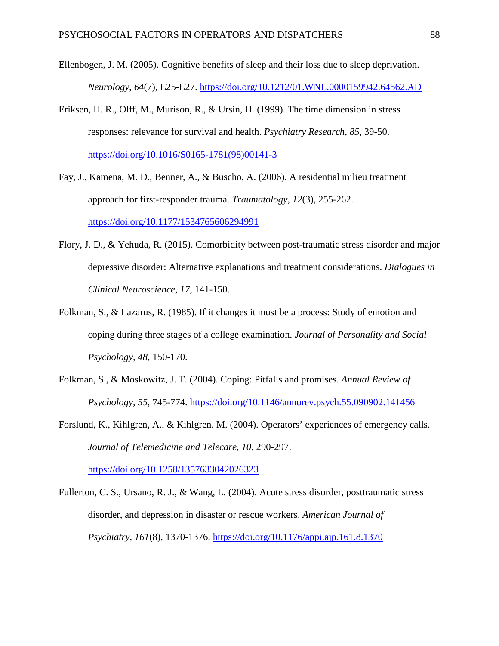- Ellenbogen, J. M. (2005). Cognitive benefits of sleep and their loss due to sleep deprivation. *Neurology*, *64*(7), E25-E27. <https://doi.org/10.1212/01.WNL.0000159942.64562.AD>
- Eriksen, H. R., Olff, M., Murison, R., & Ursin, H. (1999). The time dimension in stress responses: relevance for survival and health. *Psychiatry Research, 85*, 39-50. [https://doi.org/10.1016/S0165-1781\(98\)00141-3](https://doi.org/10.1016/S0165-1781(98)00141-3)
- Fay, J., Kamena, M. D., Benner, A., & Buscho, A. (2006). A residential milieu treatment approach for first-responder trauma. *Traumatology, 12*(3), 255-262. <https://doi.org/10.1177/1534765606294991>
- Flory, J. D., & Yehuda, R. (2015). Comorbidity between post-traumatic stress disorder and major depressive disorder: Alternative explanations and treatment considerations. *Dialogues in Clinical Neuroscience, 17,* 141-150.
- Folkman, S., & Lazarus, R. (1985). If it changes it must be a process: Study of emotion and coping during three stages of a college examination. *Journal of Personality and Social Psychology, 48,* 150-170.
- Folkman, S., & Moskowitz, J. T. (2004). Coping: Pitfalls and promises. *Annual Review of Psychology, 55*, 745-774.<https://doi.org/10.1146/annurev.psych.55.090902.141456>
- Forslund, K., Kihlgren, A., & Kihlgren, M. (2004). Operators' experiences of emergency calls. *Journal of Telemedicine and Telecare, 10*, 290-297.

<https://doi.org/10.1258/1357633042026323>

Fullerton, C. S., Ursano, R. J., & Wang, L. (2004). Acute stress disorder, posttraumatic stress disorder, and depression in disaster or rescue workers. *American Journal of Psychiatry*, *161*(8), 1370-1376. <https://doi.org/10.1176/appi.ajp.161.8.1370>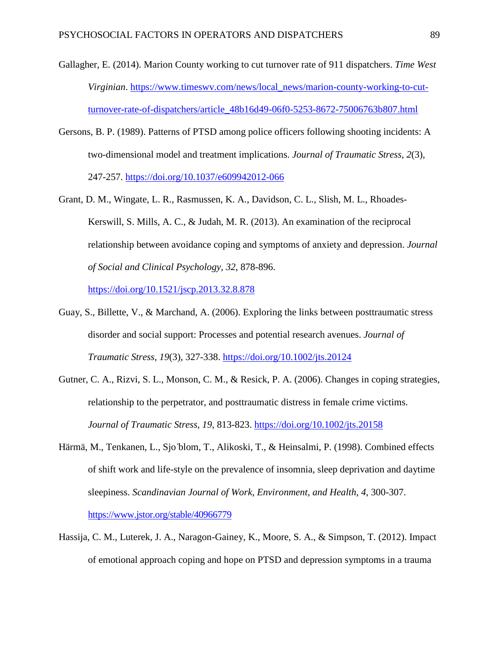- Gallagher, E. (2014). Marion County working to cut turnover rate of 911 dispatchers. *Time West Virginian*. [https://www.timeswv.com/news/local\\_news/marion-county-working-to-cut](https://www.timeswv.com/news/local_news/marion-county-working-to-cut-turnover-rate-of-dispatchers/article_48b16d49-06f0-5253-8672-75006763b807.html)[turnover-rate-of-dispatchers/article\\_48b16d49-06f0-5253-8672-75006763b807.html](https://www.timeswv.com/news/local_news/marion-county-working-to-cut-turnover-rate-of-dispatchers/article_48b16d49-06f0-5253-8672-75006763b807.html)
- Gersons, B. P. (1989). Patterns of PTSD among police officers following shooting incidents: A two-dimensional model and treatment implications. *Journal of Traumatic Stress, 2*(3), 247-257. <https://doi.org/10.1037/e609942012-066>
- Grant, D. M., Wingate, L. R., Rasmussen, K. A., Davidson, C. L., Slish, M. L., Rhoades-Kerswill, S. Mills, A. C., & Judah, M. R. (2013). An examination of the reciprocal relationship between avoidance coping and symptoms of anxiety and depression. *Journal of Social and Clinical Psychology, 32*, 878-896.

<https://doi.org/10.1521/jscp.2013.32.8.878>

- Guay, S., Billette, V., & Marchand, A. (2006). Exploring the links between posttraumatic stress disorder and social support: Processes and potential research avenues. *Journal of Traumatic Stress*, *19*(3), 327-338. <https://doi.org/10.1002/jts.20124>
- Gutner, C. A., Rizvi, S. L., Monson, C. M., & Resick, P. A. (2006). Changes in coping strategies, relationship to the perpetrator, and posttraumatic distress in female crime victims. *Journal of Traumatic Stress, 19*, 813-823.<https://doi.org/10.1002/jts.20158>
- Härmä, M., Tenkanen, L., Sjo ̈blom, T., Alikoski, T., & Heinsalmi, P. (1998). Combined effects of shift work and life-style on the prevalence of insomnia, sleep deprivation and daytime sleepiness. *Scandinavian Journal of Work, Environment, and Health*, *4*, 300-307. <https://www.jstor.org/stable/40966779>
- Hassija, C. M., Luterek, J. A., Naragon-Gainey, K., Moore, S. A., & Simpson, T. (2012). Impact of emotional approach coping and hope on PTSD and depression symptoms in a trauma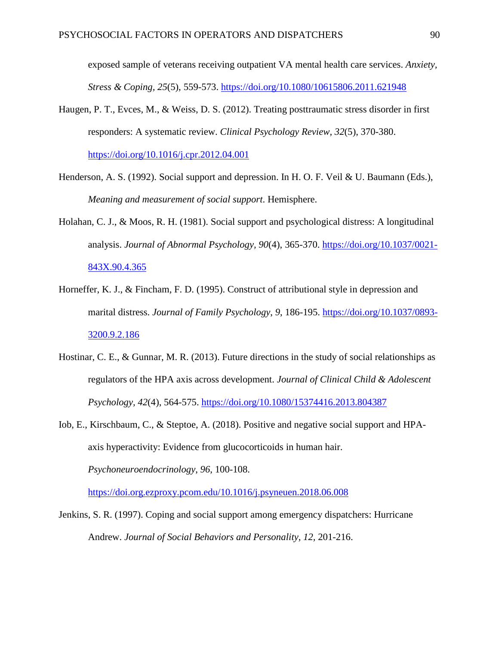exposed sample of veterans receiving outpatient VA mental health care services. *Anxiety, Stress & Coping, 25*(5), 559-573.<https://doi.org/10.1080/10615806.2011.621948>

- Haugen, P. T., Evces, M., & Weiss, D. S. (2012). Treating posttraumatic stress disorder in first responders: A systematic review. *Clinical Psychology Review, 32*(5), 370-380. <https://doi.org/10.1016/j.cpr.2012.04.001>
- Henderson, A. S. (1992). Social support and depression. In H. O. F. Veil & U. Baumann (Eds.), *Meaning and measurement of social support*. Hemisphere.
- Holahan, C. J., & Moos, R. H. (1981). Social support and psychological distress: A longitudinal analysis. *Journal of Abnormal Psychology, 90*(4), 365-370. [https://doi.org/10.1037/0021-](https://doi.org/10.1037/0021-843X.90.4.365) [843X.90.4.365](https://doi.org/10.1037/0021-843X.90.4.365)
- Horneffer, K. J., & Fincham, F. D. (1995). Construct of attributional style in depression and marital distress. *Journal of Family Psychology*, *9*, 186-195. [https://doi.org/10.1037/0893-](https://doi.org/10.1037/0893-3200.9.2.186) [3200.9.2.186](https://doi.org/10.1037/0893-3200.9.2.186)
- Hostinar, C. E., & Gunnar, M. R. (2013). Future directions in the study of social relationships as regulators of the HPA axis across development. *Journal of Clinical Child & Adolescent Psychology, 42*(4), 564-575.<https://doi.org/10.1080/15374416.2013.804387>
- Iob, E., Kirschbaum, C., & Steptoe, A. (2018). Positive and negative social support and HPAaxis hyperactivity: Evidence from glucocorticoids in human hair. *Psychoneuroendocrinology*, *96*, 100-108.

<https://doi.org.ezproxy.pcom.edu/10.1016/j.psyneuen.2018.06.008>

Jenkins, S. R. (1997). Coping and social support among emergency dispatchers: Hurricane Andrew. *Journal of Social Behaviors and Personality, 12,* 201-216.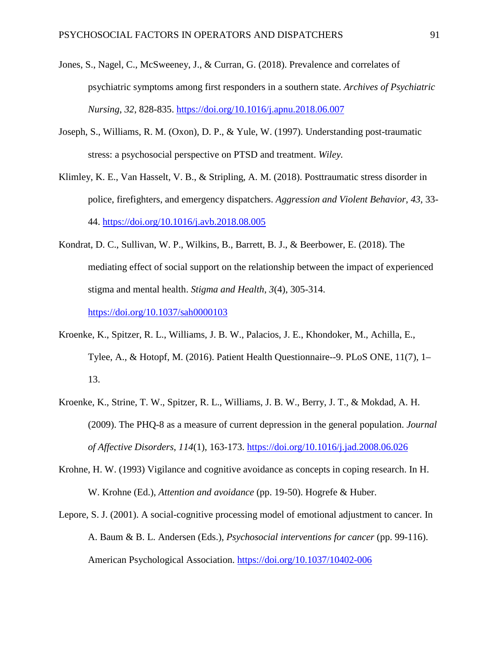- Jones, S., Nagel, C., McSweeney, J., & Curran, G. (2018). Prevalence and correlates of psychiatric symptoms among first responders in a southern state. *Archives of Psychiatric Nursing*, *32*, 828-835.<https://doi.org/10.1016/j.apnu.2018.06.007>
- Joseph, S., Williams, R. M. (Oxon), D. P., & Yule, W. (1997). Understanding post-traumatic stress: a psychosocial perspective on PTSD and treatment. *Wiley.*
- Klimley, K. E., Van Hasselt, V. B., & Stripling, A. M. (2018). Posttraumatic stress disorder in police, firefighters, and emergency dispatchers. *Aggression and Violent Behavior*, *43*, 33- 44.<https://doi.org/10.1016/j.avb.2018.08.005>
- Kondrat, D. C., Sullivan, W. P., Wilkins, B., Barrett, B. J., & Beerbower, E. (2018). The mediating effect of social support on the relationship between the impact of experienced stigma and mental health. *Stigma and Health*, *3*(4), 305-314. <https://doi.org/10.1037/sah0000103>
- Kroenke, K., Spitzer, R. L., Williams, J. B. W., Palacios, J. E., Khondoker, M., Achilla, E., Tylee, A., & Hotopf, M. (2016). Patient Health Questionnaire--9. PLoS ONE, 11(7), 1– 13.
- Kroenke, K., Strine, T. W., Spitzer, R. L., Williams, J. B. W., Berry, J. T., & Mokdad, A. H. (2009). The PHQ-8 as a measure of current depression in the general population. *Journal of Affective Disorders*, *114*(1), 163-173.<https://doi.org/10.1016/j.jad.2008.06.026>
- Krohne, H. W. (1993) Vigilance and cognitive avoidance as concepts in coping research. In H. W. Krohne (Ed.), *Attention and avoidance* (pp. 19-50). Hogrefe & Huber.
- Lepore, S. J. (2001). A social-cognitive processing model of emotional adjustment to cancer. In A. Baum & B. L. Andersen (Eds.), *Psychosocial interventions for cancer* (pp. 99-116). American Psychological Association. <https://doi.org/10.1037/10402-006>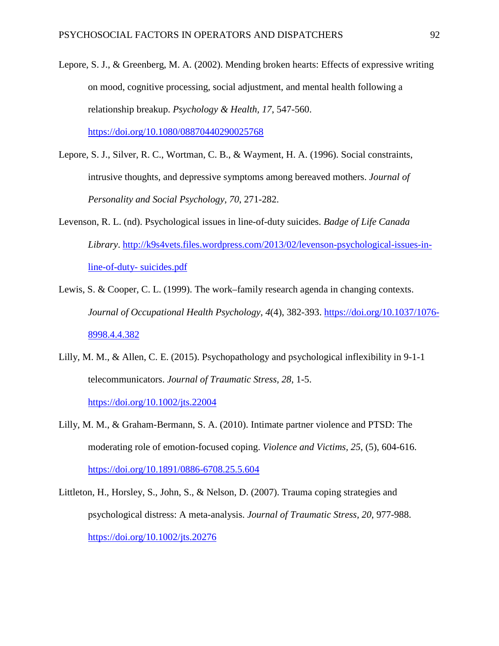- Lepore, S. J., & Greenberg, M. A. (2002). Mending broken hearts: Effects of expressive writing on mood, cognitive processing, social adjustment, and mental health following a relationship breakup. *Psychology & Health, 17*, 547-560. <https://doi.org/10.1080/08870440290025768>
- Lepore, S. J., Silver, R. C., Wortman, C. B., & Wayment, H. A. (1996). Social constraints, intrusive thoughts, and depressive symptoms among bereaved mothers. *Journal of Personality and Social Psychology, 70*, 271-282.
- Levenson, R. L. (nd). Psychological issues in line-of-duty suicides. *Badge of Life Canada Library*. [http://k9s4vets.files.wordpress.com/2013/02/levenson-psychological-issues-in](http://k9s4vets.files.wordpress.com/2013/02/levenson-psychological-issues-in-line-of-duty-%20suicides.pdf)[line-of-duty-](http://k9s4vets.files.wordpress.com/2013/02/levenson-psychological-issues-in-line-of-duty-%20suicides.pdf) suicides.pdf
- Lewis, S. & Cooper, C. L. (1999). The work–family research agenda in changing contexts. *Journal of Occupational Health Psychology*, *4*(4), 382-393. [https://doi.org/10.1037/1076-](https://doi.org/10.1037/1076-8998.4.4.382) [8998.4.4.382](https://doi.org/10.1037/1076-8998.4.4.382)
- Lilly, M. M., & Allen, C. E. (2015). Psychopathology and psychological inflexibility in 9-1-1 telecommunicators. *Journal of Traumatic Stress, 28*, 1-5.

<https://doi.org/10.1002/jts.22004>

- Lilly, M. M., & Graham-Bermann, S. A. (2010). Intimate partner violence and PTSD: The moderating role of emotion-focused coping. *Violence and Victims, 25*, (5), 604-616. <https://doi.org/10.1891/0886-6708.25.5.604>
- Littleton, H., Horsley, S., John, S., & Nelson, D. (2007). Trauma coping strategies and psychological distress: A meta-analysis. *Journal of Traumatic Stress, 20*, 977-988. <https://doi.org/10.1002/jts.20276>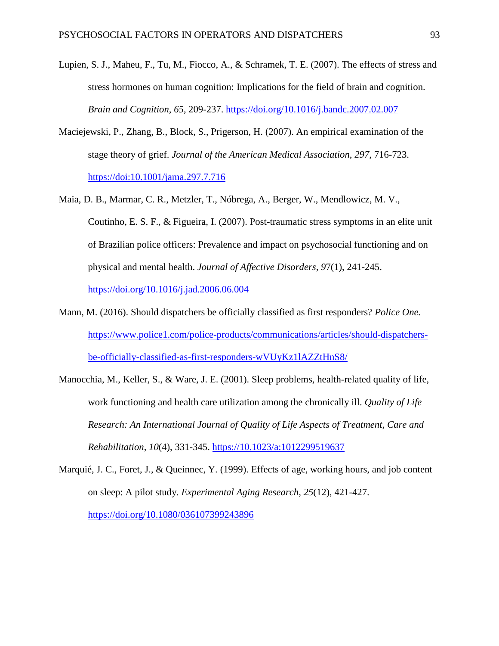- Lupien, S. J., Maheu, F., Tu, M., Fiocco, A., & Schramek, T. E. (2007). The effects of stress and stress hormones on human cognition: Implications for the field of brain and cognition. *Brain and Cognition*, *65*, 209-237.<https://doi.org/10.1016/j.bandc.2007.02.007>
- Maciejewski, P., Zhang, B., Block, S., Prigerson, H. (2007). An empirical examination of the stage theory of grief. *Journal of the American Medical Association*, *297*, 716-723. <https://doi:10.1001/jama.297.7.716>
- Maia, D. B., Marmar, C. R., Metzler, T., Nóbrega, A., Berger, W., Mendlowicz, M. V., Coutinho, E. S. F., & Figueira, I. (2007). Post-traumatic stress symptoms in an elite unit of Brazilian police officers: Prevalence and impact on psychosocial functioning and on physical and mental health. *Journal of Affective Disorders, 9*7(1), 241-245. <https://doi.org/10.1016/j.jad.2006.06.004>
- Mann, M. (2016). Should dispatchers be officially classified as first responders? *Police One.*  [https://www.police1.com/police-products/communications/articles/should-dispatchers](https://www.police1.com/police-products/communications/articles/should-dispatchers-be-officially-classified-as-first-responders-wVUyKz1lAZZtHnS8/)[be-officially-classified-as-first-responders-wVUyKz1lAZZtHnS8/](https://www.police1.com/police-products/communications/articles/should-dispatchers-be-officially-classified-as-first-responders-wVUyKz1lAZZtHnS8/)
- Manocchia, M., Keller, S., & Ware, J. E. (2001). Sleep problems, health-related quality of life, work functioning and health care utilization among the chronically ill. *Quality of Life Research: An International Journal of Quality of Life Aspects of Treatment, Care and Rehabilitation*, *10*(4), 331-345. [https://10.1023/a:1012299519637](https://10.0.3.255/a:1012299519637)
- Marquié, J. C., Foret, J., & Queinnec, Y. (1999). Effects of age, working hours, and job content on sleep: A pilot study. *Experimental Aging Research, 25*(12), 421-427. <https://doi.org/10.1080/036107399243896>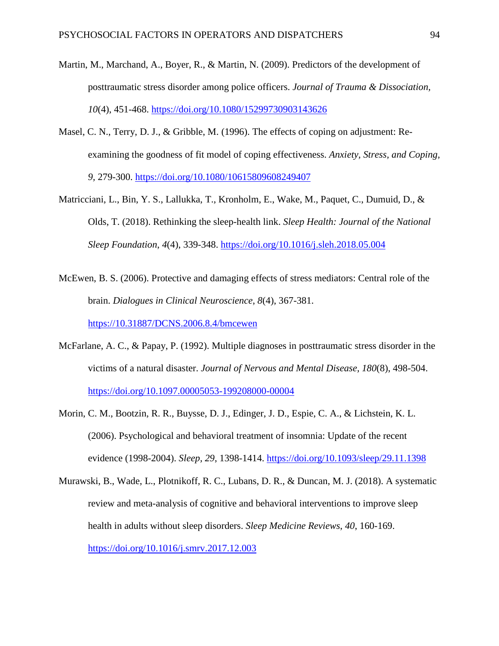- Martin, M., Marchand, A., Boyer, R., & Martin, N. (2009). Predictors of the development of posttraumatic stress disorder among police officers. *Journal of Trauma & Dissociation, 10*(4), 451-468. <https://doi.org/10.1080/15299730903143626>
- Masel, C. N., Terry, D. J., & Gribble, M. (1996). The effects of coping on adjustment: Reexamining the goodness of fit model of coping effectiveness. *Anxiety, Stress, and Coping, 9,* 279-300.<https://doi.org/10.1080/10615809608249407>
- Matricciani, L., Bin, Y. S., Lallukka, T., Kronholm, E., Wake, M., Paquet, C., Dumuid, D., & Olds, T. (2018). Rethinking the sleep-health link. *Sleep Health: Journal of the National Sleep Foundation*, *4*(4), 339-348.<https://doi.org/10.1016/j.sleh.2018.05.004>
- McEwen, B. S. (2006). Protective and damaging effects of stress mediators: Central role of the brain. *Dialogues in Clinical Neuroscience*, *8*(4), 367-381. [https://10.31887/DCNS.2006.8.4/bmcewen](https://10.0.124.143/DCNS.2006.8.4/bmcewen)
- McFarlane, A. C., & Papay, P. (1992). Multiple diagnoses in posttraumatic stress disorder in the victims of a natural disaster. *Journal of Nervous and Mental Disease, 180*(8), 498-504. <https://doi.org/10.1097.00005053-199208000-00004>
- Morin, C. M., Bootzin, R. R., Buysse, D. J., Edinger, J. D., Espie, C. A., & Lichstein, K. L. (2006). Psychological and behavioral treatment of insomnia: Update of the recent evidence (1998-2004). *Sleep, 29*, 1398-1414.<https://doi.org/10.1093/sleep/29.11.1398>
- Murawski, B., Wade, L., Plotnikoff, R. C., Lubans, D. R., & Duncan, M. J. (2018). A systematic review and meta-analysis of cognitive and behavioral interventions to improve sleep health in adults without sleep disorders. *Sleep Medicine Reviews*, *40*, 160-169. <https://doi.org/10.1016/j.smrv.2017.12.003>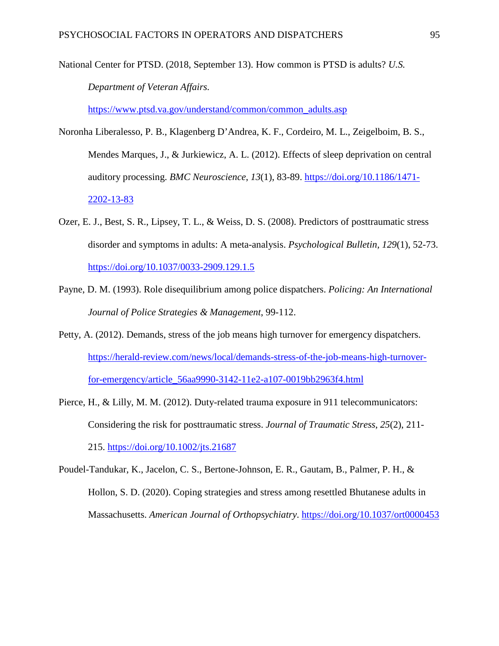National Center for PTSD. (2018, September 13). How common is PTSD is adults? *U.S. Department of Veteran Affairs.* 

[https://www.ptsd.va.gov/understand/common/common\\_adults.asp](https://www.ptsd.va.gov/understand/common/common_adults.asp)

- Noronha Liberalesso, P. B., Klagenberg D'Andrea, K. F., Cordeiro, M. L., Zeigelboim, B. S., Mendes Marques, J., & Jurkiewicz, A. L. (2012). Effects of sleep deprivation on central auditory processing. *BMC Neuroscience*, *13*(1), 83-89. [https://doi.org/10.1186/1471-](https://doi.org/10.1186/1471-2202-13-83) [2202-13-83](https://doi.org/10.1186/1471-2202-13-83)
- Ozer, E. J., Best, S. R., Lipsey, T. L., & Weiss, D. S. (2008). Predictors of posttraumatic stress disorder and symptoms in adults: A meta-analysis. *Psychological Bulletin, 129*(1), 52-73. <https://doi.org/10.1037/0033-2909.129.1.5>
- Payne, D. M. (1993). Role disequilibrium among police dispatchers. *Policing: An International Journal of Police Strategies & Management*, 99-112.
- Petty, A. (2012). Demands, stress of the job means high turnover for emergency dispatchers. [https://herald-review.com/news/local/demands-stress-of-the-job-means-high-turnover](https://herald-review.com/news/local/demands-stress-of-the-job-means-high-turnover-for-emergency/article_56aa9990-3142-11e2-a107-0019bb2963f4.html)[for-emergency/article\\_56aa9990-3142-11e2-a107-0019bb2963f4.html](https://herald-review.com/news/local/demands-stress-of-the-job-means-high-turnover-for-emergency/article_56aa9990-3142-11e2-a107-0019bb2963f4.html)
- Pierce, H., & Lilly, M. M. (2012). Duty-related trauma exposure in 911 telecommunicators: Considering the risk for posttraumatic stress. *Journal of Traumatic Stress*, *25*(2), 211- 215. <https://doi.org/10.1002/jts.21687>
- Poudel-Tandukar, K., Jacelon, C. S., Bertone-Johnson, E. R., Gautam, B., Palmer, P. H., & Hollon, S. D. (2020). Coping strategies and stress among resettled Bhutanese adults in Massachusetts. *American Journal of Orthopsychiatry*.<https://doi.org/10.1037/ort0000453>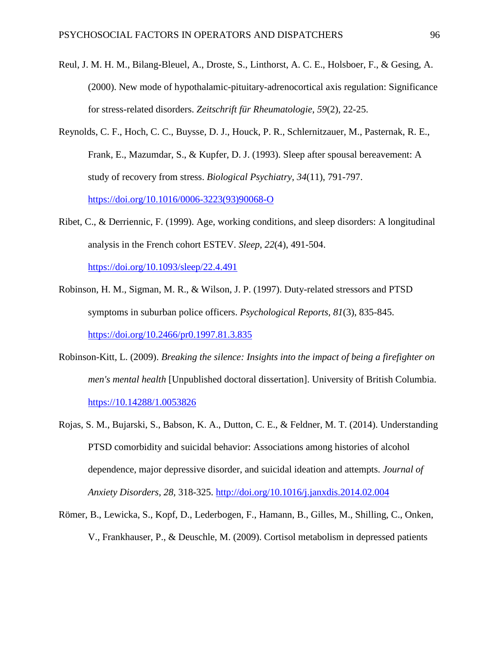- Reul, J. M. H. M., Bilang-Bleuel, A., Droste, S., Linthorst, A. C. E., Holsboer, F., & Gesing, A. (2000). New mode of hypothalamic-pituitary-adrenocortical axis regulation: Significance for stress-related disorders. *Zeitschrift für Rheumatologie*, *59*(2), 22-25.
- Reynolds, C. F., Hoch, C. C., Buysse, D. J., Houck, P. R., Schlernitzauer, M., Pasternak, R. E., Frank, E., Mazumdar, S., & Kupfer, D. J. (1993). Sleep after spousal bereavement: A study of recovery from stress. *Biological Psychiatry*, *34*(11), 791-797. [https://doi.org/10.1016/0006-3223\(93\)90068-O](https://doi.org/10.1016/0006-3223(93)90068-O)
- Ribet, C., & Derriennic, F. (1999). Age, working conditions, and sleep disorders: A longitudinal analysis in the French cohort ESTEV. *Sleep*, *22*(4), 491-504.

<https://doi.org/10.1093/sleep/22.4.491>

- Robinson, H. M., Sigman, M. R., & Wilson, J. P. (1997). Duty-related stressors and PTSD symptoms in suburban police officers. *Psychological Reports, 81*(3), 835-845. <https://doi.org/10.2466/pr0.1997.81.3.835>
- Robinson-Kitt, L. (2009). *Breaking the silence: Insights into the impact of being a firefighter on men's mental health* [Unpublished doctoral dissertation]. University of British Columbia. [https://10.14288/1.0053826](https://10.0.55.208/1.0053826)
- Rojas, S. M., Bujarski, S., Babson, K. A., Dutton, C. E., & Feldner, M. T. (2014). Understanding PTSD comorbidity and suicidal behavior: Associations among histories of alcohol dependence, major depressive disorder, and suicidal ideation and attempts. *Journal of Anxiety Disorders, 28,* 318-325.<http://doi.org/10.1016/j.janxdis.2014.02.004>
- Römer, B., Lewicka, S., Kopf, D., Lederbogen, F., Hamann, B., Gilles, M., Shilling, C., Onken, V., Frankhauser, P., & Deuschle, M. (2009). Cortisol metabolism in depressed patients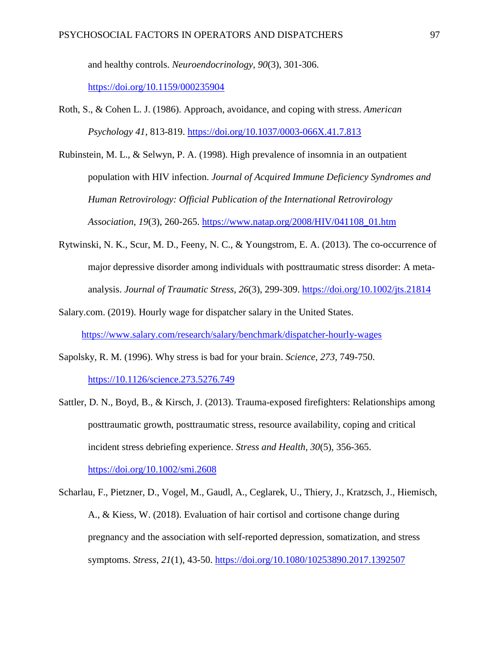and healthy controls. *Neuroendocrinology, 90*(3), 301-306.

<https://doi.org/10.1159/000235904>

- Roth, S., & Cohen L. J. (1986). Approach, avoidance, and coping with stress. *American Psychology 41*, 813-819.<https://doi.org/10.1037/0003-066X.41.7.813>
- Rubinstein, M. L., & Selwyn, P. A. (1998). High prevalence of insomnia in an outpatient population with HIV infection. *Journal of Acquired Immune Deficiency Syndromes and Human Retrovirology: Official Publication of the International Retrovirology Association*, *19*(3), 260-265. [https://www.natap.org/2008/HIV/041108\\_01.htm](https://www.natap.org/2008/HIV/041108_01.htm)
- Rytwinski, N. K., Scur, M. D., Feeny, N. C., & Youngstrom, E. A. (2013). The co-occurrence of major depressive disorder among individuals with posttraumatic stress disorder: A metaanalysis. *Journal of Traumatic Stress*, *26*(3), 299-309.<https://doi.org/10.1002/jts.21814>
- Salary.com. (2019). Hourly wage for dispatcher salary in the United States. <https://www.salary.com/research/salary/benchmark/dispatcher-hourly-wages>
- Sapolsky, R. M. (1996). Why stress is bad for your brain. *Science, 273,* 749-750. [https://10.1126/science.273.5276.749](https://10.0.4.102/science.273.5276.749)
- Sattler, D. N., Boyd, B., & Kirsch, J. (2013). Trauma-exposed firefighters: Relationships among posttraumatic growth, posttraumatic stress, resource availability, coping and critical incident stress debriefing experience. *Stress and Health, 30*(5), 356-365.

<https://doi.org/10.1002/smi.2608>

Scharlau, F., Pietzner, D., Vogel, M., Gaudl, A., Ceglarek, U., Thiery, J., Kratzsch, J., Hiemisch, A., & Kiess, W. (2018). Evaluation of hair cortisol and cortisone change during pregnancy and the association with self-reported depression, somatization, and stress symptoms. *Stress, 21*(1), 43-50. <https://doi.org/10.1080/10253890.2017.1392507>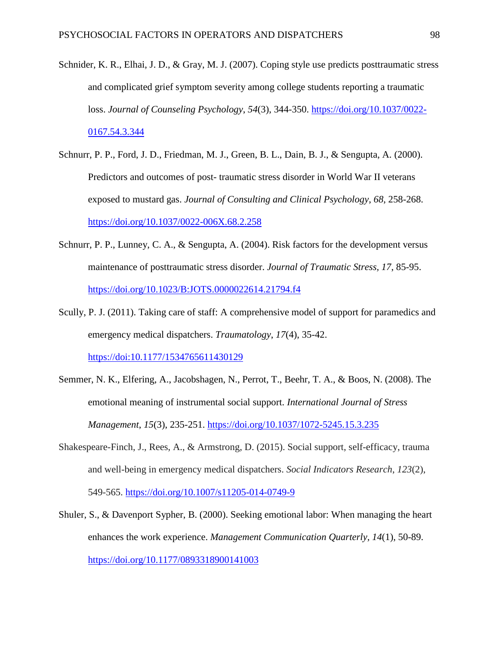- Schnider, K. R., Elhai, J. D., & Gray, M. J. (2007). Coping style use predicts posttraumatic stress and complicated grief symptom severity among college students reporting a traumatic loss. *Journal of Counseling Psychology*, *54*(3), 344-350. [https://doi.org/10.1037/0022-](https://doi.org/10.1037/0022-0167.54.3.344) [0167.54.3.344](https://doi.org/10.1037/0022-0167.54.3.344)
- Schnurr, P. P., Ford, J. D., Friedman, M. J., Green, B. L., Dain, B. J., & Sengupta, A. (2000). Predictors and outcomes of post- traumatic stress disorder in World War II veterans exposed to mustard gas. *Journal of Consulting and Clinical Psychology*, *68*, 258-268. <https://doi.org/10.1037/0022-006X.68.2.258>
- Schnurr, P. P., Lunney, C. A., & Sengupta, A. (2004). Risk factors for the development versus maintenance of posttraumatic stress disorder. *Journal of Traumatic Stress, 17*, 85-95. <https://doi.org/10.1023/B:JOTS.0000022614.21794.f4>
- Scully, P. J. (2011). Taking care of staff: A comprehensive model of support for paramedics and emergency medical dispatchers. *Traumatology*, *17*(4), 35-42. <https://doi:10.1177/1534765611430129>
- Semmer, N. K., Elfering, A., Jacobshagen, N., Perrot, T., Beehr, T. A., & Boos, N. (2008). The emotional meaning of instrumental social support. *International Journal of Stress Management*, *15*(3), 235-251.<https://doi.org/10.1037/1072-5245.15.3.235>
- Shakespeare-Finch, J., Rees, A., & Armstrong, D. (2015). Social support, self-efficacy, trauma and well-being in emergency medical dispatchers. *Social Indicators Research*, *123*(2), 549-565. <https://doi.org/10.1007/s11205-014-0749-9>
- Shuler, S., & Davenport Sypher, B. (2000). Seeking emotional labor: When managing the heart enhances the work experience. *Management Communication Quarterly, 14*(1), 50-89. <https://doi.org/10.1177/0893318900141003>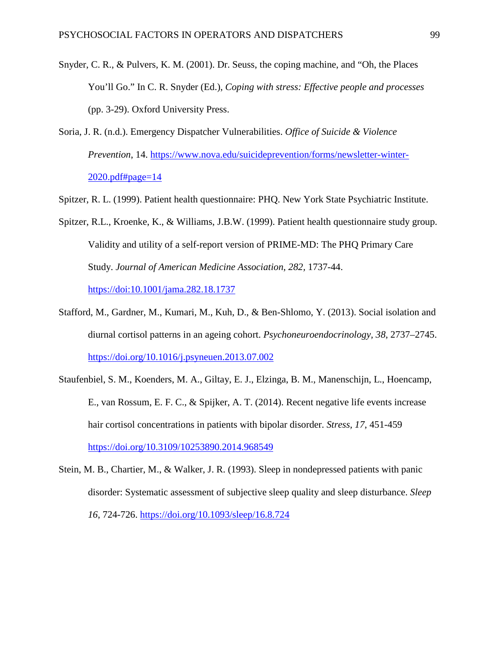- Snyder, C. R., & Pulvers, K. M. (2001). Dr. Seuss, the coping machine, and "Oh, the Places You'll Go." In C. R. Snyder (Ed.), *Coping with stress: Effective people and processes* (pp. 3-29). Oxford University Press.
- Soria, J. R. (n.d.). Emergency Dispatcher Vulnerabilities. *Office of Suicide & Violence Prevention*, 14. [https://www.nova.edu/suicideprevention/forms/newsletter-winter-](https://www.nova.edu/suicideprevention/forms/newsletter-winter-2020.pdf#page=14)[2020.pdf#page=14](https://www.nova.edu/suicideprevention/forms/newsletter-winter-2020.pdf#page=14)
- Spitzer, R. L. (1999). Patient health questionnaire: PHQ. New York State Psychiatric Institute.
- Spitzer, R.L., Kroenke, K., & Williams, J.B.W. (1999). Patient health questionnaire study group. Validity and utility of a self-report version of PRIME-MD: The PHQ Primary Care Study. *Journal of American Medicine Association*, *282,* 1737-44. <https://doi:10.1001/jama.282.18.1737>
- Stafford, M., Gardner, M., Kumari, M., Kuh, D., & Ben-Shlomo, Y. (2013). Social isolation and diurnal cortisol patterns in an ageing cohort. *Psychoneuroendocrinology, 38*, 2737–2745. <https://doi.org/10.1016/j.psyneuen.2013.07.002>
- Staufenbiel, S. M., Koenders, M. A., Giltay, E. J., Elzinga, B. M., Manenschijn, L., Hoencamp, E., van Rossum, E. F. C., & Spijker, A. T. (2014). Recent negative life events increase hair cortisol concentrations in patients with bipolar disorder. *Stress, 17*, 451-459 <https://doi.org/10.3109/10253890.2014.968549>
- Stein, M. B., Chartier, M., & Walker, J. R. (1993). Sleep in nondepressed patients with panic disorder: Systematic assessment of subjective sleep quality and sleep disturbance. *Sleep 16*, 724-726. <https://doi.org/10.1093/sleep/16.8.724>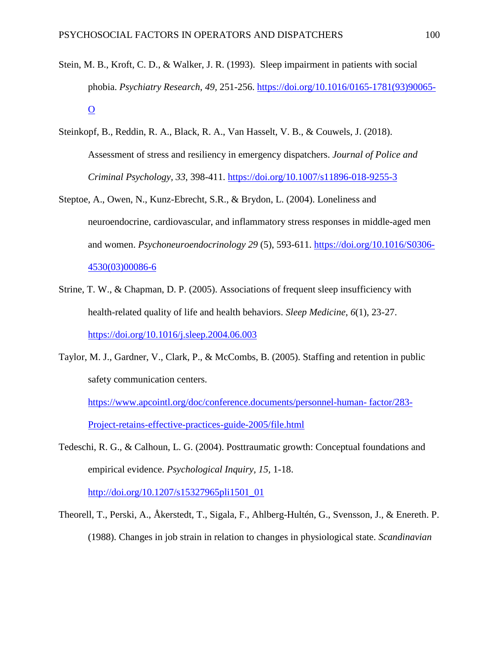- Stein, M. B., Kroft, C. D., & Walker, J. R. (1993). Sleep impairment in patients with social phobia. *Psychiatry Research*, *49,* 251-256. [https://doi.org/10.1016/0165-1781\(93\)90065-](https://doi.org/10.1016/0165-1781(93)90065-O)  $\overline{O}$  $\overline{O}$  $\overline{O}$
- Steinkopf, B., Reddin, R. A., Black, R. A., Van Hasselt, V. B., & Couwels, J. (2018). Assessment of stress and resiliency in emergency dispatchers. *Journal of Police and Criminal Psychology, 33*, 398-411. <https://doi.org/10.1007/s11896-018-9255-3>
- Steptoe, A., Owen, N., Kunz-Ebrecht, S.R., & Brydon, L. (2004). Loneliness and neuroendocrine, cardiovascular, and inflammatory stress responses in middle-aged men and women. *Psychoneuroendocrinology 29* (5), 593-611. [https://doi.org/10.1016/S0306-](https://doi.org/10.1016/S0306-4530(03)00086-6) [4530\(03\)00086-6](https://doi.org/10.1016/S0306-4530(03)00086-6)
- Strine, T. W., & Chapman, D. P. (2005). Associations of frequent sleep insufficiency with health-related quality of life and health behaviors. *Sleep Medicine*, *6*(1), 23-27. <https://doi.org/10.1016/j.sleep.2004.06.003>
- Taylor, M. J., Gardner, V., Clark, P., & McCombs, B. (2005). Staffing and retention in public safety communication centers.

[https://www.apcointl.org/doc/conference.documents/personnel-human-](https://www.apcointl.org/doc/conference.documents/personnel-human-%20factor/283-Project-retains-effective-practices-guide-2005/file.html) factor/283- [Project-retains-effective-practices-guide-2005/file.html](https://www.apcointl.org/doc/conference.documents/personnel-human-%20factor/283-Project-retains-effective-practices-guide-2005/file.html) 

Tedeschi, R. G., & Calhoun, L. G. (2004). Posttraumatic growth: Conceptual foundations and empirical evidence. *Psychological Inquiry, 15,* 1-18.

[http://doi.org/10.1207/s15327965pli1501\\_01](http://doi.org/10.1207/s15327965pli1501_01)

Theorell, T., Perski, A., Åkerstedt, T., Sigala, F., Ahlberg-Hultén, G., Svensson, J., & Enereth. P. (1988). Changes in job strain in relation to changes in physiological state. *Scandinavian*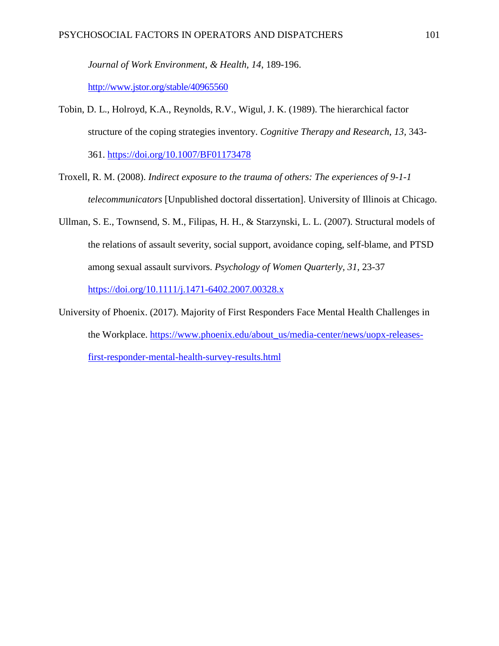*Journal of Work Environment, & Health, 14*, 189-196.

<http://www.jstor.org/stable/40965560>

Tobin, D. L., Holroyd, K.A., Reynolds, R.V., Wigul, J. K. (1989). The hierarchical factor structure of the coping strategies inventory. *Cognitive Therapy and Research*, *13,* 343-

361.<https://doi.org/10.1007/BF01173478>

- Troxell, R. M. (2008). *Indirect exposure to the trauma of others: The experiences of 9-1-1 telecommunicators* [Unpublished doctoral dissertation]. University of Illinois at Chicago.
- Ullman, S. E., Townsend, S. M., Filipas, H. H., & Starzynski, L. L. (2007). Structural models of the relations of assault severity, social support, avoidance coping, self-blame, and PTSD among sexual assault survivors. *Psychology of Women Quarterly, 31*, 23-37 <https://doi.org/10.1111/j.1471-6402.2007.00328.x>
- University of Phoenix. (2017). Majority of First Responders Face Mental Health Challenges in the Workplace. [https://www.phoenix.edu/about\\_us/media-center/news/uopx-releases](https://www.phoenix.edu/about_us/media-center/news/uopx-releases-first-responder-mental-health-survey-results.html)[first-responder-mental-health-survey-results.html](https://www.phoenix.edu/about_us/media-center/news/uopx-releases-first-responder-mental-health-survey-results.html)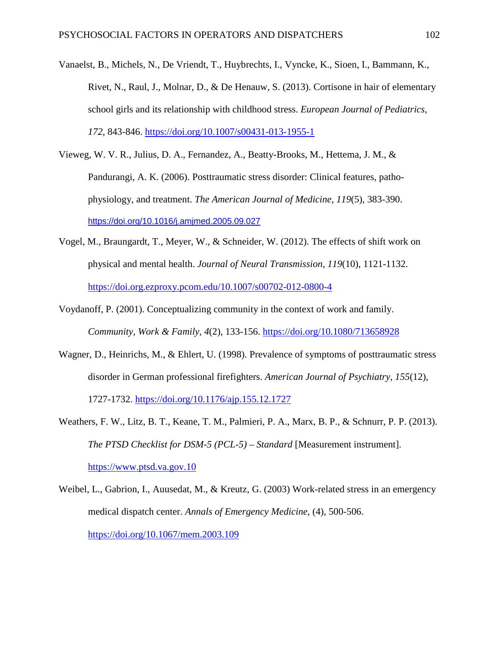- Vanaelst, B., Michels, N., De Vriendt, T., Huybrechts, I., Vyncke, K., Sioen, I., Bammann, K., Rivet, N., Raul, J., Molnar, D., & De Henauw, S. (2013). Cortisone in hair of elementary school girls and its relationship with childhood stress. *European Journal of Pediatrics, 172*, 843-846. <https://doi.org/10.1007/s00431-013-1955-1>
- Vieweg, W. V. R., Julius, D. A., Fernandez, A., Beatty-Brooks, M., Hettema, J. M., & Pandurangi, A. K. (2006). Posttraumatic stress disorder: Clinical features, pathophysiology, and treatment. *The American Journal of Medicine, 119*(5), 383-390. <https://doi.org/10.1016/j.amjmed.2005.09.027>
- Vogel, M., Braungardt, T., Meyer, W., & Schneider, W. (2012). The effects of shift work on physical and mental health. *Journal of Neural Transmission*, *119*(10), 1121-1132. <https://doi.org.ezproxy.pcom.edu/10.1007/s00702-012-0800-4>
- Voydanoff, P. (2001). Conceptualizing community in the context of work and family. *Community, Work & Family*, *4*(2), 133-156.<https://doi.org/10.1080/713658928>
- Wagner, D., Heinrichs, M., & Ehlert, U. (1998). Prevalence of symptoms of posttraumatic stress disorder in German professional firefighters. *American Journal of Psychiatry, 155*(12), 1727-1732. <https://doi.org/10.1176/ajp.155.12.1727>
- Weathers, F. W., Litz, B. T., Keane, T. M., Palmieri, P. A., Marx, B. P., & Schnurr, P. P. (2013). *The PTSD Checklist for DSM-5 (PCL-5) – Standard* [Measurement instrument]. [https://www.ptsd.va.gov.10](https://www.ptsd.va.gov.10/)
- Weibel, L., Gabrion, I., Auusedat, M., & Kreutz, G. (2003) Work-related stress in an emergency medical dispatch center. *Annals of Emergency Medicine*, (4), 500-506. <https://doi.org/10.1067/mem.2003.109>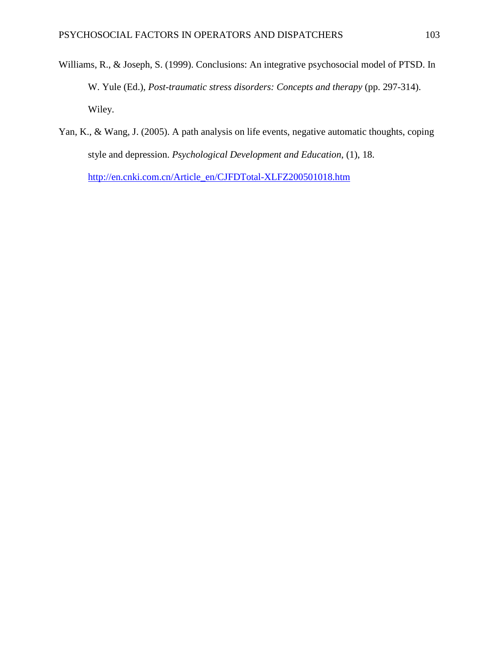- Williams, R., & Joseph, S. (1999). Conclusions: An integrative psychosocial model of PTSD. In W. Yule (Ed.), *Post-traumatic stress disorders: Concepts and therapy* (pp. 297-314). Wiley.
- Yan, K., & Wang, J. (2005). A path analysis on life events, negative automatic thoughts, coping style and depression. *Psychological Development and Education*, (1), 18. [http://en.cnki.com.cn/Article\\_en/CJFDTotal-XLFZ200501018.htm](http://en.cnki.com.cn/Article_en/CJFDTotal-XLFZ200501018.htm)